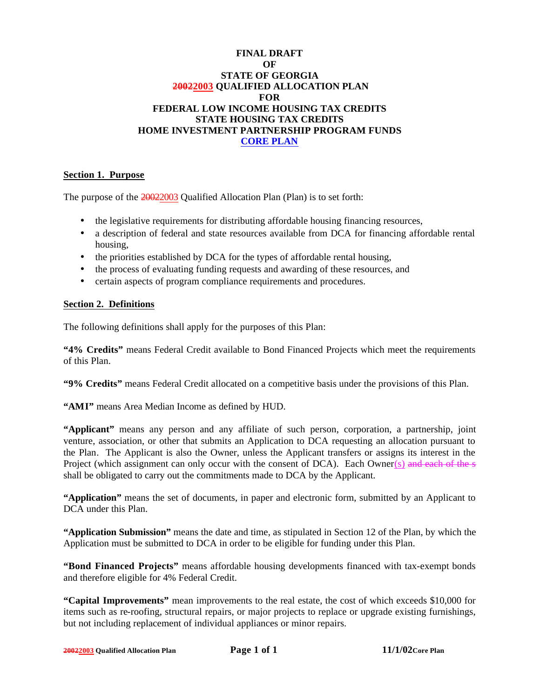### **FINAL DRAFT OF STATE OF GEORGIA 20022003 QUALIFIED ALLOCATION PLAN FOR FEDERAL LOW INCOME HOUSING TAX CREDITS STATE HOUSING TAX CREDITS HOME INVESTMENT PARTNERSHIP PROGRAM FUNDS CORE PLAN**

### **Section 1. Purpose**

The purpose of the 20022003 Qualified Allocation Plan (Plan) is to set forth:

- the legislative requirements for distributing affordable housing financing resources,
- a description of federal and state resources available from DCA for financing affordable rental housing,
- the priorities established by DCA for the types of affordable rental housing,
- the process of evaluating funding requests and awarding of these resources, and
- certain aspects of program compliance requirements and procedures.

#### **Section 2. Definitions**

The following definitions shall apply for the purposes of this Plan:

**"4% Credits"** means Federal Credit available to Bond Financed Projects which meet the requirements of this Plan.

**"9% Credits"** means Federal Credit allocated on a competitive basis under the provisions of this Plan.

**"AMI"** means Area Median Income as defined by HUD.

**"Applicant"** means any person and any affiliate of such person, corporation, a partnership, joint venture, association, or other that submits an Application to DCA requesting an allocation pursuant to the Plan. The Applicant is also the Owner, unless the Applicant transfers or assigns its interest in the Project (which assignment can only occur with the consent of  $DCA$ ). Each Owner(s) and each of the s shall be obligated to carry out the commitments made to DCA by the Applicant.

**"Application"** means the set of documents, in paper and electronic form, submitted by an Applicant to DCA under this Plan.

**"Application Submission"** means the date and time, as stipulated in Section 12 of the Plan, by which the Application must be submitted to DCA in order to be eligible for funding under this Plan.

**"Bond Financed Projects"** means affordable housing developments financed with tax-exempt bonds and therefore eligible for 4% Federal Credit.

**"Capital Improvements"** mean improvements to the real estate, the cost of which exceeds \$10,000 for items such as re-roofing, structural repairs, or major projects to replace or upgrade existing furnishings, but not including replacement of individual appliances or minor repairs.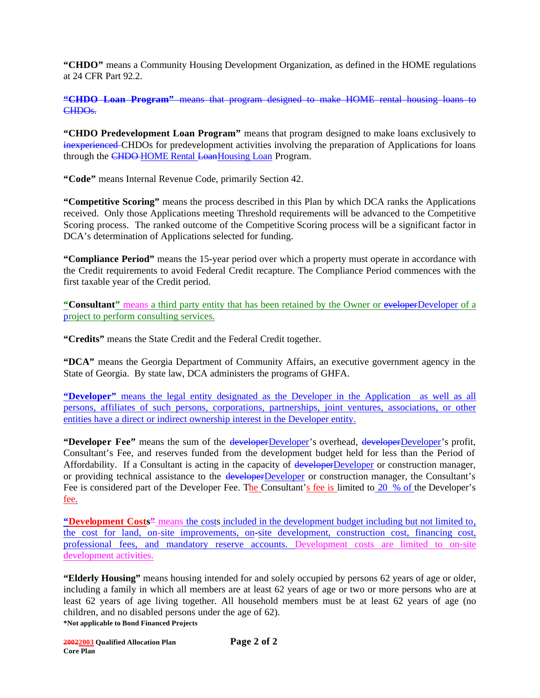**"CHDO"** means a Community Housing Development Organization, as defined in the HOME regulations at 24 CFR Part 92.2.

**"CHDO Loan Program"** means that program designed to make HOME rental housing loans to CHDO<sub>s</sub>.

**"CHDO Predevelopment Loan Program"** means that program designed to make loans exclusively to inexperienced CHDOs for predevelopment activities involving the preparation of Applications for loans through the CHDO HOME Rental Loan Housing Loan Program.

**"Code"** means Internal Revenue Code, primarily Section 42.

**"Competitive Scoring"** means the process described in this Plan by which DCA ranks the Applications received. Only those Applications meeting Threshold requirements will be advanced to the Competitive Scoring process. The ranked outcome of the Competitive Scoring process will be a significant factor in DCA's determination of Applications selected for funding.

**"Compliance Period"** means the 15-year period over which a property must operate in accordance with the Credit requirements to avoid Federal Credit recapture. The Compliance Period commences with the first taxable year of the Credit period.

"Consultant" means a third party entity that has been retained by the Owner or eveloperDeveloper of a project to perform consulting services.

**"Credits"** means the State Credit and the Federal Credit together.

**"DCA"** means the Georgia Department of Community Affairs, an executive government agency in the State of Georgia. By state law, DCA administers the programs of GHFA.

**"Developer"** means the legal entity designated as the Developer in the Application as well as all persons, affiliates of such persons, corporations, partnerships, joint ventures, associations, or other entities have a direct or indirect ownership interest in the Developer entity.

**"Developer Fee"** means the sum of the developerDeveloper's overhead, developerDeveloper's profit, Consultant's Fee, and reserves funded from the development budget held for less than the Period of Affordability. If a Consultant is acting in the capacity of developerDeveloper or construction manager, or providing technical assistance to the developerDeveloper or construction manager, the Consultant's Fee is considered part of the Developer Fee. The Consultant's fee is limited to 20 % of the Developer's fee.

**"Development Costs"** means the costs included in the development budget including but not limited to, the cost for land, on-site improvements, on-site development, construction cost, financing cost, professional fees, and mandatory reserve accounts. Development costs are limited to on-site development activities.

**\*Not applicable to Bond Financed Projects "Elderly Housing"** means housing intended for and solely occupied by persons 62 years of age or older, including a family in which all members are at least 62 years of age or two or more persons who are at least 62 years of age living together. All household members must be at least 62 years of age (no children, and no disabled persons under the age of 62).

**20022003 Qualified Allocation Plan Page 2 of 2 Core Plan**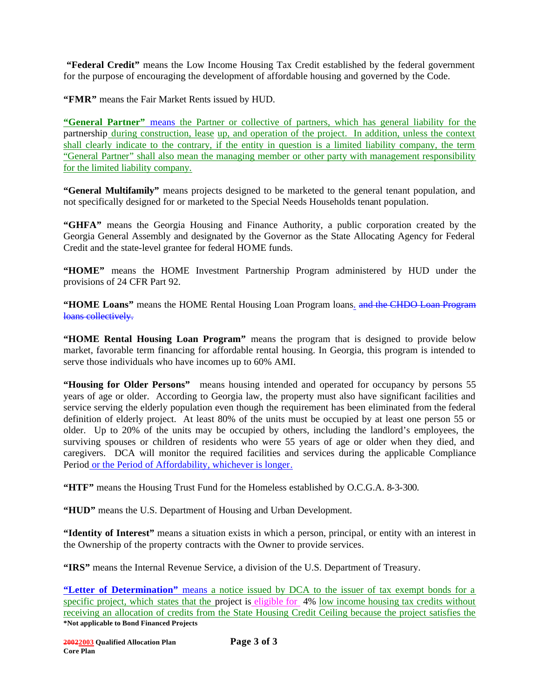**"Federal Credit"** means the Low Income Housing Tax Credit established by the federal government for the purpose of encouraging the development of affordable housing and governed by the Code.

**"FMR"** means the Fair Market Rents issued by HUD.

**"General Partner"** means the Partner or collective of partners, which has general liability for the partnership during construction, lease up, and operation of the project. In addition, unless the context shall clearly indicate to the contrary, if the entity in question is a limited liability company, the term "General Partner" shall also mean the managing member or other party with management responsibility for the limited liability company.

**"General Multifamily"** means projects designed to be marketed to the general tenant population, and not specifically designed for or marketed to the Special Needs Households tenant population.

**"GHFA"** means the Georgia Housing and Finance Authority, a public corporation created by the Georgia General Assembly and designated by the Governor as the State Allocating Agency for Federal Credit and the state-level grantee for federal HOME funds.

**"HOME"** means the HOME Investment Partnership Program administered by HUD under the provisions of 24 CFR Part 92.

"HOME Loans" means the HOME Rental Housing Loan Program loans. and the CHDO Loan Program loans collectively.

**"HOME Rental Housing Loan Program"** means the program that is designed to provide below market, favorable term financing for affordable rental housing. In Georgia, this program is intended to serve those individuals who have incomes up to 60% AMI.

**"Housing for Older Persons"** means housing intended and operated for occupancy by persons 55 years of age or older. According to Georgia law, the property must also have significant facilities and service serving the elderly population even though the requirement has been eliminated from the federal definition of elderly project. At least 80% of the units must be occupied by at least one person 55 or older. Up to 20% of the units may be occupied by others, including the landlord's employees, the surviving spouses or children of residents who were 55 years of age or older when they died, and caregivers. DCA will monitor the required facilities and services during the applicable Compliance Period or the Period of Affordability, whichever is longer.

**"HTF"** means the Housing Trust Fund for the Homeless established by O.C.G.A. 8-3-300.

**"HUD"** means the U.S. Department of Housing and Urban Development.

**"Identity of Interest"** means a situation exists in which a person, principal, or entity with an interest in the Ownership of the property contracts with the Owner to provide services.

**"IRS"** means the Internal Revenue Service, a division of the U.S. Department of Treasury.

**\*Not applicable to Bond Financed Projects "Letter of Determination"** means a notice issued by DCA to the issuer of tax exempt bonds for a specific project, which states that the project is eligible for 4% low income housing tax credits without receiving an allocation of credits from the State Housing Credit Ceiling because the project satisfies the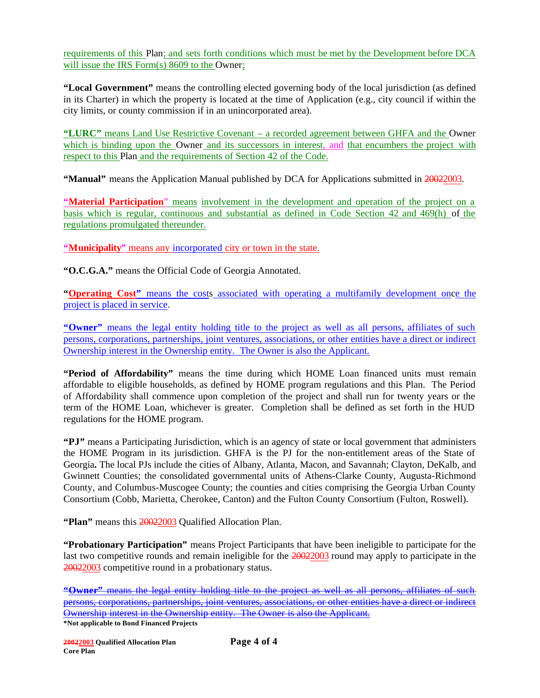requirements of this Plan; and sets forth conditions which must be met by the Development before DCA will issue the IRS Form(s) 8609 to the Owner;

**"Local Government"** means the controlling elected governing body of the local jurisdiction (as defined in its Charter) in which the property is located at the time of Application (e.g., city council if within the city limits, or county commission if in an unincorporated area).

**"LURC"** means Land Use Restrictive Covenant – a recorded agreement between GHFA and the Owner which is binding upon the Owner and its successors in interest, and that encumbers the project with respect to this Plan and the requirements of Section 42 of the Code.

**"Manual"** means the Application Manual published by DCA for Applications submitted in 20022003.

**"Material Participation**" means involvement in the development and operation of the project on a basis which is regular, continuous and substantial as defined in Code Section 42 and 469(h) of the regulations promulgated thereunder.

**"Municipality"** means any incorporated city or town in the state.

**"O.C.G.A."** means the Official Code of Georgia Annotated.

**"Operating Cost"** means the costs associated with operating a multifamily development once the project is placed in service.

**"Owner"** means the legal entity holding title to the project as well as all persons, affiliates of such persons, corporations, partnerships, joint ventures, associations, or other entities have a direct or indirect Ownership interest in the Ownership entity. The Owner is also the Applicant.

**"Period of Affordability"** means the time during which HOME Loan financed units must remain affordable to eligible households, as defined by HOME program regulations and this Plan. The Period of Affordability shall commence upon completion of the project and shall run for twenty years or the term of the HOME Loan, whichever is greater. Completion shall be defined as set forth in the HUD regulations for the HOME program.

**"PJ"** means a Participating Jurisdiction, which is an agency of state or local government that administers the HOME Program in its jurisdiction. GHFA is the PJ for the non-entitlement areas of the State of Georgia**.** The local PJs include the cities of Albany, Atlanta, Macon, and Savannah; Clayton, DeKalb, and Gwinnett Counties; the consolidated governmental units of Athens-Clarke County, Augusta-Richmond County, and Columbus-Muscogee County; the counties and cities comprising the Georgia Urban County Consortium (Cobb, Marietta, Cherokee, Canton) and the Fulton County Consortium (Fulton, Roswell).

**"Plan"** means this 20022003 Qualified Allocation Plan.

**"Probationary Participation"** means Project Participants that have been ineligible to participate for the last two competitive rounds and remain ineligible for the 20022003 round may apply to participate in the 20022003 competitive round in a probationary status.

**"Owner"** means the legal entity holding title to the project as well as all persons, affiliates of such persons, corporations, partnerships, joint ventures, associations, or other entities have a direct or indirect Ownership interest in the Ownership entity. The Owner is also the Applicant.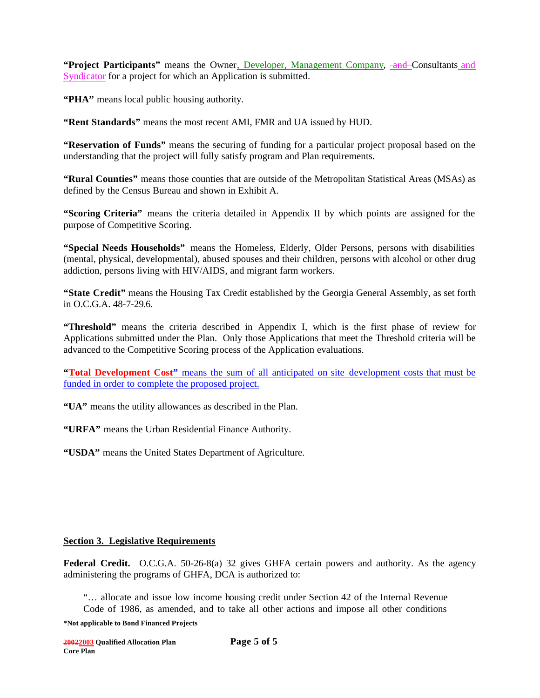**"Project Participants"** means the Owner, Developer, Management Company, and Consultants and Syndicator for a project for which an Application is submitted.

**"PHA"** means local public housing authority.

**"Rent Standards"** means the most recent AMI, FMR and UA issued by HUD.

**"Reservation of Funds"** means the securing of funding for a particular project proposal based on the understanding that the project will fully satisfy program and Plan requirements.

**"Rural Counties"** means those counties that are outside of the Metropolitan Statistical Areas (MSAs) as defined by the Census Bureau and shown in Exhibit A.

**"Scoring Criteria"** means the criteria detailed in Appendix II by which points are assigned for the purpose of Competitive Scoring.

**"Special Needs Households"** means the Homeless, Elderly, Older Persons, persons with disabilities (mental, physical, developmental), abused spouses and their children, persons with alcohol or other drug addiction, persons living with HIV/AIDS, and migrant farm workers.

**"State Credit"** means the Housing Tax Credit established by the Georgia General Assembly, as set forth in O.C.G.A. 48-7-29.6.

**"Threshold"** means the criteria described in Appendix I, which is the first phase of review for Applications submitted under the Plan. Only those Applications that meet the Threshold criteria will be advanced to the Competitive Scoring process of the Application evaluations.

**"Total Development Cost"** means the sum of all anticipated on site development costs that must be funded in order to complete the proposed project.

**"UA"** means the utility allowances as described in the Plan.

**"URFA"** means the Urban Residential Finance Authority.

**"USDA"** means the United States Department of Agriculture.

#### **Section 3. Legislative Requirements**

Federal Credit. O.C.G.A. 50-26-8(a) 32 gives GHFA certain powers and authority. As the agency administering the programs of GHFA, DCA is authorized to:

"… allocate and issue low income housing credit under Section 42 of the Internal Revenue Code of 1986, as amended, and to take all other actions and impose all other conditions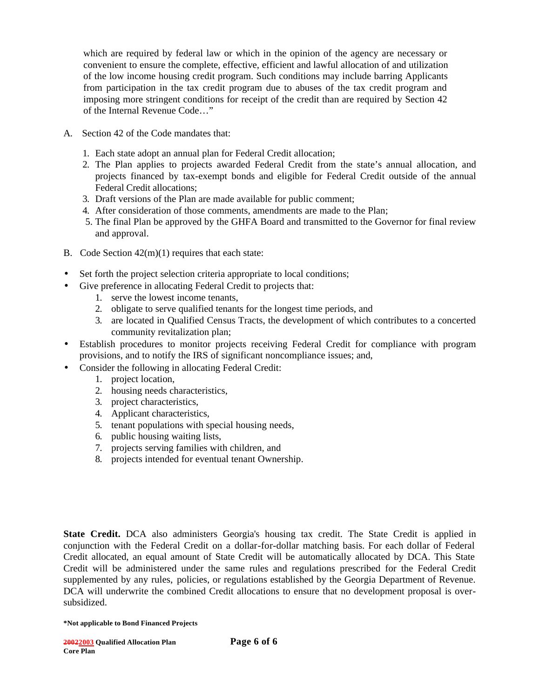which are required by federal law or which in the opinion of the agency are necessary or convenient to ensure the complete, effective, efficient and lawful allocation of and utilization of the low income housing credit program. Such conditions may include barring Applicants from participation in the tax credit program due to abuses of the tax credit program and imposing more stringent conditions for receipt of the credit than are required by Section 42 of the Internal Revenue Code…"

- A. Section 42 of the Code mandates that:
	- 1. Each state adopt an annual plan for Federal Credit allocation;
	- 2. The Plan applies to projects awarded Federal Credit from the state's annual allocation, and projects financed by tax-exempt bonds and eligible for Federal Credit outside of the annual Federal Credit allocations;
	- 3. Draft versions of the Plan are made available for public comment;
	- 4. After consideration of those comments, amendments are made to the Plan;
	- 5. The final Plan be approved by the GHFA Board and transmitted to the Governor for final review and approval.
- B. Code Section 42(m)(1) requires that each state:
- Set forth the project selection criteria appropriate to local conditions;
- Give preference in allocating Federal Credit to projects that:
	- 1. serve the lowest income tenants,
	- 2. obligate to serve qualified tenants for the longest time periods, and
	- 3. are located in Qualified Census Tracts, the development of which contributes to a concerted community revitalization plan;
- Establish procedures to monitor projects receiving Federal Credit for compliance with program provisions, and to notify the IRS of significant noncompliance issues; and,
- Consider the following in allocating Federal Credit:
	- 1. project location,
	- 2. housing needs characteristics,
	- 3. project characteristics,
	- 4. Applicant characteristics,
	- 5. tenant populations with special housing needs,
	- 6. public housing waiting lists,
	- 7. projects serving families with children, and
	- 8. projects intended for eventual tenant Ownership.

**State Credit.** DCA also administers Georgia's housing tax credit. The State Credit is applied in conjunction with the Federal Credit on a dollar-for-dollar matching basis. For each dollar of Federal Credit allocated, an equal amount of State Credit will be automatically allocated by DCA. This State Credit will be administered under the same rules and regulations prescribed for the Federal Credit supplemented by any rules, policies, or regulations established by the Georgia Department of Revenue. DCA will underwrite the combined Credit allocations to ensure that no development proposal is oversubsidized.

**<sup>\*</sup>Not applicable to Bond Financed Projects**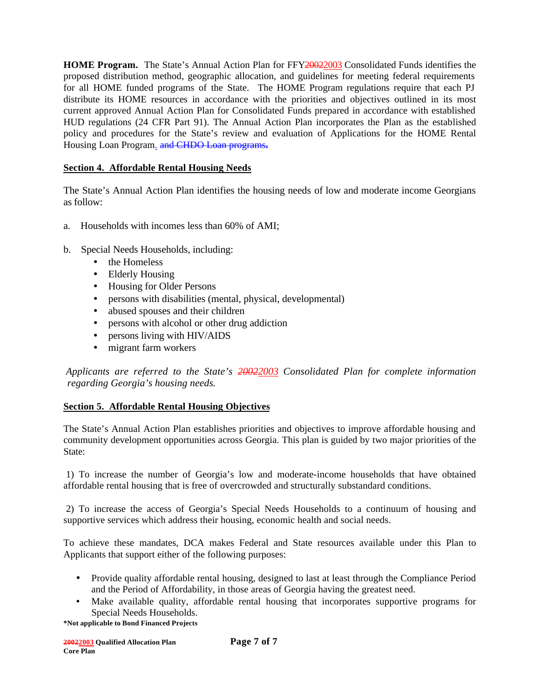**HOME Program.** The State's Annual Action Plan for FFY20022003 Consolidated Funds identifies the proposed distribution method, geographic allocation, and guidelines for meeting federal requirements for all HOME funded programs of the State. The HOME Program regulations require that each PJ distribute its HOME resources in accordance with the priorities and objectives outlined in its most current approved Annual Action Plan for Consolidated Funds prepared in accordance with established HUD regulations (24 CFR Part 91). The Annual Action Plan incorporates the Plan as the established policy and procedures for the State's review and evaluation of Applications for the HOME Rental Housing Loan Program. and CHDO Loan programs**.**

### **Section 4. Affordable Rental Housing Needs**

The State's Annual Action Plan identifies the housing needs of low and moderate income Georgians as follow:

- a. Households with incomes less than 60% of AMI;
- b. Special Needs Households, including:
	- the Homeless
	- Elderly Housing
	- Housing for Older Persons
	- persons with disabilities (mental, physical, developmental)
	- abused spouses and their children
	- persons with alcohol or other drug addiction
	- persons living with HIV/AIDS
	- migrant farm workers

 *Applicants are referred to the State's 20022003 Consolidated Plan for complete information regarding Georgia's housing needs.*

### **Section 5. Affordable Rental Housing Objectives**

The State's Annual Action Plan establishes priorities and objectives to improve affordable housing and community development opportunities across Georgia. This plan is guided by two major priorities of the State:

 1) To increase the number of Georgia's low and moderate-income households that have obtained affordable rental housing that is free of overcrowded and structurally substandard conditions.

 2) To increase the access of Georgia's Special Needs Households to a continuum of housing and supportive services which address their housing, economic health and social needs.

To achieve these mandates, DCA makes Federal and State resources available under this Plan to Applicants that support either of the following purposes:

- Provide quality affordable rental housing, designed to last at least through the Compliance Period and the Period of Affordability, in those areas of Georgia having the greatest need.
- Make available quality, affordable rental housing that incorporates supportive programs for Special Needs Households.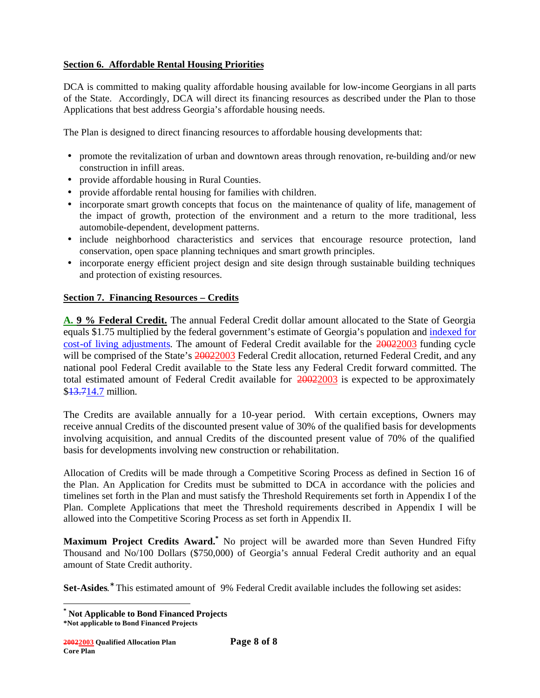### **Section 6. Affordable Rental Housing Priorities**

DCA is committed to making quality affordable housing available for low-income Georgians in all parts of the State. Accordingly, DCA will direct its financing resources as described under the Plan to those Applications that best address Georgia's affordable housing needs.

The Plan is designed to direct financing resources to affordable housing developments that:

- promote the revitalization of urban and downtown areas through renovation, re-building and/or new construction in infill areas.
- provide affordable housing in Rural Counties.
- provide affordable rental housing for families with children.
- incorporate smart growth concepts that focus on the maintenance of quality of life, management of the impact of growth, protection of the environment and a return to the more traditional, less automobile-dependent, development patterns.
- include neighborhood characteristics and services that encourage resource protection, land conservation, open space planning techniques and smart growth principles.
- incorporate energy efficient project design and site design through sustainable building techniques and protection of existing resources.

### **Section 7. Financing Resources – Credits**

**A. 9 % Federal Credit.** The annual Federal Credit dollar amount allocated to the State of Georgia equals \$1.75 multiplied by the federal government's estimate of Georgia's population and indexed for cost-of living adjustments. The amount of Federal Credit available for the 20022003 funding cycle will be comprised of the State's 20022003 Federal Credit allocation, returned Federal Credit, and any national pool Federal Credit available to the State less any Federal Credit forward committed. The total estimated amount of Federal Credit available for 20022003 is expected to be approximately \$13.714.7 million.

The Credits are available annually for a 10-year period. With certain exceptions, Owners may receive annual Credits of the discounted present value of 30% of the qualified basis for developments involving acquisition, and annual Credits of the discounted present value of 70% of the qualified basis for developments involving new construction or rehabilitation.

Allocation of Credits will be made through a Competitive Scoring Process as defined in Section 16 of the Plan. An Application for Credits must be submitted to DCA in accordance with the policies and timelines set forth in the Plan and must satisfy the Threshold Requirements set forth in Appendix I of the Plan. Complete Applications that meet the Threshold requirements described in Appendix I will be allowed into the Competitive Scoring Process as set forth in Appendix II.

**Maximum Project Credits Award.\*** No project will be awarded more than Seven Hundred Fifty Thousand and No/100 Dollars (\$750,000) of Georgia's annual Federal Credit authority and an equal amount of State Credit authority.

Set-Asides.<sup>\*</sup> This estimated amount of 9% Federal Credit available includes the following set asides:

**<sup>\*</sup> Not Applicable to Bond Financed Projects**

**<sup>\*</sup>Not applicable to Bond Financed Projects**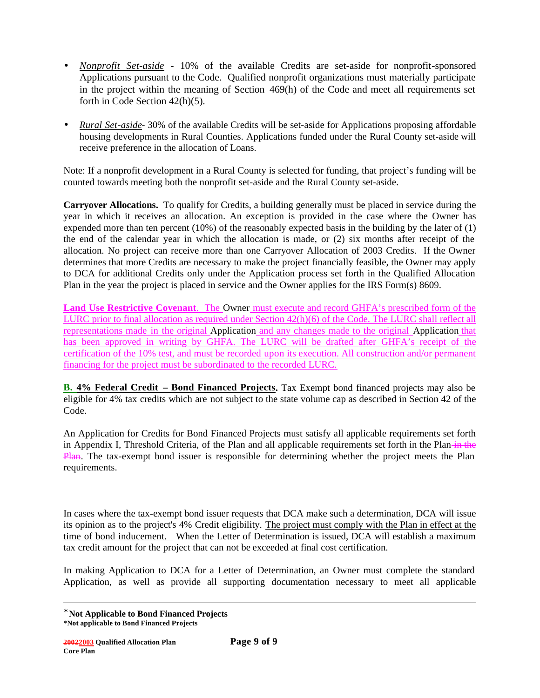- *Nonprofit Set-aside* 10% of the available Credits are set-aside for nonprofit-sponsored Applications pursuant to the Code. Qualified nonprofit organizations must materially participate in the project within the meaning of Section 469(h) of the Code and meet all requirements set forth in Code Section 42(h)(5).
- *Rural Set-aside* 30% of the available Credits will be set-aside for Applications proposing affordable housing developments in Rural Counties. Applications funded under the Rural County set-aside will receive preference in the allocation of Loans.

Note: If a nonprofit development in a Rural County is selected for funding, that project's funding will be counted towards meeting both the nonprofit set-aside and the Rural County set-aside.

**Carryover Allocations.** To qualify for Credits, a building generally must be placed in service during the year in which it receives an allocation. An exception is provided in the case where the Owner has expended more than ten percent (10%) of the reasonably expected basis in the building by the later of (1) the end of the calendar year in which the allocation is made, or (2) six months after receipt of the allocation. No project can receive more than one Carryover Allocation of 2003 Credits. If the Owner determines that more Credits are necessary to make the project financially feasible, the Owner may apply to DCA for additional Credits only under the Application process set forth in the Qualified Allocation Plan in the year the project is placed in service and the Owner applies for the IRS Form(s) 8609.

**Land Use Restrictive Covenant**. The Owner must execute and record GHFA's prescribed form of the LURC prior to final allocation as required under Section 42(h)(6) of the Code. The LURC shall reflect all representations made in the original Application and any changes made to the original Application that has been approved in writing by GHFA. The LURC will be drafted after GHFA's receipt of the certification of the 10% test, and must be recorded upon its execution. All construction and/or permanent financing for the project must be subordinated to the recorded LURC.

**B. 4% Federal Credit – Bond Financed Projects.** Tax Exempt bond financed projects may also be eligible for 4% tax credits which are not subject to the state volume cap as described in Section 42 of the Code.

An Application for Credits for Bond Financed Projects must satisfy all applicable requirements set forth in Appendix I, Threshold Criteria, of the Plan and all applicable requirements set forth in the Plan–in the Plan. The tax-exempt bond issuer is responsible for determining whether the project meets the Plan requirements.

In cases where the tax-exempt bond issuer requests that DCA make such a determination, DCA will issue its opinion as to the project's 4% Credit eligibility. The project must comply with the Plan in effect at the time of bond inducement. When the Letter of Determination is issued, DCA will establish a maximum tax credit amount for the project that can not be exceeded at final cost certification.

In making Application to DCA for a Letter of Determination, an Owner must complete the standard Application, as well as provide all supporting documentation necessary to meet all applicable

**<sup>\*</sup> Not Applicable to Bond Financed Projects**

**<sup>\*</sup>Not applicable to Bond Financed Projects**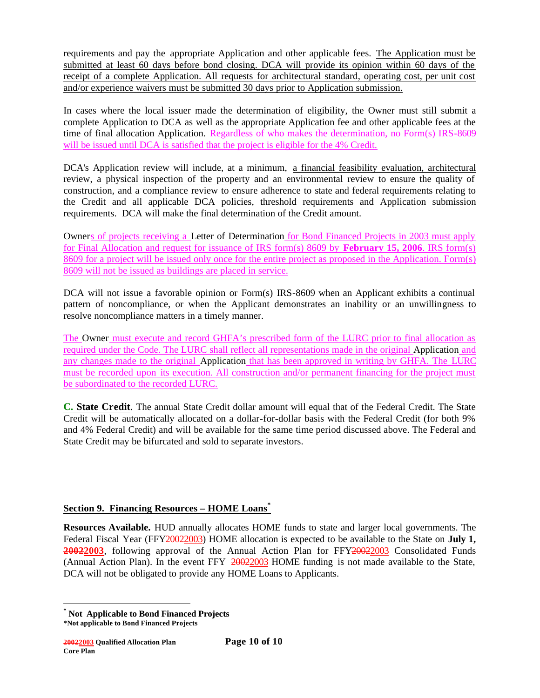requirements and pay the appropriate Application and other applicable fees. The Application must be submitted at least 60 days before bond closing. DCA will provide its opinion within 60 days of the receipt of a complete Application. All requests for architectural standard, operating cost, per unit cost and/or experience waivers must be submitted 30 days prior to Application submission.

In cases where the local issuer made the determination of eligibility, the Owner must still submit a complete Application to DCA as well as the appropriate Application fee and other applicable fees at the time of final allocation Application. Regardless of who makes the determination, no Form(s) IRS-8609 will be issued until DCA is satisfied that the project is eligible for the 4% Credit.

DCA's Application review will include, at a minimum, a financial feasibility evaluation, architectural review, a physical inspection of the property and an environmental review to ensure the quality of construction, and a compliance review to ensure adherence to state and federal requirements relating to the Credit and all applicable DCA policies, threshold requirements and Application submission requirements. DCA will make the final determination of the Credit amount.

Owners of projects receiving a Letter of Determination for Bond Financed Projects in 2003 must apply for Final Allocation and request for issuance of IRS form(s) 8609 by **February 15, 2006**. IRS form(s) 8609 for a project will be issued only once for the entire project as proposed in the Application. Form(s) 8609 will not be issued as buildings are placed in service.

DCA will not issue a favorable opinion or Form(s) IRS-8609 when an Applicant exhibits a continual pattern of noncompliance, or when the Applicant demonstrates an inability or an unwillingness to resolve noncompliance matters in a timely manner.

The Owner must execute and record GHFA's prescribed form of the LURC prior to final allocation as required under the Code. The LURC shall reflect all representations made in the original Application and any changes made to the original Application that has been approved in writing by GHFA. The LURC must be recorded upon its execution. All construction and/or permanent financing for the project must be subordinated to the recorded LURC.

**C. State Credit**. The annual State Credit dollar amount will equal that of the Federal Credit. The State Credit will be automatically allocated on a dollar-for-dollar basis with the Federal Credit (for both 9% and 4% Federal Credit) and will be available for the same time period discussed above. The Federal and State Credit may be bifurcated and sold to separate investors.

### **Section 9. Financing Resources – HOME Loans\***

**Resources Available.** HUD annually allocates HOME funds to state and larger local governments. The Federal Fiscal Year (FFY20022003) HOME allocation is expected to be available to the State on **July 1,**  20022003, following approval of the Annual Action Plan for FFY20022003 Consolidated Funds (Annual Action Plan). In the event FFY 20022003 HOME funding is not made available to the State, DCA will not be obligated to provide any HOME Loans to Applicants.

**<sup>\*</sup> Not Applicable to Bond Financed Projects**

**<sup>\*</sup>Not applicable to Bond Financed Projects**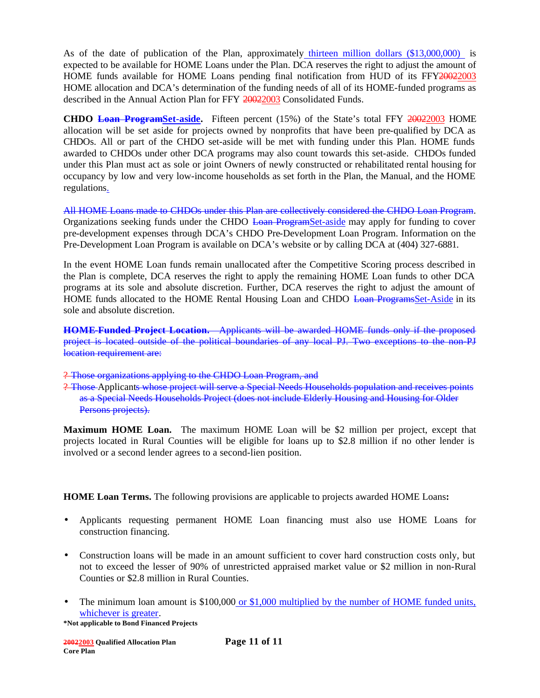As of the date of publication of the Plan, approximately thirteen million dollars (\$13,000,000) is expected to be available for HOME Loans under the Plan. DCA reserves the right to adjust the amount of HOME funds available for HOME Loans pending final notification from HUD of its FFY20022003 HOME allocation and DCA's determination of the funding needs of all of its HOME-funded programs as described in the Annual Action Plan for FFY 20022003 Consolidated Funds.

**CHDO Loan ProgramSet-aside.** Fifteen percent (15%) of the State's total FFY 20022003 HOME allocation will be set aside for projects owned by nonprofits that have been pre-qualified by DCA as CHDOs. All or part of the CHDO set-aside will be met with funding under this Plan. HOME funds awarded to CHDOs under other DCA programs may also count towards this set-aside. CHDOs funded under this Plan must act as sole or joint Owners of newly constructed or rehabilitated rental housing for occupancy by low and very low-income households as set forth in the Plan, the Manual, and the HOME regulations.

All HOME Loans made to CHDOs under this Plan are collectively considered the CHDO Loan Program. Organizations seeking funds under the CHDO Loan ProgramSet-aside may apply for funding to cover pre-development expenses through DCA's CHDO Pre-Development Loan Program. Information on the Pre-Development Loan Program is available on DCA's website or by calling DCA at (404) 327-6881.

In the event HOME Loan funds remain unallocated after the Competitive Scoring process described in the Plan is complete, DCA reserves the right to apply the remaining HOME Loan funds to other DCA programs at its sole and absolute discretion. Further, DCA reserves the right to adjust the amount of HOME funds allocated to the HOME Rental Housing Loan and CHDO Loan ProgramsSet-Aside in its sole and absolute discretion.

**HOME-Funded Project Location.** Applicants will be awarded HOME funds only if the proposed project is located outside of the political boundaries of any local PJ. Two exceptions to the non-PJ location requirement are:

- ? Those organizations applying to the CHDO Loan Program, and
- ? Those Applicants whose project will serve a Special Needs Households population and receives points as a Special Needs Households Project (does not include Elderly Housing and Housing for Older Persons projects).

**Maximum HOME Loan.** The maximum HOME Loan will be \$2 million per project, except that projects located in Rural Counties will be eligible for loans up to \$2.8 million if no other lender is involved or a second lender agrees to a second-lien position.

**HOME Loan Terms.** The following provisions are applicable to projects awarded HOME Loans**:**

- Applicants requesting permanent HOME Loan financing must also use HOME Loans for construction financing.
- Construction loans will be made in an amount sufficient to cover hard construction costs only, but not to exceed the lesser of 90% of unrestricted appraised market value or \$2 million in non-Rural Counties or \$2.8 million in Rural Counties.
- The minimum loan amount is \$100,000 or \$1,000 multiplied by the number of HOME funded units, whichever is greater.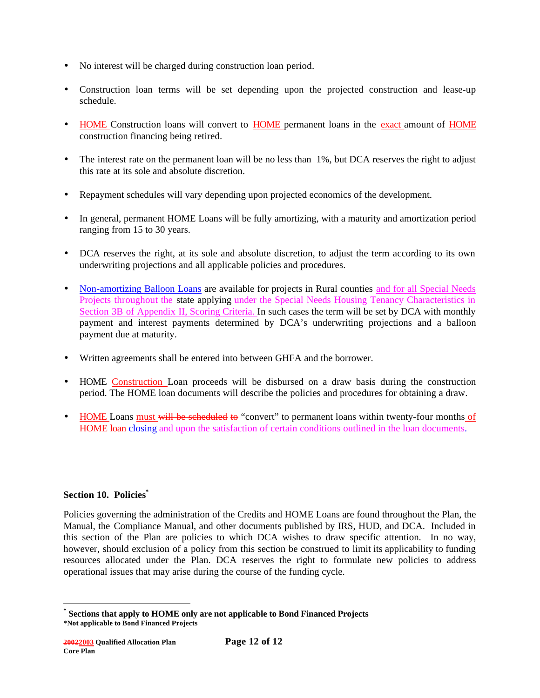- No interest will be charged during construction loan period.
- Construction loan terms will be set depending upon the projected construction and lease-up schedule.
- HOME Construction loans will convert to HOME permanent loans in the exact amount of HOME construction financing being retired.
- The interest rate on the permanent loan will be no less than 1%, but DCA reserves the right to adjust this rate at its sole and absolute discretion.
- Repayment schedules will vary depending upon projected economics of the development.
- In general, permanent HOME Loans will be fully amortizing, with a maturity and amortization period ranging from 15 to 30 years.
- DCA reserves the right, at its sole and absolute discretion, to adjust the term according to its own underwriting projections and all applicable policies and procedures.
- Non-amortizing Balloon Loans are available for projects in Rural counties and for all Special Needs Projects throughout the state applying under the Special Needs Housing Tenancy Characteristics in Section 3B of Appendix II, Scoring Criteria. In such cases the term will be set by DCA with monthly payment and interest payments determined by DCA's underwriting projections and a balloon payment due at maturity.
- Written agreements shall be entered into between GHFA and the borrower.
- HOME Construction Loan proceeds will be disbursed on a draw basis during the construction period. The HOME loan documents will describe the policies and procedures for obtaining a draw.
- HOME Loans must will be scheduled to "convert" to permanent loans within twenty-four months of HOME loan closing and upon the satisfaction of certain conditions outlined in the loan documents.

### **Section 10. Policies\***

Policies governing the administration of the Credits and HOME Loans are found throughout the Plan, the Manual, the Compliance Manual, and other documents published by IRS, HUD, and DCA. Included in this section of the Plan are policies to which DCA wishes to draw specific attention. In no way, however, should exclusion of a policy from this section be construed to limit its applicability to funding resources allocated under the Plan. DCA reserves the right to formulate new policies to address operational issues that may arise during the course of the funding cycle.

**<sup>\*</sup>Not applicable to Bond Financed Projects \* Sections that apply to HOME only are not applicable to Bond Financed Projects**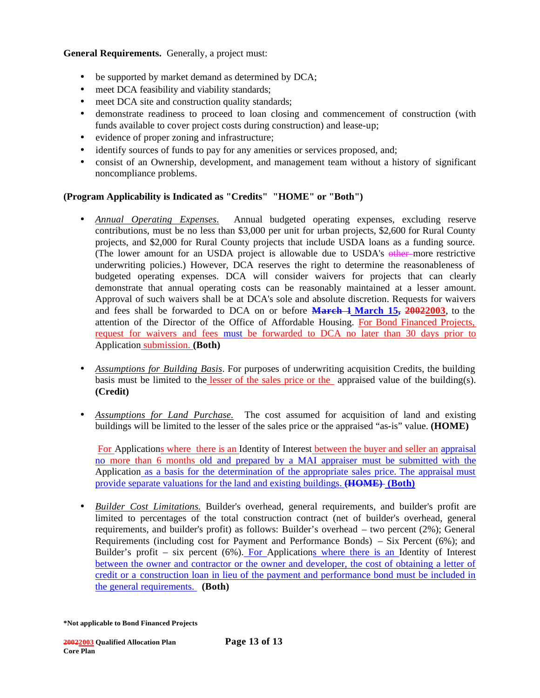**General Requirements.** Generally, a project must:

- be supported by market demand as determined by DCA;
- meet DCA feasibility and viability standards;
- meet DCA site and construction quality standards;
- demonstrate readiness to proceed to loan closing and commencement of construction (with funds available to cover project costs during construction) and lease-up;
- evidence of proper zoning and infrastructure;
- identify sources of funds to pay for any amenities or services proposed, and;
- consist of an Ownership, development, and management team without a history of significant noncompliance problems.

### **(Program Applicability is Indicated as "Credits" "HOME" or "Both")**

- *Annual Operating Expenses.* Annual budgeted operating expenses, excluding reserve contributions, must be no less than \$3,000 per unit for urban projects, \$2,600 for Rural County projects, and \$2,000 for Rural County projects that include USDA loans as a funding source. (The lower amount for an USDA project is allowable due to USDA's other more restrictive underwriting policies.) However, DCA reserves the right to determine the reasonableness of budgeted operating expenses. DCA will consider waivers for projects that can clearly demonstrate that annual operating costs can be reasonably maintained at a lesser amount. Approval of such waivers shall be at DCA's sole and absolute discretion. Requests for waivers and fees shall be forwarded to DCA on or before **March 1 March 15, 20022003**, to the attention of the Director of the Office of Affordable Housing. For Bond Financed Projects, request for waivers and fees must be forwarded to DCA no later than 30 days prior to Application submission. **(Both)**
- *Assumptions for Building Basis*. For purposes of underwriting acquisition Credits, the building basis must be limited to the lesser of the sales price or the appraised value of the building(s). **(Credit)**
- *Assumptions for Land Purchase.* The cost assumed for acquisition of land and existing buildings will be limited to the lesser of the sales price or the appraised "as-is" value. **(HOME)**

For Applications where there is an Identity of Interest between the buyer and seller an appraisal no more than 6 months old and prepared by a MAI appraiser must be submitted with the Application as a basis for the determination of the appropriate sales price. The appraisal must provide separate valuations for the land and existing buildings. **(HOME) (Both)**

• *Builder Cost Limitations.* Builder's overhead, general requirements, and builder's profit are limited to percentages of the total construction contract (net of builder's overhead, general requirements, and builder's profit) as follows: Builder's overhead – two percent (2%); General Requirements (including cost for Payment and Performance Bonds) – Six Percent (6%); and Builder's profit – six percent  $(6%)$ . For Applications where there is an Identity of Interest between the owner and contractor or the owner and developer, the cost of obtaining a letter of credit or a construction loan in lieu of the payment and performance bond must be included in the general requirements. **(Both)**

**<sup>\*</sup>Not applicable to Bond Financed Projects**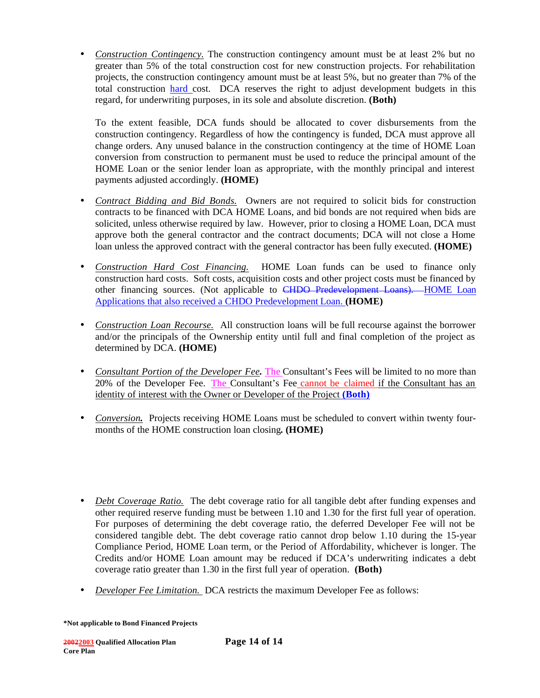• *Construction Contingency*. The construction contingency amount must be at least 2% but no greater than 5% of the total construction cost for new construction projects. For rehabilitation projects, the construction contingency amount must be at least 5%, but no greater than 7% of the total construction hard cost. DCA reserves the right to adjust development budgets in this regard, for underwriting purposes, in its sole and absolute discretion. **(Both)**

To the extent feasible, DCA funds should be allocated to cover disbursements from the construction contingency. Regardless of how the contingency is funded, DCA must approve all change orders. Any unused balance in the construction contingency at the time of HOME Loan conversion from construction to permanent must be used to reduce the principal amount of the HOME Loan or the senior lender loan as appropriate, with the monthly principal and interest payments adjusted accordingly. **(HOME)**

- *Contract Bidding and Bid Bonds.* Owners are not required to solicit bids for construction contracts to be financed with DCA HOME Loans, and bid bonds are not required when bids are solicited, unless otherwise required by law. However, prior to closing a HOME Loan, DCA must approve both the general contractor and the contract documents; DCA will not close a Home loan unless the approved contract with the general contractor has been fully executed. **(HOME)**
- *Construction Hard Cost Financing.* HOME Loan funds can be used to finance only construction hard costs. Soft costs, acquisition costs and other project costs must be financed by other financing sources. (Not applicable to CHDO Predevelopment Loans). HOME Loan Applications that also received a CHDO Predevelopment Loan. **(HOME)**
- *Construction Loan Recourse.* All construction loans will be full recourse against the borrower and/or the principals of the Ownership entity until full and final completion of the project as determined by DCA. **(HOME)**
- *Consultant Portion of the Developer Fee.* The Consultant's Fees will be limited to no more than 20% of the Developer Fee. The Consultant's Fee cannot be claimed if the Consultant has an identity of interest with the Owner or Developer of the Project **(Both)**
- *Conversion*, Projects receiving HOME Loans must be scheduled to convert within twenty fourmonths of the HOME construction loan closing**. (HOME)**
- *Debt Coverage Ratio.* The debt coverage ratio for all tangible debt after funding expenses and other required reserve funding must be between 1.10 and 1.30 for the first full year of operation. For purposes of determining the debt coverage ratio, the deferred Developer Fee will not be considered tangible debt. The debt coverage ratio cannot drop below 1.10 during the 15-year Compliance Period, HOME Loan term, or the Period of Affordability, whichever is longer. The Credits and/or HOME Loan amount may be reduced if DCA's underwriting indicates a debt coverage ratio greater than 1.30 in the first full year of operation. **(Both)**
- *Developer Fee Limitation.* DCA restricts the maximum Developer Fee as follows: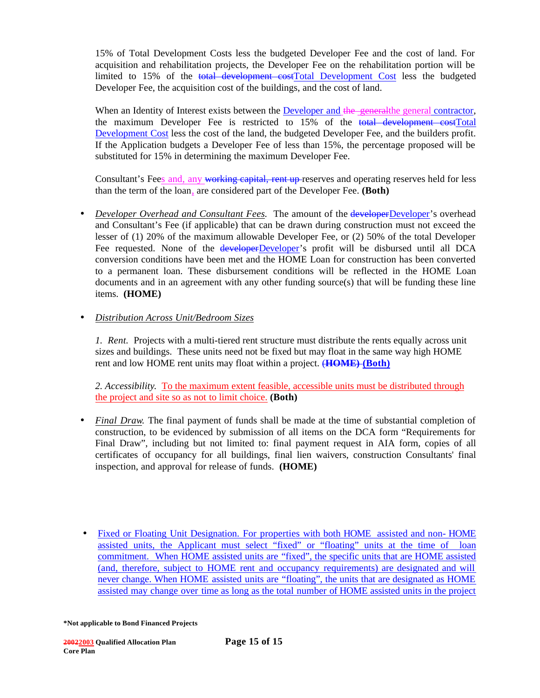15% of Total Development Costs less the budgeted Developer Fee and the cost of land. For acquisition and rehabilitation projects, the Developer Fee on the rehabilitation portion will be limited to 15% of the total development costTotal Development Cost less the budgeted Developer Fee, the acquisition cost of the buildings, and the cost of land.

When an Identity of Interest exists between the Developer and the generalthe general contractor, the maximum Developer Fee is restricted to 15% of the total development costTotal Development Cost less the cost of the land, the budgeted Developer Fee, and the builders profit. If the Application budgets a Developer Fee of less than 15%, the percentage proposed will be substituted for 15% in determining the maximum Developer Fee.

Consultant's Fees and, any working capital, rent up reserves and operating reserves held for less than the term of the loan, are considered part of the Developer Fee. **(Both)** 

• *Developer Overhead and Consultant Fees.* The amount of the **developerDeveloper's** overhead and Consultant's Fee (if applicable) that can be drawn during construction must not exceed the lesser of (1) 20% of the maximum allowable Developer Fee, or (2) 50% of the total Developer Fee requested. None of the **developerDeveloper's** profit will be disbursed until all DCA conversion conditions have been met and the HOME Loan for construction has been converted to a permanent loan. These disbursement conditions will be reflected in the HOME Loan  $d$  documents and in an agreement with any other funding source $(s)$  that will be funding these line items. **(HOME)**

### • *Distribution Across Unit/Bedroom Sizes*

*1. Rent.* Projects with a multi-tiered rent structure must distribute the rents equally across unit sizes and buildings. These units need not be fixed but may float in the same way high HOME rent and low HOME rent units may float within a project. (**HOME) (Both)**

*2. Accessibility*. To the maximum extent feasible, accessible units must be distributed through the project and site so as not to limit choice. **(Both)**

- *Final Draw.* The final payment of funds shall be made at the time of substantial completion of construction, to be evidenced by submission of all items on the DCA form "Requirements for Final Draw", including but not limited to: final payment request in AIA form, copies of all certificates of occupancy for all buildings, final lien waivers, construction Consultants' final inspection, and approval for release of funds. **(HOME)**
- Fixed or Floating Unit Designation. For properties with both HOME assisted and non- HOME assisted units, the Applicant must select "fixed" or "floating" units at the time of loan commitment. When HOME assisted units are "fixed", the specific units that are HOME assisted (and, therefore, subject to HOME rent and occupancy requirements) are designated and will never change. When HOME assisted units are "floating", the units that are designated as HOME assisted may change over time as long as the total number of HOME assisted units in the project

**<sup>\*</sup>Not applicable to Bond Financed Projects**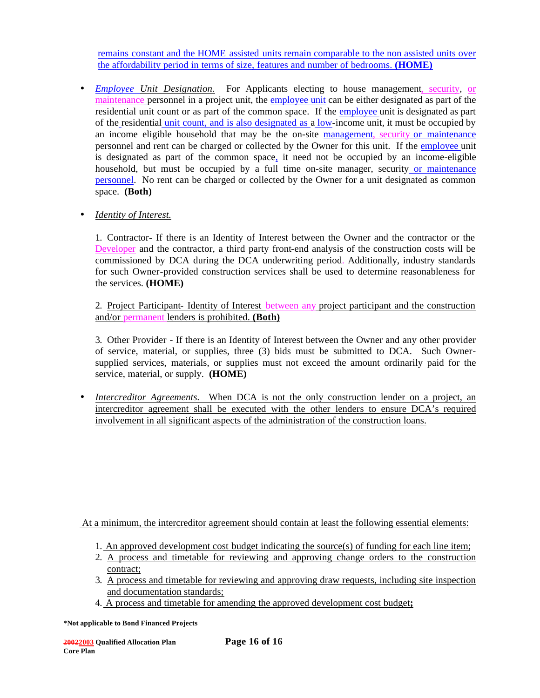remains constant and the HOME assisted units remain comparable to the non assisted units over the affordability period in terms of size, features and number of bedrooms. **(HOME)**

• *Employee Unit Designation*. For Applicants electing to house management, security, or maintenance personnel in a project unit, the employee unit can be either designated as part of the residential unit count or as part of the common space. If the employee unit is designated as part of the residential unit count, and is also designated as a low-income unit, it must be occupied by an income eligible household that may be the on-site management, security or maintenance personnel and rent can be charged or collected by the Owner for this unit. If the employee unit is designated as part of the common space, it need not be occupied by an income-eligible household, but must be occupied by a full time on-site manager, security or maintenance personnel. No rent can be charged or collected by the Owner for a unit designated as common space. **(Both)** 

### • *Identity of Interest.*

1. Contractor- If there is an Identity of Interest between the Owner and the contractor or the Developer and the contractor, a third party front-end analysis of the construction costs will be commissioned by DCA during the DCA underwriting period. Additionally, industry standards for such Owner-provided construction services shall be used to determine reasonableness for the services. **(HOME)**

2. Project Participant- Identity of Interest between any project participant and the construction and/or permanent lenders is prohibited. **(Both)**

3. Other Provider - If there is an Identity of Interest between the Owner and any other provider of service, material, or supplies, three (3) bids must be submitted to DCA. Such Ownersupplied services, materials, or supplies must not exceed the amount ordinarily paid for the service, material, or supply. **(HOME)**

• *Intercreditor Agreements.* When DCA is not the only construction lender on a project, an intercreditor agreement shall be executed with the other lenders to ensure DCA's required involvement in all significant aspects of the administration of the construction loans.

At a minimum, the intercreditor agreement should contain at least the following essential elements:

- 1. An approved development cost budget indicating the source(s) of funding for each line item;
- 2. A process and timetable for reviewing and approving change orders to the construction contract;
- 3. A process and timetable for reviewing and approving draw requests, including site inspection and documentation standards;
- 4. A process and timetable for amending the approved development cost budget**;**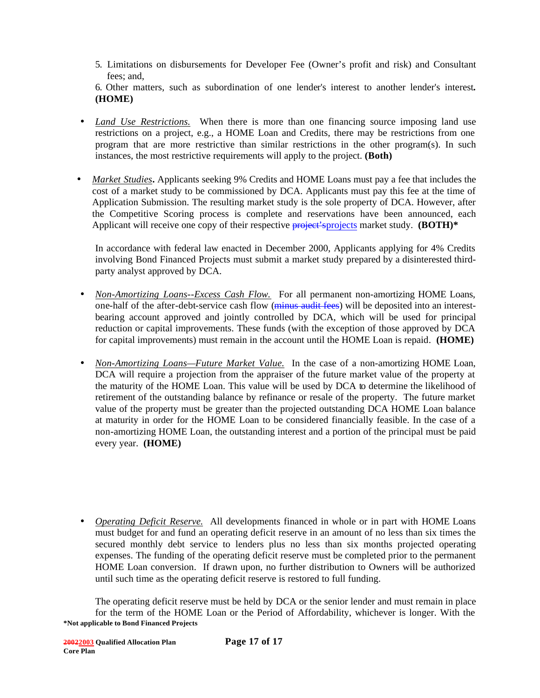5. Limitations on disbursements for Developer Fee (Owner's profit and risk) and Consultant fees; and,

6. Other matters, such as subordination of one lender's interest to another lender's interest*.*  **(HOME)** 

- *Land Use Restrictions.* When there is more than one financing source imposing land use restrictions on a project, e.g., a HOME Loan and Credits, there may be restrictions from one program that are more restrictive than similar restrictions in the other program(s). In such instances, the most restrictive requirements will apply to the project. **(Both)**
- *Market Studies***.** Applicants seeking 9% Credits and HOME Loans must pay a fee that includes the cost of a market study to be commissioned by DCA. Applicants must pay this fee at the time of Application Submission. The resulting market study is the sole property of DCA. However, after the Competitive Scoring process is complete and reservations have been announced, each Applicant will receive one copy of their respective **project's** projects market study. **(BOTH)**\*

In accordance with federal law enacted in December 2000, Applicants applying for 4% Credits involving Bond Financed Projects must submit a market study prepared by a disinterested thirdparty analyst approved by DCA.

- *Non-Amortizing Loans--Excess Cash Flow.* For all permanent non-amortizing HOME Loans, one-half of the after-debt-service cash flow (minus audit fees) will be deposited into an interestbearing account approved and jointly controlled by DCA, which will be used for principal reduction or capital improvements. These funds (with the exception of those approved by DCA for capital improvements) must remain in the account until the HOME Loan is repaid. **(HOME)**
- *Non-Amortizing Loans—Future Market Value.* In the case of a non-amortizing HOME Loan, DCA will require a projection from the appraiser of the future market value of the property at the maturity of the HOME Loan. This value will be used by DCA to determine the likelihood of retirement of the outstanding balance by refinance or resale of the property. The future market value of the property must be greater than the projected outstanding DCA HOME Loan balance at maturity in order for the HOME Loan to be considered financially feasible. In the case of a non-amortizing HOME Loan, the outstanding interest and a portion of the principal must be paid every year. **(HOME)**
- *Operating Deficit Reserve.* All developments financed in whole or in part with HOME Loans must budget for and fund an operating deficit reserve in an amount of no less than six times the secured monthly debt service to lenders plus no less than six months projected operating expenses. The funding of the operating deficit reserve must be completed prior to the permanent HOME Loan conversion. If drawn upon, no further distribution to Owners will be authorized until such time as the operating deficit reserve is restored to full funding.

**\*Not applicable to Bond Financed Projects** The operating deficit reserve must be held by DCA or the senior lender and must remain in place for the term of the HOME Loan or the Period of Affordability, whichever is longer. With the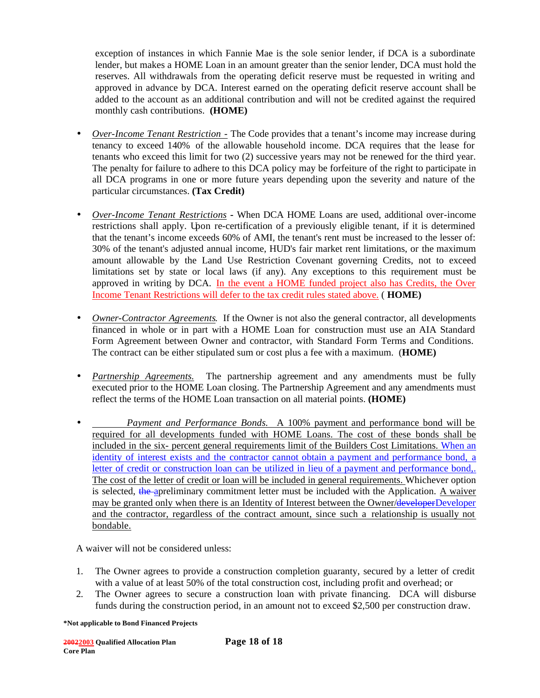exception of instances in which Fannie Mae is the sole senior lender, if DCA is a subordinate lender, but makes a HOME Loan in an amount greater than the senior lender, DCA must hold the reserves. All withdrawals from the operating deficit reserve must be requested in writing and approved in advance by DCA. Interest earned on the operating deficit reserve account shall be added to the account as an additional contribution and will not be credited against the required monthly cash contributions. **(HOME)**

- *Over-Income Tenant Restriction -* The Code provides that a tenant's income may increase during tenancy to exceed 140% of the allowable household income. DCA requires that the lease for tenants who exceed this limit for two (2) successive years may not be renewed for the third year. The penalty for failure to adhere to this DCA policy may be forfeiture of the right to participate in all DCA programs in one or more future years depending upon the severity and nature of the particular circumstances. **(Tax Credit)**
- *Over-Income Tenant Restrictions* **-** When DCA HOME Loans are used, additional over-income restrictions shall apply. Upon re-certification of a previously eligible tenant, if it is determined that the tenant's income exceeds 60% of AMI, the tenant's rent must be increased to the lesser of: 30% of the tenant's adjusted annual income, HUD's fair market rent limitations, or the maximum amount allowable by the Land Use Restriction Covenant governing Credits, not to exceed limitations set by state or local laws (if any). Any exceptions to this requirement must be approved in writing by DCA. In the event a HOME funded project also has Credits, the Over Income Tenant Restrictions will defer to the tax credit rules stated above. ( **HOME)**
- *Owner-Contractor Agreements.* If the Owner is not also the general contractor, all developments financed in whole or in part with a HOME Loan for construction must use an AIA Standard Form Agreement between Owner and contractor, with Standard Form Terms and Conditions. The contract can be either stipulated sum or cost plus a fee with a maximum. (**HOME)**
- *Partnership Agreements.* The partnership agreement and any amendments must be fully executed prior to the HOME Loan closing. The Partnership Agreement and any amendments must reflect the terms of the HOME Loan transaction on all material points. **(HOME)**
- *Payment and Performance Bonds.*A 100% payment and performance bond will be required for all developments funded with HOME Loans. The cost of these bonds shall be included in the six- percent general requirements limit of the Builders Cost Limitations. When an identity of interest exists and the contractor cannot obtain a payment and performance bond, a letter of credit or construction loan can be utilized in lieu of a payment and performance bond,. The cost of the letter of credit or loan will be included in general requirements. Whichever option is selected, the apreliminary commitment letter must be included with the Application. A waiver may be granted only when there is an Identity of Interest between the Owner/developerDeveloper and the contractor, regardless of the contract amount, since such a relationship is usually not bondable.

A waiver will not be considered unless:

- 1. The Owner agrees to provide a construction completion guaranty, secured by a letter of credit with a value of at least 50% of the total construction cost, including profit and overhead; or
- 2. The Owner agrees to secure a construction loan with private financing. DCA will disburse funds during the construction period, in an amount not to exceed \$2,500 per construction draw.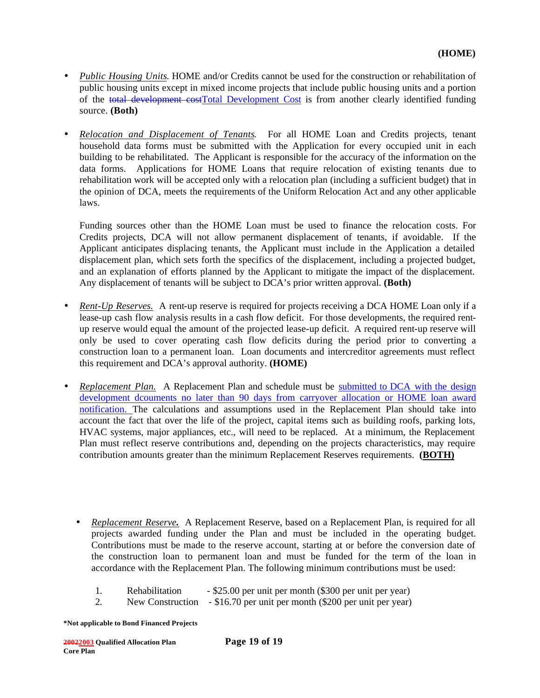- *Public Housing Units*. HOME and/or Credits cannot be used for the construction or rehabilitation of public housing units except in mixed income projects that include public housing units and a portion of the total development costTotal Development Cost is from another clearly identified funding source. **(Both)**
- *Relocation and Displacement of Tenants.*For all HOME Loan and Credits projects, tenant household data forms must be submitted with the Application for every occupied unit in each building to be rehabilitated. The Applicant is responsible for the accuracy of the information on the data forms. Applications for HOME Loans that require relocation of existing tenants due to rehabilitation work will be accepted only with a relocation plan (including a sufficient budget) that in the opinion of DCA, meets the requirements of the Uniform Relocation Act and any other applicable laws.

Funding sources other than the HOME Loan must be used to finance the relocation costs. For Credits projects, DCA will not allow permanent displacement of tenants, if avoidable. If the Applicant anticipates displacing tenants, the Applicant must include in the Application a detailed displacement plan, which sets forth the specifics of the displacement, including a projected budget, and an explanation of efforts planned by the Applicant to mitigate the impact of the displacement. Any displacement of tenants will be subject to DCA's prior written approval. **(Both)**

- *Rent-Up Reserves.* A rent-up reserve is required for projects receiving a DCA HOME Loan only if a lease-up cash flow analysis results in a cash flow deficit. For those developments, the required rentup reserve would equal the amount of the projected lease-up deficit. A required rent-up reserve will only be used to cover operating cash flow deficits during the period prior to converting a construction loan to a permanent loan. Loan documents and intercreditor agreements must reflect this requirement and DCA's approval authority. **(HOME)**
- *Replacement Plan.* A Replacement Plan and schedule must be submitted to DCA with the design development dcouments no later than 90 days from carryover allocation or HOME loan award notification. The calculations and assumptions used in the Replacement Plan should take into account the fact that over the life of the project, capital items such as building roofs, parking lots, HVAC systems, major appliances, etc., will need to be replaced. At a minimum, the Replacement Plan must reflect reserve contributions and, depending on the projects characteristics, may require contribution amounts greater than the minimum Replacement Reserves requirements. **(BOTH)**
	- *Replacement Reserve.*A Replacement Reserve, based on a Replacement Plan, is required for all projects awarded funding under the Plan and must be included in the operating budget. Contributions must be made to the reserve account, starting at or before the conversion date of the construction loan to permanent loan and must be funded for the term of the loan in accordance with the Replacement Plan. The following minimum contributions must be used:
		- 1. Rehabilitation \$25.00 per unit per month (\$300 per unit per year)
		- 2. New Construction \$16.70 per unit per month (\$200 per unit per year)

**<sup>\*</sup>Not applicable to Bond Financed Projects**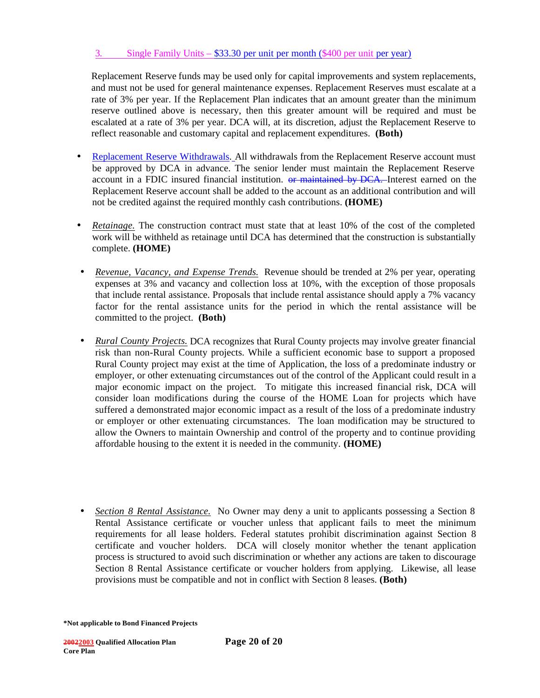### 3. Single Family Units – \$33.30 per unit per month (\$400 per unit per year)

Replacement Reserve funds may be used only for capital improvements and system replacements, and must not be used for general maintenance expenses. Replacement Reserves must escalate at a rate of 3% per year. If the Replacement Plan indicates that an amount greater than the minimum reserve outlined above is necessary, then this greater amount will be required and must be escalated at a rate of 3% per year. DCA will, at its discretion, adjust the Replacement Reserve to reflect reasonable and customary capital and replacement expenditures. **(Both)**

- Replacement Reserve Withdrawals. All withdrawals from the Replacement Reserve account must be approved by DCA in advance. The senior lender must maintain the Replacement Reserve account in a FDIC insured financial institution. <del>or maintained by DCA.</del> Interest earned on the Replacement Reserve account shall be added to the account as an additional contribution and will not be credited against the required monthly cash contributions. **(HOME)**
- *Retainage.* The construction contract must state that at least 10% of the cost of the completed work will be withheld as retainage until DCA has determined that the construction is substantially complete. **(HOME)**
- *Revenue, Vacancy, and Expense Trends.* Revenue should be trended at 2% per year, operating expenses at 3% and vacancy and collection loss at 10%, with the exception of those proposals that include rental assistance. Proposals that include rental assistance should apply a 7% vacancy factor for the rental assistance units for the period in which the rental assistance will be committed to the project. **(Both)**
- *Rural County Projects.* DCA recognizes that Rural County projects may involve greater financial risk than non-Rural County projects. While a sufficient economic base to support a proposed Rural County project may exist at the time of Application, the loss of a predominate industry or employer, or other extenuating circumstances out of the control of the Applicant could result in a major economic impact on the project. To mitigate this increased financial risk, DCA will consider loan modifications during the course of the HOME Loan for projects which have suffered a demonstrated major economic impact as a result of the loss of a predominate industry or employer or other extenuating circumstances. The loan modification may be structured to allow the Owners to maintain Ownership and control of the property and to continue providing affordable housing to the extent it is needed in the community. **(HOME)**
- *Section 8 Rental Assistance.* No Owner may deny a unit to applicants possessing a Section 8 Rental Assistance certificate or voucher unless that applicant fails to meet the minimum requirements for all lease holders. Federal statutes prohibit discrimination against Section 8 certificate and voucher holders. DCA will closely monitor whether the tenant application process is structured to avoid such discrimination or whether any actions are taken to discourage Section 8 Rental Assistance certificate or voucher holders from applying. Likewise, all lease provisions must be compatible and not in conflict with Section 8 leases. **(Both)**

**<sup>\*</sup>Not applicable to Bond Financed Projects**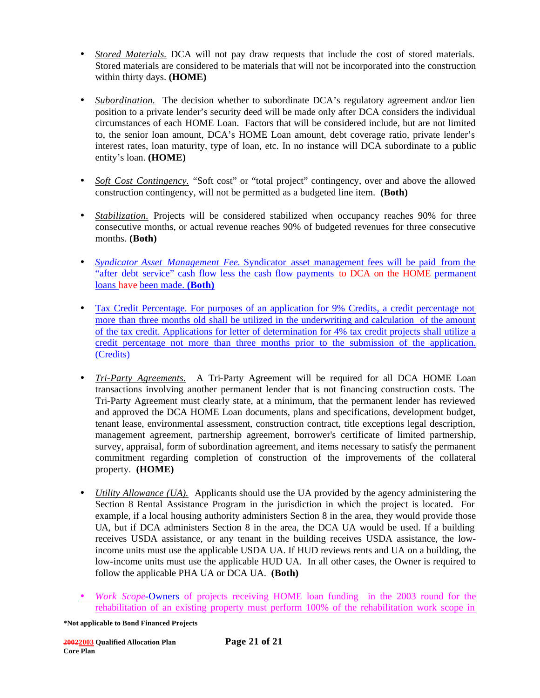- *Stored Materials.* DCA will not pay draw requests that include the cost of stored materials. Stored materials are considered to be materials that will not be incorporated into the construction within thirty days. **(HOME)**
- *Subordination*. The decision whether to subordinate DCA's regulatory agreement and/or lien position to a private lender's security deed will be made only after DCA considers the individual circumstances of each HOME Loan. Factors that will be considered include, but are not limited to, the senior loan amount, DCA's HOME Loan amount, debt coverage ratio, private lender's interest rates, loan maturity, type of loan, etc. In no instance will DCA subordinate to a public entity's loan. **(HOME)**
- *Soft Cost Contingency.* "Soft cost" or "total project" contingency, over and above the allowed construction contingency, will not be permitted as a budgeted line item. **(Both)**
- *Stabilization.* Projects will be considered stabilized when occupancy reaches 90% for three consecutive months, or actual revenue reaches 90% of budgeted revenues for three consecutive months. **(Both)**
- *Syndicator Asset Management Fee.* Syndicator asset management fees will be paid from the "after debt service" cash flow less the cash flow payments to DCA on the HOME permanent loans have been made. **(Both)**
- Tax Credit Percentage. For purposes of an application for 9% Credits, a credit percentage not more than three months old shall be utilized in the underwriting and calculation of the amount of the tax credit. Applications for letter of determination for 4% tax credit projects shall utilize a credit percentage not more than three months prior to the submission of the application. (Credits)
- *Tri-Party Agreements.* A Tri-Party Agreement will be required for all DCA HOME Loan transactions involving another permanent lender that is not financing construction costs. The Tri-Party Agreement must clearly state, at a minimum, that the permanent lender has reviewed and approved the DCA HOME Loan documents, plans and specifications, development budget, tenant lease, environmental assessment, construction contract, title exceptions legal description, management agreement, partnership agreement, borrower's certificate of limited partnership, survey, appraisal, form of subordination agreement, and items necessary to satisfy the permanent commitment regarding completion of construction of the improvements of the collateral property. **(HOME)**
- *Utility Allowance (UA).* Applicants should use the UA provided by the agency administering the Section 8 Rental Assistance Program in the jurisdiction in which the project is located. For example, if a local housing authority administers Section 8 in the area, they would provide those UA, but if DCA administers Section 8 in the area, the DCA UA would be used. If a building receives USDA assistance, or any tenant in the building receives USDA assistance, the lowincome units must use the applicable USDA UA. If HUD reviews rents and UA on a building, the low-income units must use the applicable HUD UA. In all other cases, the Owner is required to follow the applicable PHA UA or DCA UA. **(Both)**
- *Work Scope-*Owners of projects receiving HOME loan funding in the 2003 round for the rehabilitation of an existing property must perform 100% of the rehabilitation work scope in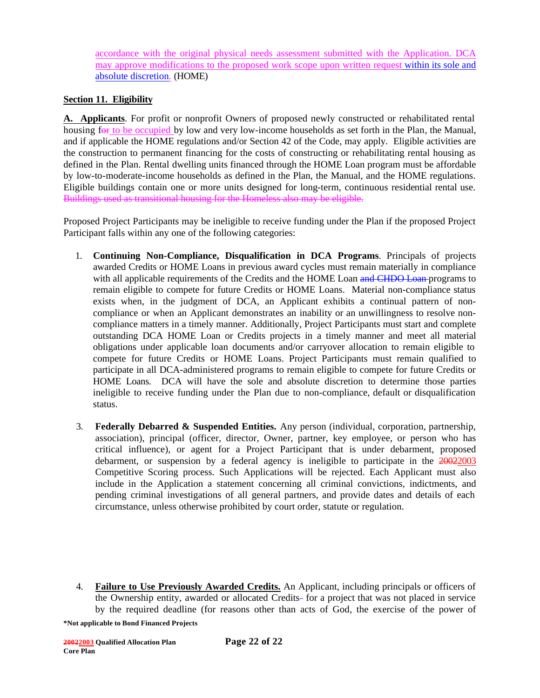accordance with the original physical needs assessment submitted with the Application. DCA may approve modifications to the proposed work scope upon written request within its sole and absolute discretion. (HOME)

## **Section 11. Eligibility**

**A. Applicants**. For profit or nonprofit Owners of proposed newly constructed or rehabilitated rental housing for to be occupied by low and very low-income households as set forth in the Plan, the Manual, and if applicable the HOME regulations and/or Section 42 of the Code, may apply. Eligible activities are the construction to permanent financing for the costs of constructing or rehabilitating rental housing as defined in the Plan. Rental dwelling units financed through the HOME Loan program must be affordable by low-to-moderate-income households as defined in the Plan, the Manual, and the HOME regulations. Eligible buildings contain one or more units designed for long-term, continuous residential rental use. Buildings used as transitional housing for the Homeless also may be eligible.

Proposed Project Participants may be ineligible to receive funding under the Plan if the proposed Project Participant falls within any one of the following categories:

- 1. **Continuing Non-Compliance, Disqualification in DCA Programs**. Principals of projects awarded Credits or HOME Loans in previous award cycles must remain materially in compliance with all applicable requirements of the Credits and the HOME Loan and CHDO Loan programs to remain eligible to compete for future Credits or HOME Loans. Material non-compliance status exists when, in the judgment of DCA, an Applicant exhibits a continual pattern of noncompliance or when an Applicant demonstrates an inability or an unwillingness to resolve noncompliance matters in a timely manner. Additionally, Project Participants must start and complete outstanding DCA HOME Loan or Credits projects in a timely manner and meet all material obligations under applicable loan documents and/or carryover allocation to remain eligible to compete for future Credits or HOME Loans. Project Participants must remain qualified to participate in all DCA-administered programs to remain eligible to compete for future Credits or HOME Loans. DCA will have the sole and absolute discretion to determine those parties ineligible to receive funding under the Plan due to non-compliance, default or disqualification status.
- 3. **Federally Debarred & Suspended Entities.** Any person (individual, corporation, partnership, association), principal (officer, director, Owner, partner, key employee, or person who has critical influence), or agent for a Project Participant that is under debarment, proposed debarment, or suspension by a federal agency is ineligible to participate in the  $20022003$ Competitive Scoring process. Such Applications will be rejected. Each Applicant must also include in the Application a statement concerning all criminal convictions, indictments, and pending criminal investigations of all general partners, and provide dates and details of each circumstance, unless otherwise prohibited by court order, statute or regulation.
- 4. **Failure to Use Previously Awarded Credits.** An Applicant, including principals or officers of the Ownership entity, awarded or allocated Credits-for a project that was not placed in service by the required deadline (for reasons other than acts of God, the exercise of the power of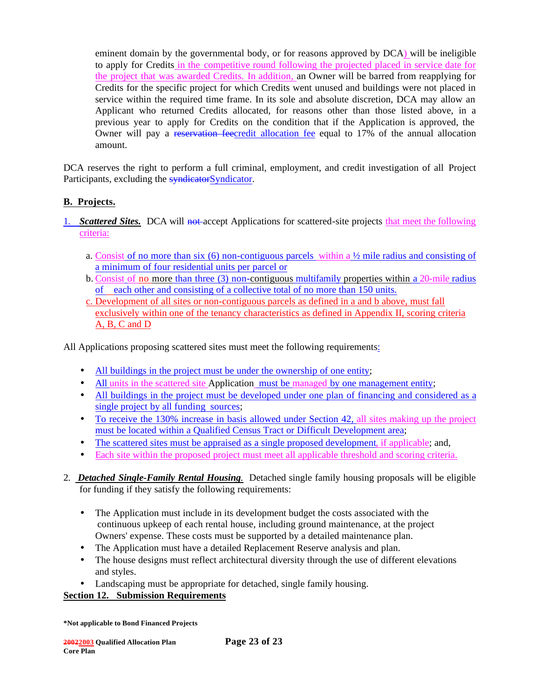eminent domain by the governmental body, or for reasons approved by DCA) will be ineligible to apply for Credits in the competitive round following the projected placed in service date for the project that was awarded Credits. In addition, an Owner will be barred from reapplying for Credits for the specific project for which Credits went unused and buildings were not placed in service within the required time frame. In its sole and absolute discretion, DCA may allow an Applicant who returned Credits allocated, for reasons other than those listed above, in a previous year to apply for Credits on the condition that if the Application is approved, the Owner will pay a reservation feecredit allocation fee equal to 17% of the annual allocation amount.

DCA reserves the right to perform a full criminal, employment, and credit investigation of all Project Participants, excluding the **syndicator**Syndicator.

# **B. Projects.**

- 1. *Scattered Sites.*DCA will not accept Applications for scattered-site projects that meet the following criteria:
	- a. Consist of no more than six  $(6)$  non-contiguous parcels within a  $\frac{1}{2}$  mile radius and consisting of a minimum of four residential units per parcel or
	- b. Consist of no more than three (3) non-contiguous multifamily properties within a 20-mile radius of each other and consisting of a collective total of no more than 150 units.
	- c. Development of all sites or non-contiguous parcels as defined in a and b above, must fall exclusively within one of the tenancy characteristics as defined in Appendix II, scoring criteria A, B, C and D

All Applications proposing scattered sites must meet the following requirements:

- All buildings in the project must be under the ownership of one entity;
- All units in the scattered site Application must be managed by one management entity;
- All buildings in the project must be developed under one plan of financing and considered as a single project by all funding sources;
- To receive the 130% increase in basis allowed under Section 42, all sites making up the project must be located within a Qualified Census Tract or Difficult Development area;
- The scattered sites must be appraised as a single proposed development, if applicable; and,
- Each site within the proposed project must meet all applicable threshold and scoring criteria.
- 2. *Detached Single-Family Rental Housing.* Detached single family housing proposals will be eligible for funding if they satisfy the following requirements:
	- The Application must include in its development budget the costs associated with the continuous upkeep of each rental house, including ground maintenance, at the project Owners' expense. These costs must be supported by a detailed maintenance plan.
	- The Application must have a detailed Replacement Reserve analysis and plan.
	- The house designs must reflect architectural diversity through the use of different elevations and styles.
	- Landscaping must be appropriate for detached, single family housing.

### **Section 12. Submission Requirements**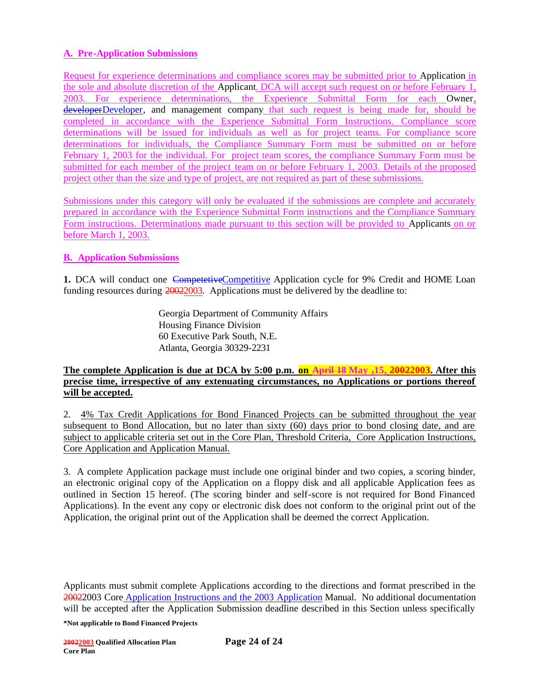## **A. Pre-Application Submissions**

Request for experience determinations and compliance scores may be submitted prior to Application in the sole and absolute discretion of the Applicant. DCA will accept such request on or before February 1, 2003. For experience determinations, the Experience Submittal Form for each Owner, developerDeveloper, and management company that such request is being made for, should be completed in accordance with the Experience Submittal Form Instructions. Compliance score determinations will be issued for individuals as well as for project teams. For compliance score determinations for individuals, the Compliance Summary Form must be submitted on or before February 1, 2003 for the individual. For project team scores, the compliance Summary Form must be submitted for each member of the project team on or before February 1, 2003. Details of the proposed project other than the size and type of project, are not required as part of these submissions.

Submissions under this category will only be evaluated if the submissions are complete and accurately prepared in accordance with the Experience Submittal Form instructions and the Compliance Summary Form instructions. Determinations made pursuant to this section will be provided to Applicants on or before March 1, 2003.

### **B. Application Submissions**

**1.** DCA will conduct one CompetetiveCompetitive Application cycle for 9% Credit and HOME Loan funding resources during 20022003. Applications must be delivered by the deadline to:

> Georgia Department of Community Affairs Housing Finance Division 60 Executive Park South, N.E. Atlanta, Georgia 30329-2231

#### **The complete Application is due at DCA by 5:00 p.m. on April 18 May ,15, 20022003. After this precise time, irrespective of any extenuating circumstances, no Applications or portions thereof will be accepted.**

2. 4% Tax Credit Applications for Bond Financed Projects can be submitted throughout the year subsequent to Bond Allocation, but no later than sixty (60) days prior to bond closing date, and are subject to applicable criteria set out in the Core Plan, Threshold Criteria, Core Application Instructions, Core Application and Application Manual.

3. A complete Application package must include one original binder and two copies, a scoring binder, an electronic original copy of the Application on a floppy disk and all applicable Application fees as outlined in Section 15 hereof. (The scoring binder and self-score is not required for Bond Financed Applications). In the event any copy or electronic disk does not conform to the original print out of the Application, the original print out of the Application shall be deemed the correct Application.

Applicants must submit complete Applications according to the directions and format prescribed in the 20022003 Core Application Instructions and the 2003 Application Manual.No additional documentation will be accepted after the Application Submission deadline described in this Section unless specifically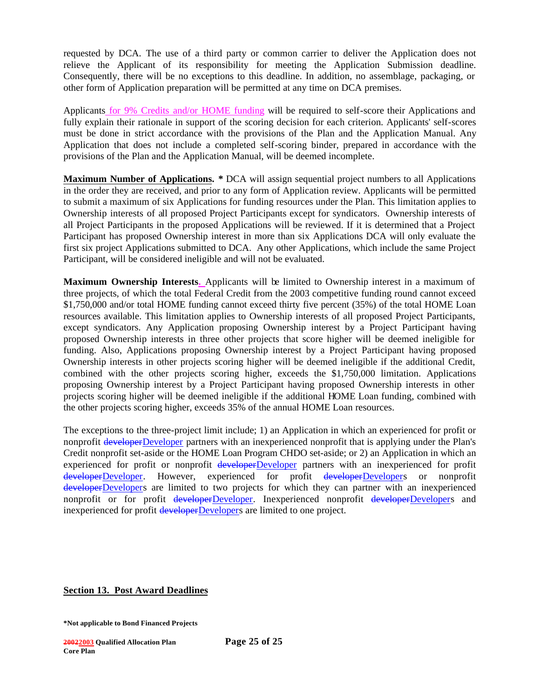requested by DCA. The use of a third party or common carrier to deliver the Application does not relieve the Applicant of its responsibility for meeting the Application Submission deadline. Consequently, there will be no exceptions to this deadline. In addition, no assemblage, packaging, or other form of Application preparation will be permitted at any time on DCA premises.

Applicants for 9% Credits and/or HOME funding will be required to self-score their Applications and fully explain their rationale in support of the scoring decision for each criterion. Applicants' self-scores must be done in strict accordance with the provisions of the Plan and the Application Manual. Any Application that does not include a completed self-scoring binder, prepared in accordance with the provisions of the Plan and the Application Manual, will be deemed incomplete.

**Maximum Number of Applications. \*** DCA will assign sequential project numbers to all Applications in the order they are received, and prior to any form of Application review. Applicants will be permitted to submit a maximum of six Applications for funding resources under the Plan. This limitation applies to Ownership interests of all proposed Project Participants except for syndicators. Ownership interests of all Project Participants in the proposed Applications will be reviewed. If it is determined that a Project Participant has proposed Ownership interest in more than six Applications DCA will only evaluate the first six project Applications submitted to DCA. Any other Applications, which include the same Project Participant, will be considered ineligible and will not be evaluated.

**Maximum Ownership Interests.** Applicants will be limited to Ownership interest in a maximum of three projects, of which the total Federal Credit from the 2003 competitive funding round cannot exceed \$1,750,000 and/or total HOME funding cannot exceed thirty five percent (35%) of the total HOME Loan resources available. This limitation applies to Ownership interests of all proposed Project Participants, except syndicators. Any Application proposing Ownership interest by a Project Participant having proposed Ownership interests in three other projects that score higher will be deemed ineligible for funding. Also, Applications proposing Ownership interest by a Project Participant having proposed Ownership interests in other projects scoring higher will be deemed ineligible if the additional Credit, combined with the other projects scoring higher, exceeds the \$1,750,000 limitation. Applications proposing Ownership interest by a Project Participant having proposed Ownership interests in other projects scoring higher will be deemed ineligible if the additional HOME Loan funding, combined with the other projects scoring higher, exceeds 35% of the annual HOME Loan resources.

The exceptions to the three-project limit include; 1) an Application in which an experienced for profit or nonprofit developerDeveloper partners with an inexperienced nonprofit that is applying under the Plan's Credit nonprofit set-aside or the HOME Loan Program CHDO set-aside; or 2) an Application in which an experienced for profit or nonprofit developerDeveloper partners with an inexperienced for profit developerDeveloper. However, experienced for profit developerDevelopers or nonprofit developerDevelopers are limited to two projects for which they can partner with an inexperienced nonprofit or for profit developerDeveloper. Inexperienced nonprofit developerDevelopers and inexperienced for profit developerDevelopers are limited to one project.

#### **Section 13. Post Award Deadlines**

**<sup>\*</sup>Not applicable to Bond Financed Projects**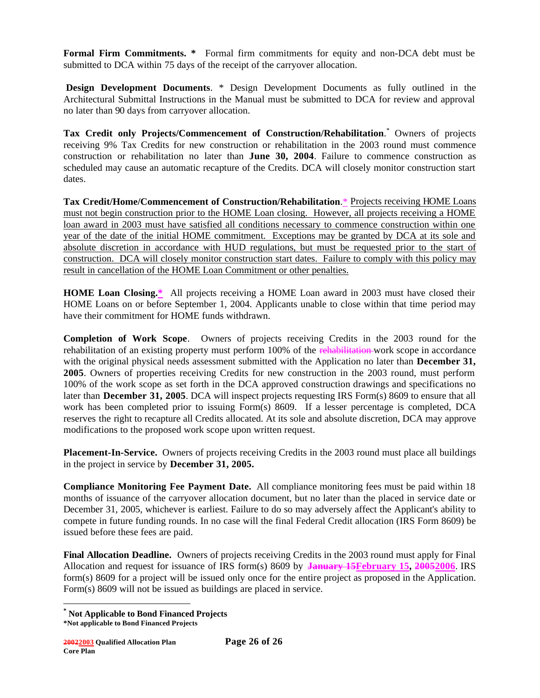**Formal Firm Commitments. \*** Formal firm commitments for equity and non-DCA debt must be submitted to DCA within 75 days of the receipt of the carryover allocation.

 **Design Development Documents**. \* Design Development Documents as fully outlined in the Architectural Submittal Instructions in the Manual must be submitted to DCA for review and approval no later than 90 days from carryover allocation.

**Tax Credit only Projects/Commencement of Construction/Rehabilitation**. \* Owners of projects receiving 9% Tax Credits for new construction or rehabilitation in the 2003 round must commence construction or rehabilitation no later than **June 30, 2004**. Failure to commence construction as scheduled may cause an automatic recapture of the Credits. DCA will closely monitor construction start dates.

**Tax Credit/Home/Commencement of Construction/Rehabilitation**.\* Projects receiving HOME Loans must not begin construction prior to the HOME Loan closing. However, all projects receiving a HOME loan award in 2003 must have satisfied all conditions necessary to commence construction within one year of the date of the initial HOME commitment. Exceptions may be granted by DCA at its sole and absolute discretion in accordance with HUD regulations, but must be requested prior to the start of construction. DCA will closely monitor construction start dates. Failure to comply with this policy may result in cancellation of the HOME Loan Commitment or other penalties.

**HOME Loan Closing.\*** All projects receiving a HOME Loan award in 2003 must have closed their HOME Loans on or before September 1, 2004. Applicants unable to close within that time period may have their commitment for HOME funds withdrawn.

**Completion of Work Scope**. Owners of projects receiving Credits in the 2003 round for the rehabilitation of an existing property must perform 100% of the rehabilitation work scope in accordance with the original physical needs assessment submitted with the Application no later than **December 31, 2005**. Owners of properties receiving Credits for new construction in the 2003 round, must perform 100% of the work scope as set forth in the DCA approved construction drawings and specifications no later than **December 31, 2005**. DCA will inspect projects requesting IRS Form(s) 8609 to ensure that all work has been completed prior to issuing Form(s) 8609. If a lesser percentage is completed, DCA reserves the right to recapture all Credits allocated. At its sole and absolute discretion, DCA may approve modifications to the proposed work scope upon written request.

**Placement-In-Service.** Owners of projects receiving Credits in the 2003 round must place all buildings in the project in service by **December 31, 2005.**

**Compliance Monitoring Fee Payment Date.** All compliance monitoring fees must be paid within 18 months of issuance of the carryover allocation document, but no later than the placed in service date or December 31, 2005, whichever is earliest. Failure to do so may adversely affect the Applicant's ability to compete in future funding rounds. In no case will the final Federal Credit allocation (IRS Form 8609) be issued before these fees are paid.

**Final Allocation Deadline.** Owners of projects receiving Credits in the 2003 round must apply for Final Allocation and request for issuance of IRS form(s) 8609 by **January 15February 15, 20052006**. IRS form(s) 8609 for a project will be issued only once for the entire project as proposed in the Application. Form(s) 8609 will not be issued as buildings are placed in service.

**<sup>\*</sup> Not Applicable to Bond Financed Projects**

**<sup>\*</sup>Not applicable to Bond Financed Projects**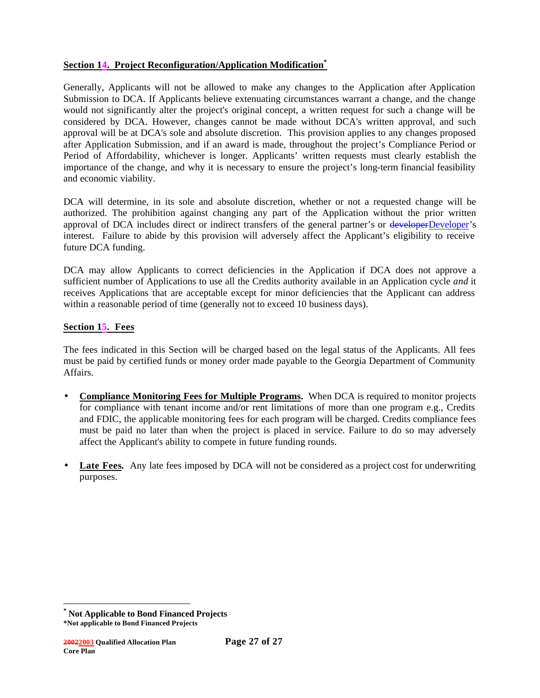### **Section 14. Project Reconfiguration/Application Modification\***

Generally, Applicants will not be allowed to make any changes to the Application after Application Submission to DCA. If Applicants believe extenuating circumstances warrant a change, and the change would not significantly alter the project's original concept, a written request for such a change will be considered by DCA. However, changes cannot be made without DCA's written approval, and such approval will be at DCA's sole and absolute discretion. This provision applies to any changes proposed after Application Submission, and if an award is made, throughout the project's Compliance Period or Period of Affordability, whichever is longer. Applicants' written requests must clearly establish the importance of the change, and why it is necessary to ensure the project's long-term financial feasibility and economic viability.

DCA will determine, in its sole and absolute discretion, whether or not a requested change will be authorized. The prohibition against changing any part of the Application without the prior written approval of DCA includes direct or indirect transfers of the general partner's or developerDeveloper's interest. Failure to abide by this provision will adversely affect the Applicant's eligibility to receive future DCA funding.

DCA may allow Applicants to correct deficiencies in the Application if DCA does not approve a sufficient number of Applications to use all the Credits authority available in an Application cycle *and* it receives Applications that are acceptable except for minor deficiencies that the Applicant can address within a reasonable period of time (generally not to exceed 10 business days).

### **Section 15. Fees**

The fees indicated in this Section will be charged based on the legal status of the Applicants. All fees must be paid by certified funds or money order made payable to the Georgia Department of Community Affairs.

- **Compliance Monitoring Fees for Multiple Programs.** When DCA is required to monitor projects for compliance with tenant income and/or rent limitations of more than one program e.g., Credits and FDIC, the applicable monitoring fees for each program will be charged. Credits compliance fees must be paid no later than when the project is placed in service. Failure to do so may adversely affect the Applicant's ability to compete in future funding rounds.
- **Late Fees.** Any late fees imposed by DCA will not be considered as a project cost for underwriting purposes.

**<sup>\*</sup> Not Applicable to Bond Financed Projects**

**<sup>\*</sup>Not applicable to Bond Financed Projects**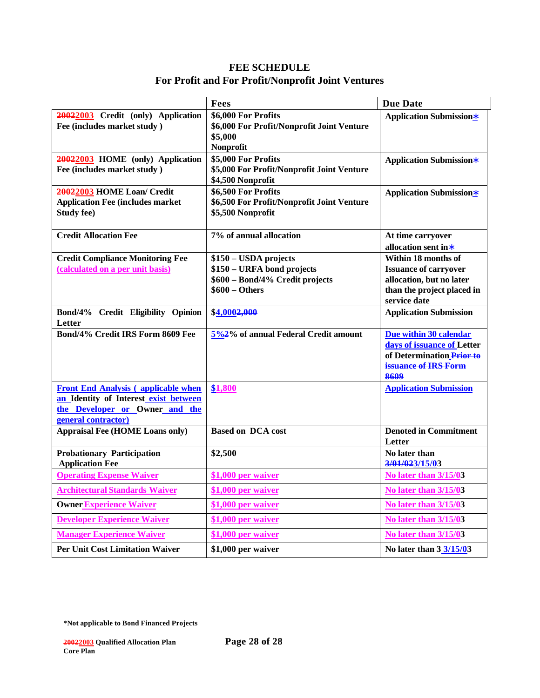# **FEE SCHEDULE For Profit and For Profit/Nonprofit Joint Ventures**

|                                                       | Fees                                       | <b>Due Date</b>                    |
|-------------------------------------------------------|--------------------------------------------|------------------------------------|
| 20022003 Credit (only) Application                    | \$6,000 For Profits                        | <b>Application Submission*</b>     |
| Fee (includes market study)                           | \$6,000 For Profit/Nonprofit Joint Venture |                                    |
|                                                       | \$5,000                                    |                                    |
| 20022003 HOME (only) Application                      | Nonprofit<br>\$5,000 For Profits           |                                    |
| Fee (includes market study)                           | \$5,000 For Profit/Nonprofit Joint Venture | <b>Application Submission*</b>     |
|                                                       | \$4,500 Nonprofit                          |                                    |
| 20022003 HOME Loan/ Credit                            | \$6,500 For Profits                        | <b>Application Submission*</b>     |
| <b>Application Fee (includes market</b>               | \$6,500 For Profit/Nonprofit Joint Venture |                                    |
| <b>Study fee)</b>                                     | \$5,500 Nonprofit                          |                                    |
| <b>Credit Allocation Fee</b>                          | 7% of annual allocation                    | At time carryover                  |
|                                                       |                                            | allocation sent in*                |
| <b>Credit Compliance Monitoring Fee</b>               | \$150 - USDA projects                      | Within 18 months of                |
| (calculated on a per unit basis)                      | \$150 - URFA bond projects                 | <b>Issuance of carryover</b>       |
|                                                       | \$600 - Bond/4% Credit projects            | allocation, but no later           |
|                                                       | $$600 - Others$                            | than the project placed in         |
|                                                       |                                            | service date                       |
| Bond/4% Credit Eligibility Opinion<br>Letter          | \$4,0002,000                               | <b>Application Submission</b>      |
| Bond/4% Credit IRS Form 8609 Fee                      | 5%2% of annual Federal Credit amount       | Due within 30 calendar             |
|                                                       |                                            | days of issuance of Letter         |
|                                                       |                                            | of Determination Prior to          |
|                                                       |                                            | issuance of IRS Form               |
|                                                       |                                            | 8609                               |
| <b>Front End Analysis (applicable when</b>            | \$1,800                                    | <b>Application Submission</b>      |
| an Identity of Interest exist between                 |                                            |                                    |
| the Developer or Owner and the<br>general contractor) |                                            |                                    |
| <b>Appraisal Fee (HOME Loans only)</b>                | <b>Based on DCA cost</b>                   | <b>Denoted in Commitment</b>       |
|                                                       |                                            | Letter                             |
| <b>Probationary Participation</b>                     | \$2,500                                    | No later than                      |
| <b>Application Fee</b>                                |                                            | 3/01/023/15/03                     |
| <b>Operating Expense Waiver</b>                       | \$1,000 per waiver                         | <b>No later than 3/15/03</b>       |
| <b>Architectural Standards Waiver</b>                 | \$1,000 per waiver                         | No later than 3/15/03              |
| <b>Owner Experience Waiver</b>                        | \$1,000 per waiver                         | <b>No later than 3/15/03</b>       |
| <b>Developer Experience Waiver</b>                    | \$1,000 per waiver                         | <b>No later than 3/15/03</b>       |
| <b>Manager Experience Waiver</b>                      | \$1,000 per waiver                         | <b>No later than 3/15/03</b>       |
| <b>Per Unit Cost Limitation Waiver</b>                | \$1,000 per waiver                         | No later than $3 \frac{3}{15}{03}$ |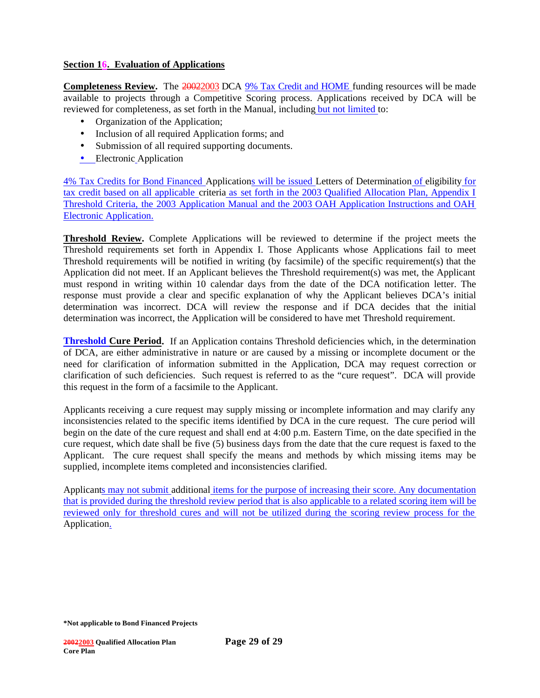### **Section 16. Evaluation of Applications**

**Completeness Review.** The 20022003 DCA 9% Tax Credit and HOME funding resources will be made available to projects through a Competitive Scoring process. Applications received by DCA will be reviewed for completeness, as set forth in the Manual, including but not limited to:

- Organization of the Application;
- Inclusion of all required Application forms; and
- Submission of all required supporting documents.
- Electronic Application

4% Tax Credits for Bond Financed Applications will be issued Letters of Determination of eligibility for tax credit based on all applicable criteria as set forth in the 2003 Qualified Allocation Plan, Appendix I Threshold Criteria, the 2003 Application Manual and the 2003 OAH Application Instructions and OAH Electronic Application.

**Threshold Review.** Complete Applications will be reviewed to determine if the project meets the Threshold requirements set forth in Appendix I. Those Applicants whose Applications fail to meet Threshold requirements will be notified in writing (by facsimile) of the specific requirement(s) that the Application did not meet. If an Applicant believes the Threshold requirement(s) was met, the Applicant must respond in writing within 10 calendar days from the date of the DCA notification letter. The response must provide a clear and specific explanation of why the Applicant believes DCA's initial determination was incorrect. DCA will review the response and if DCA decides that the initial determination was incorrect, the Application will be considered to have met Threshold requirement.

**Threshold Cure Period.** If an Application contains Threshold deficiencies which, in the determination of DCA, are either administrative in nature or are caused by a missing or incomplete document or the need for clarification of information submitted in the Application, DCA may request correction or clarification of such deficiencies. Such request is referred to as the "cure request". DCA will provide this request in the form of a facsimile to the Applicant.

Applicants receiving a cure request may supply missing or incomplete information and may clarify any inconsistencies related to the specific items identified by DCA in the cure request. The cure period will begin on the date of the cure request and shall end at 4:00 p.m. Eastern Time, on the date specified in the cure request, which date shall be five (5) business days from the date that the cure request is faxed to the Applicant. The cure request shall specify the means and methods by which missing items may be supplied, incomplete items completed and inconsistencies clarified.

Applicants may not submit additional items for the purpose of increasing their score. Any documentation that is provided during the threshold review period that is also applicable to a related scoring item will be reviewed only for threshold cures and will not be utilized during the scoring review process for the Application.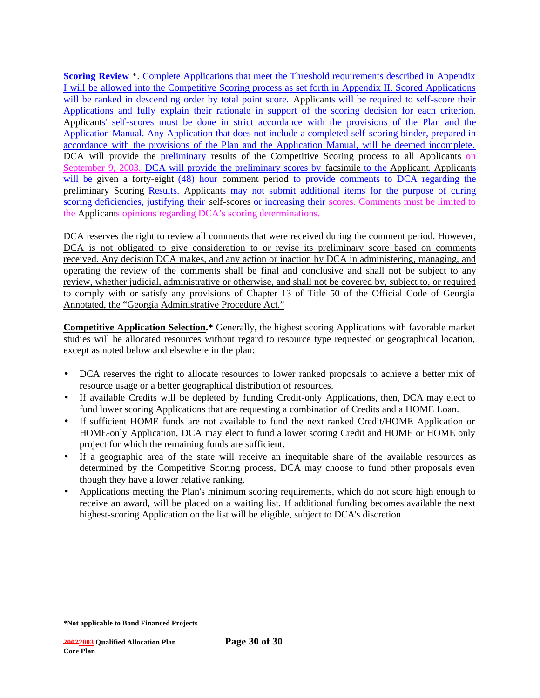**Scoring Review** \*. Complete Applications that meet the Threshold requirements described in Appendix I will be allowed into the Competitive Scoring process as set forth in Appendix II. Scored Applications will be ranked in descending order by total point score. Applicants will be required to self-score their Applications and fully explain their rationale in support of the scoring decision for each criterion. Applicants' self-scores must be done in strict accordance with the provisions of the Plan and the Application Manual. Any Application that does not include a completed self-scoring binder, prepared in accordance with the provisions of the Plan and the Application Manual, will be deemed incomplete. DCA will provide the preliminary results of the Competitive Scoring process to all Applicants on September 9, 2003. DCA will provide the preliminary scores by facsimile to the Applicant. Applicants will be given a forty-eight (48) hour comment period to provide comments to DCA regarding the preliminary Scoring Results. Applicants may not submit additional items for the purpose of curing scoring deficiencies, justifying their self-scores or increasing their scores. Comments must be limited to the Applicants opinions regarding DCA's scoring determinations.

DCA reserves the right to review all comments that were received during the comment period. However, DCA is not obligated to give consideration to or revise its preliminary score based on comments received. Any decision DCA makes, and any action or inaction by DCA in administering, managing, and operating the review of the comments shall be final and conclusive and shall not be subject to any review, whether judicial, administrative or otherwise, and shall not be covered by, subject to, or required to comply with or satisfy any provisions of Chapter 13 of Title 50 of the Official Code of Georgia Annotated, the "Georgia Administrative Procedure Act."

**Competitive Application Selection.\*** Generally, the highest scoring Applications with favorable market studies will be allocated resources without regard to resource type requested or geographical location, except as noted below and elsewhere in the plan:

- DCA reserves the right to allocate resources to lower ranked proposals to achieve a better mix of resource usage or a better geographical distribution of resources.
- If available Credits will be depleted by funding Credit-only Applications, then, DCA may elect to fund lower scoring Applications that are requesting a combination of Credits and a HOME Loan.
- If sufficient HOME funds are not available to fund the next ranked Credit/HOME Application or HOME-only Application, DCA may elect to fund a lower scoring Credit and HOME or HOME only project for which the remaining funds are sufficient.
- If a geographic area of the state will receive an inequitable share of the available resources as determined by the Competitive Scoring process, DCA may choose to fund other proposals even though they have a lower relative ranking.
- Applications meeting the Plan's minimum scoring requirements, which do not score high enough to receive an award, will be placed on a waiting list. If additional funding becomes available the next highest-scoring Application on the list will be eligible, subject to DCA's discretion.

**<sup>\*</sup>Not applicable to Bond Financed Projects**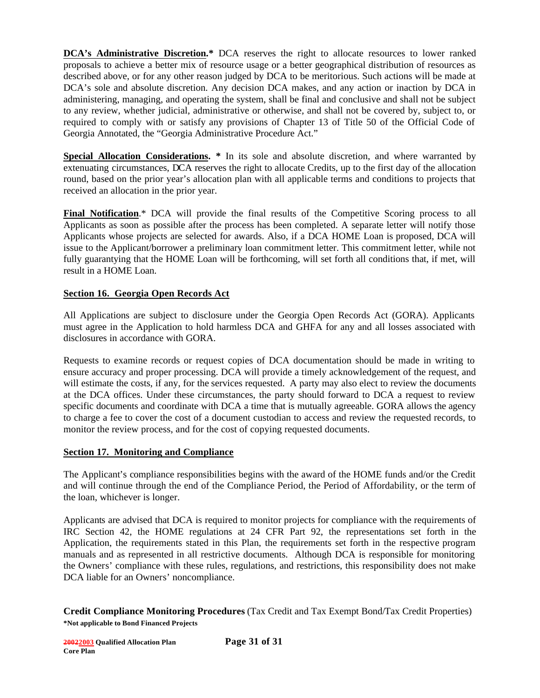**DCA's Administrative Discretion.\*** DCA reserves the right to allocate resources to lower ranked proposals to achieve a better mix of resource usage or a better geographical distribution of resources as described above, or for any other reason judged by DCA to be meritorious. Such actions will be made at DCA's sole and absolute discretion. Any decision DCA makes, and any action or inaction by DCA in administering, managing, and operating the system, shall be final and conclusive and shall not be subject to any review, whether judicial, administrative or otherwise, and shall not be covered by, subject to, or required to comply with or satisfy any provisions of Chapter 13 of Title 50 of the Official Code of Georgia Annotated, the "Georgia Administrative Procedure Act."

**Special Allocation Considerations. \*** In its sole and absolute discretion, and where warranted by extenuating circumstances, DCA reserves the right to allocate Credits, up to the first day of the allocation round, based on the prior year's allocation plan with all applicable terms and conditions to projects that received an allocation in the prior year.

**Final Notification.**\* DCA will provide the final results of the Competitive Scoring process to all Applicants as soon as possible after the process has been completed. A separate letter will notify those Applicants whose projects are selected for awards. Also, if a DCA HOME Loan is proposed, DCA will issue to the Applicant/borrower a preliminary loan commitment letter. This commitment letter, while not fully guarantying that the HOME Loan will be forthcoming, will set forth all conditions that, if met, will result in a HOME Loan.

### **Section 16. Georgia Open Records Act**

All Applications are subject to disclosure under the Georgia Open Records Act (GORA). Applicants must agree in the Application to hold harmless DCA and GHFA for any and all losses associated with disclosures in accordance with GORA.

Requests to examine records or request copies of DCA documentation should be made in writing to ensure accuracy and proper processing. DCA will provide a timely acknowledgement of the request, and will estimate the costs, if any, for the services requested. A party may also elect to review the documents at the DCA offices. Under these circumstances, the party should forward to DCA a request to review specific documents and coordinate with DCA a time that is mutually agreeable. GORA allows the agency to charge a fee to cover the cost of a document custodian to access and review the requested records, to monitor the review process, and for the cost of copying requested documents.

### **Section 17. Monitoring and Compliance**

The Applicant's compliance responsibilities begins with the award of the HOME funds and/or the Credit and will continue through the end of the Compliance Period, the Period of Affordability, or the term of the loan, whichever is longer.

Applicants are advised that DCA is required to monitor projects for compliance with the requirements of IRC Section 42, the HOME regulations at 24 CFR Part 92, the representations set forth in the Application, the requirements stated in this Plan, the requirements set forth in the respective program manuals and as represented in all restrictive documents. Although DCA is responsible for monitoring the Owners' compliance with these rules, regulations, and restrictions, this responsibility does not make DCA liable for an Owners' noncompliance.

**\*Not applicable to Bond Financed Projects Credit Compliance Monitoring Procedures** (Tax Credit and Tax Exempt Bond/Tax Credit Properties)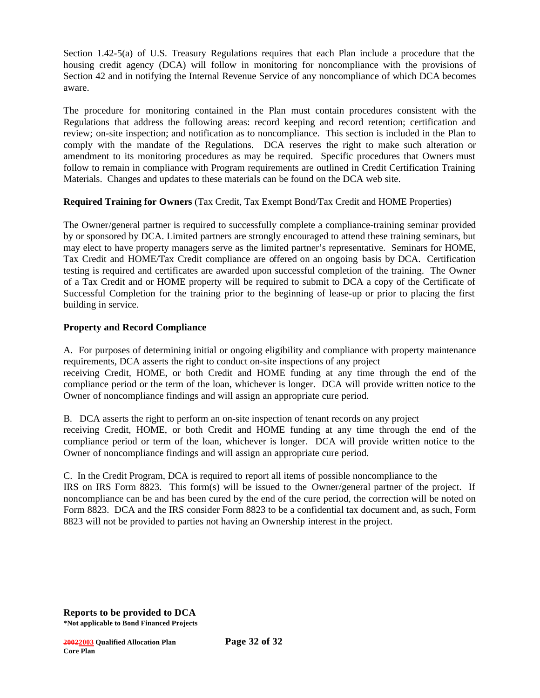Section 1.42-5(a) of U.S. Treasury Regulations requires that each Plan include a procedure that the housing credit agency (DCA) will follow in monitoring for noncompliance with the provisions of Section 42 and in notifying the Internal Revenue Service of any noncompliance of which DCA becomes aware.

The procedure for monitoring contained in the Plan must contain procedures consistent with the Regulations that address the following areas: record keeping and record retention; certification and review; on-site inspection; and notification as to noncompliance. This section is included in the Plan to comply with the mandate of the Regulations. DCA reserves the right to make such alteration or amendment to its monitoring procedures as may be required. Specific procedures that Owners must follow to remain in compliance with Program requirements are outlined in Credit Certification Training Materials. Changes and updates to these materials can be found on the DCA web site.

### **Required Training for Owners** (Tax Credit, Tax Exempt Bond/Tax Credit and HOME Properties)

The Owner/general partner is required to successfully complete a compliance-training seminar provided by or sponsored by DCA. Limited partners are strongly encouraged to attend these training seminars, but may elect to have property managers serve as the limited partner's representative. Seminars for HOME, Tax Credit and HOME/Tax Credit compliance are offered on an ongoing basis by DCA. Certification testing is required and certificates are awarded upon successful completion of the training. The Owner of a Tax Credit and or HOME property will be required to submit to DCA a copy of the Certificate of Successful Completion for the training prior to the beginning of lease-up or prior to placing the first building in service.

### **Property and Record Compliance**

A. For purposes of determining initial or ongoing eligibility and compliance with property maintenance requirements, DCA asserts the right to conduct on-site inspections of any project receiving Credit, HOME, or both Credit and HOME funding at any time through the end of the

compliance period or the term of the loan, whichever is longer. DCA will provide written notice to the Owner of noncompliance findings and will assign an appropriate cure period.

B. DCA asserts the right to perform an on-site inspection of tenant records on any project receiving Credit, HOME, or both Credit and HOME funding at any time through the end of the compliance period or term of the loan, whichever is longer. DCA will provide written notice to the Owner of noncompliance findings and will assign an appropriate cure period.

C. In the Credit Program, DCA is required to report all items of possible noncompliance to the IRS on IRS Form 8823. This form(s) will be issued to the Owner/general partner of the project. If noncompliance can be and has been cured by the end of the cure period, the correction will be noted on Form 8823. DCA and the IRS consider Form 8823 to be a confidential tax document and, as such, Form 8823 will not be provided to parties not having an Ownership interest in the project.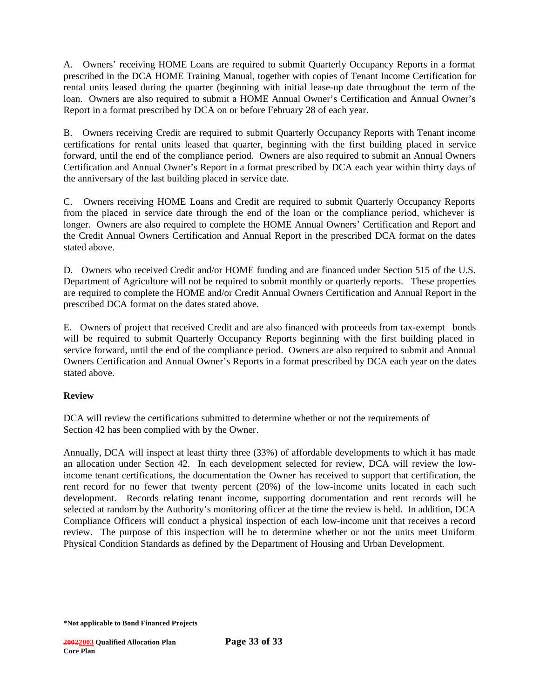A. Owners' receiving HOME Loans are required to submit Quarterly Occupancy Reports in a format prescribed in the DCA HOME Training Manual, together with copies of Tenant Income Certification for rental units leased during the quarter (beginning with initial lease-up date throughout the term of the loan. Owners are also required to submit a HOME Annual Owner's Certification and Annual Owner's Report in a format prescribed by DCA on or before February 28 of each year.

B. Owners receiving Credit are required to submit Quarterly Occupancy Reports with Tenant income certifications for rental units leased that quarter, beginning with the first building placed in service forward, until the end of the compliance period. Owners are also required to submit an Annual Owners Certification and Annual Owner's Report in a format prescribed by DCA each year within thirty days of the anniversary of the last building placed in service date.

C. Owners receiving HOME Loans and Credit are required to submit Quarterly Occupancy Reports from the placed in service date through the end of the loan or the compliance period, whichever is longer. Owners are also required to complete the HOME Annual Owners' Certification and Report and the Credit Annual Owners Certification and Annual Report in the prescribed DCA format on the dates stated above.

D. Owners who received Credit and/or HOME funding and are financed under Section 515 of the U.S. Department of Agriculture will not be required to submit monthly or quarterly reports. These properties are required to complete the HOME and/or Credit Annual Owners Certification and Annual Report in the prescribed DCA format on the dates stated above.

E. Owners of project that received Credit and are also financed with proceeds from tax-exempt bonds will be required to submit Quarterly Occupancy Reports beginning with the first building placed in service forward, until the end of the compliance period. Owners are also required to submit and Annual Owners Certification and Annual Owner's Reports in a format prescribed by DCA each year on the dates stated above.

### **Review**

DCA will review the certifications submitted to determine whether or not the requirements of Section 42 has been complied with by the Owner.

Annually, DCA will inspect at least thirty three (33%) of affordable developments to which it has made an allocation under Section 42. In each development selected for review, DCA will review the lowincome tenant certifications, the documentation the Owner has received to support that certification, the rent record for no fewer that twenty percent (20%) of the low-income units located in each such development. Records relating tenant income, supporting documentation and rent records will be selected at random by the Authority's monitoring officer at the time the review is held. In addition, DCA Compliance Officers will conduct a physical inspection of each low-income unit that receives a record review. The purpose of this inspection will be to determine whether or not the units meet Uniform Physical Condition Standards as defined by the Department of Housing and Urban Development.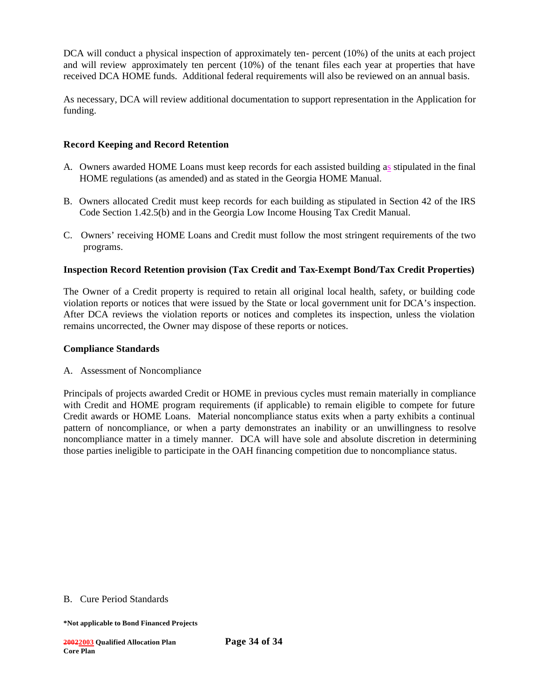DCA will conduct a physical inspection of approximately ten- percent (10%) of the units at each project and will review approximately ten percent (10%) of the tenant files each year at properties that have received DCA HOME funds. Additional federal requirements will also be reviewed on an annual basis.

As necessary, DCA will review additional documentation to support representation in the Application for funding.

### **Record Keeping and Record Retention**

- A. Owners awarded HOME Loans must keep records for each assisted building as stipulated in the final HOME regulations (as amended) and as stated in the Georgia HOME Manual.
- B. Owners allocated Credit must keep records for each building as stipulated in Section 42 of the IRS Code Section 1.42.5(b) and in the Georgia Low Income Housing Tax Credit Manual.
- C. Owners' receiving HOME Loans and Credit must follow the most stringent requirements of the two programs.

### **Inspection Record Retention provision (Tax Credit and Tax-Exempt Bond/Tax Credit Properties)**

The Owner of a Credit property is required to retain all original local health, safety, or building code violation reports or notices that were issued by the State or local government unit for DCA's inspection. After DCA reviews the violation reports or notices and completes its inspection, unless the violation remains uncorrected, the Owner may dispose of these reports or notices.

#### **Compliance Standards**

A. Assessment of Noncompliance

Principals of projects awarded Credit or HOME in previous cycles must remain materially in compliance with Credit and HOME program requirements (if applicable) to remain eligible to compete for future Credit awards or HOME Loans. Material noncompliance status exits when a party exhibits a continual pattern of noncompliance, or when a party demonstrates an inability or an unwillingness to resolve noncompliance matter in a timely manner. DCA will have sole and absolute discretion in determining those parties ineligible to participate in the OAH financing competition due to noncompliance status.

#### B. Cure Period Standards

**<sup>\*</sup>Not applicable to Bond Financed Projects**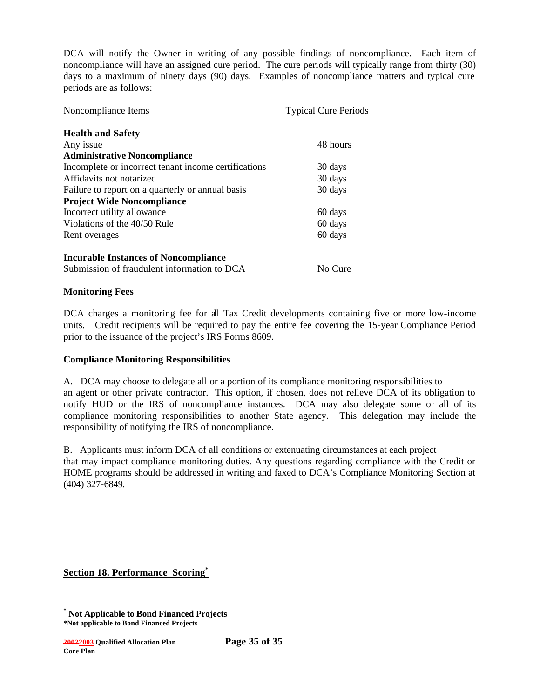DCA will notify the Owner in writing of any possible findings of noncompliance. Each item of noncompliance will have an assigned cure period. The cure periods will typically range from thirty (30) days to a maximum of ninety days (90) days. Examples of noncompliance matters and typical cure periods are as follows:

| Noncompliance Items                                  | <b>Typical Cure Periods</b> |
|------------------------------------------------------|-----------------------------|
| <b>Health and Safety</b>                             |                             |
| Any issue                                            | 48 hours                    |
| <b>Administrative Noncompliance</b>                  |                             |
| Incomplete or incorrect tenant income certifications | 30 days                     |
| Affidavits not notarized                             | 30 days                     |
| Failure to report on a quarterly or annual basis     | 30 days                     |
| <b>Project Wide Noncompliance</b>                    |                             |
| Incorrect utility allowance                          | 60 days                     |
| Violations of the 40/50 Rule                         | 60 days                     |
| Rent overages                                        | 60 days                     |
| <b>Incurable Instances of Noncompliance</b>          |                             |
| Submission of fraudulent information to DCA          | No Cure                     |

### **Monitoring Fees**

DCA charges a monitoring fee for all Tax Credit developments containing five or more low-income units. Credit recipients will be required to pay the entire fee covering the 15-year Compliance Period prior to the issuance of the project's IRS Forms 8609.

### **Compliance Monitoring Responsibilities**

A. DCA may choose to delegate all or a portion of its compliance monitoring responsibilities to an agent or other private contractor. This option, if chosen, does not relieve DCA of its obligation to notify HUD or the IRS of noncompliance instances. DCA may also delegate some or all of its compliance monitoring responsibilities to another State agency. This delegation may include the responsibility of notifying the IRS of noncompliance.

B. Applicants must inform DCA of all conditions or extenuating circumstances at each project that may impact compliance monitoring duties. Any questions regarding compliance with the Credit or HOME programs should be addressed in writing and faxed to DCA's Compliance Monitoring Section at (404) 327-6849.

**Section 18. Performance Scoring\***

**<sup>\*</sup> Not Applicable to Bond Financed Projects**

**<sup>\*</sup>Not applicable to Bond Financed Projects**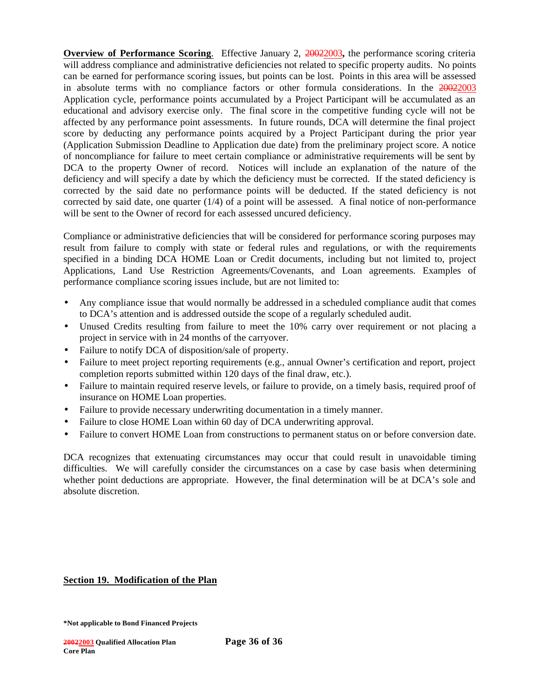**Overview of Performance Scoring**.Effective January 2, 20022003**,** the performance scoring criteria will address compliance and administrative deficiencies not related to specific property audits. No points can be earned for performance scoring issues, but points can be lost. Points in this area will be assessed in absolute terms with no compliance factors or other formula considerations. In the 20022003 Application cycle, performance points accumulated by a Project Participant will be accumulated as an educational and advisory exercise only. The final score in the competitive funding cycle will not be affected by any performance point assessments. In future rounds, DCA will determine the final project score by deducting any performance points acquired by a Project Participant during the prior year (Application Submission Deadline to Application due date) from the preliminary project score. A notice of noncompliance for failure to meet certain compliance or administrative requirements will be sent by DCA to the property Owner of record. Notices will include an explanation of the nature of the deficiency and will specify a date by which the deficiency must be corrected. If the stated deficiency is corrected by the said date no performance points will be deducted. If the stated deficiency is not corrected by said date, one quarter  $(1/4)$  of a point will be assessed. A final notice of non-performance will be sent to the Owner of record for each assessed uncured deficiency.

Compliance or administrative deficiencies that will be considered for performance scoring purposes may result from failure to comply with state or federal rules and regulations, or with the requirements specified in a binding DCA HOME Loan or Credit documents, including but not limited to, project Applications, Land Use Restriction Agreements/Covenants, and Loan agreements. Examples of performance compliance scoring issues include, but are not limited to:

- Any compliance issue that would normally be addressed in a scheduled compliance audit that comes to DCA's attention and is addressed outside the scope of a regularly scheduled audit.
- Unused Credits resulting from failure to meet the 10% carry over requirement or not placing a project in service with in 24 months of the carryover.
- Failure to notify DCA of disposition/sale of property.
- Failure to meet project reporting requirements (e.g., annual Owner's certification and report, project completion reports submitted within 120 days of the final draw, etc.).
- Failure to maintain required reserve levels, or failure to provide, on a timely basis, required proof of insurance on HOME Loan properties.
- Failure to provide necessary underwriting documentation in a timely manner.
- Failure to close HOME Loan within 60 day of DCA underwriting approval.
- Failure to convert HOME Loan from constructions to permanent status on or before conversion date.

DCA recognizes that extenuating circumstances may occur that could result in unavoidable timing difficulties. We will carefully consider the circumstances on a case by case basis when determining whether point deductions are appropriate. However, the final determination will be at DCA's sole and absolute discretion.

**Section 19. Modification of the Plan**

**<sup>\*</sup>Not applicable to Bond Financed Projects**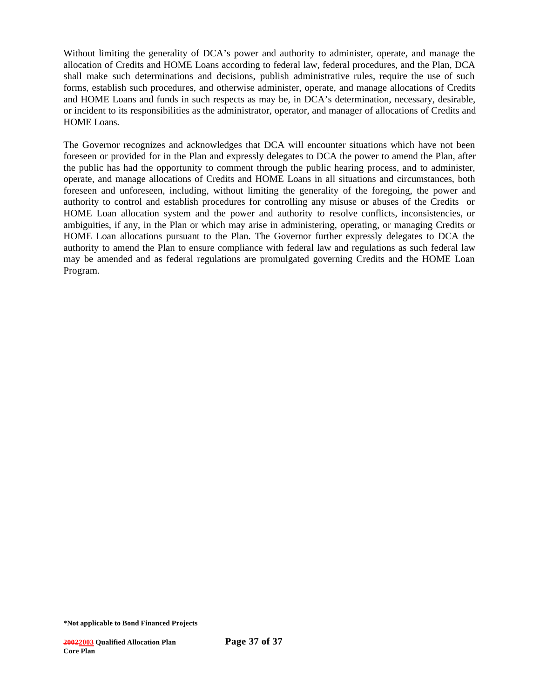Without limiting the generality of DCA's power and authority to administer, operate, and manage the allocation of Credits and HOME Loans according to federal law, federal procedures, and the Plan, DCA shall make such determinations and decisions, publish administrative rules, require the use of such forms, establish such procedures, and otherwise administer, operate, and manage allocations of Credits and HOME Loans and funds in such respects as may be, in DCA's determination, necessary, desirable, or incident to its responsibilities as the administrator, operator, and manager of allocations of Credits and HOME Loans.

The Governor recognizes and acknowledges that DCA will encounter situations which have not been foreseen or provided for in the Plan and expressly delegates to DCA the power to amend the Plan, after the public has had the opportunity to comment through the public hearing process, and to administer, operate, and manage allocations of Credits and HOME Loans in all situations and circumstances, both foreseen and unforeseen, including, without limiting the generality of the foregoing, the power and authority to control and establish procedures for controlling any misuse or abuses of the Credits or HOME Loan allocation system and the power and authority to resolve conflicts, inconsistencies, or ambiguities, if any, in the Plan or which may arise in administering, operating, or managing Credits or HOME Loan allocations pursuant to the Plan. The Governor further expressly delegates to DCA the authority to amend the Plan to ensure compliance with federal law and regulations as such federal law may be amended and as federal regulations are promulgated governing Credits and the HOME Loan Program.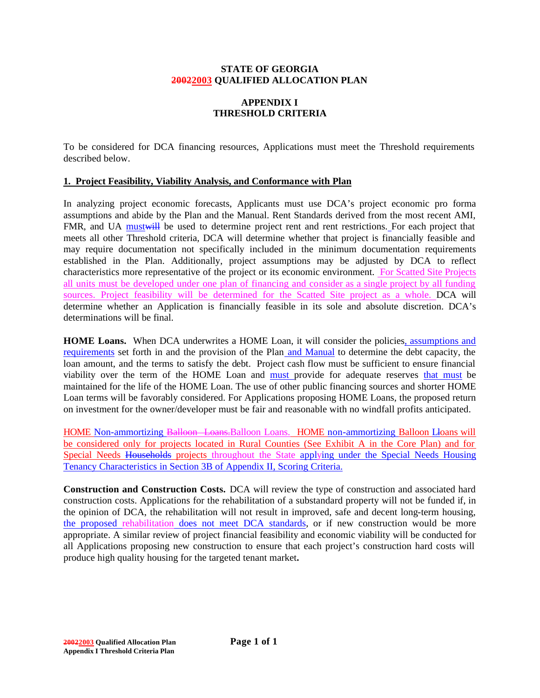#### **STATE OF GEORGIA 20022003 QUALIFIED ALLOCATION PLAN**

# **APPENDIX I THRESHOLD CRITERIA**

To be considered for DCA financing resources, Applications must meet the Threshold requirements described below.

## **1. Project Feasibility, Viability Analysis, and Conformance with Plan**

In analyzing project economic forecasts, Applicants must use DCA's project economic pro forma assumptions and abide by the Plan and the Manual. Rent Standards derived from the most recent AMI, FMR, and UA must will be used to determine project rent and rent restrictions. For each project that meets all other Threshold criteria, DCA will determine whether that project is financially feasible and may require documentation not specifically included in the minimum documentation requirements established in the Plan. Additionally, project assumptions may be adjusted by DCA to reflect characteristics more representative of the project or its economic environment. For Scatted Site Projects all units must be developed under one plan of financing and consider as a single project by all funding sources. Project feasibility will be determined for the Scatted Site project as a whole. DCA will determine whether an Application is financially feasible in its sole and absolute discretion. DCA's determinations will be final.

**HOME Loans.** When DCA underwrites a HOME Loan, it will consider the policies, assumptions and requirements set forth in and the provision of the Plan and Manual to determine the debt capacity, the loan amount, and the terms to satisfy the debt. Project cash flow must be sufficient to ensure financial viability over the term of the HOME Loan and must provide for adequate reserves that must be maintained for the life of the HOME Loan. The use of other public financing sources and shorter HOME Loan terms will be favorably considered. For Applications proposing HOME Loans, the proposed return on investment for the owner/developer must be fair and reasonable with no windfall profits anticipated.

HOME Non-ammortizing Balloon Loans. Balloon Loans. HOME non-ammortizing Balloon Lloans will be considered only for projects located in Rural Counties (See Exhibit A in the Core Plan) and for Special Needs Households projects throughout the State applying under the Special Needs Housing Tenancy Characteristics in Section 3B of Appendix II, Scoring Criteria.

**Construction and Construction Costs.** DCA will review the type of construction and associated hard construction costs. Applications for the rehabilitation of a substandard property will not be funded if, in the opinion of DCA, the rehabilitation will not result in improved, safe and decent long-term housing, the proposed rehabilitation does not meet DCA standards, or if new construction would be more appropriate. A similar review of project financial feasibility and economic viability will be conducted for all Applications proposing new construction to ensure that each project's construction hard costs will produce high quality housing for the targeted tenant market**.**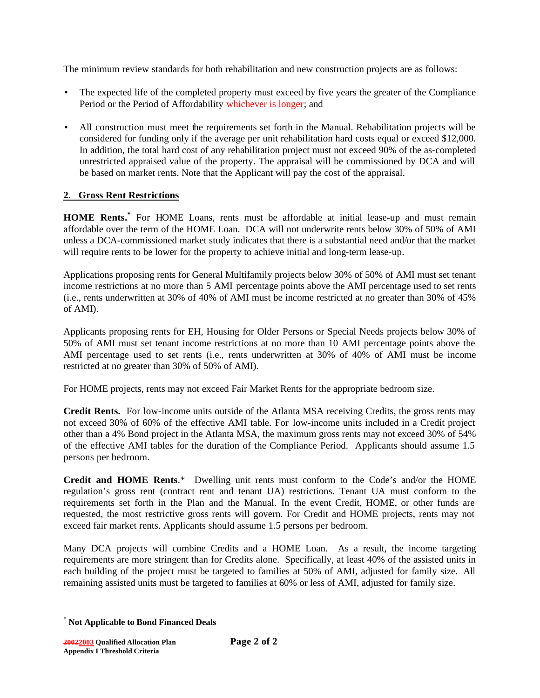The minimum review standards for both rehabilitation and new construction projects are as follows:

- The expected life of the completed property must exceed by five years the greater of the Compliance Period or the Period of Affordability whichever is longer; and
- All construction must meet the requirements set forth in the Manual. Rehabilitation projects will be considered for funding only if the average per unit rehabilitation hard costs equal or exceed \$12,000. In addition, the total hard cost of any rehabilitation project must not exceed 90% of the as-completed unrestricted appraised value of the property. The appraisal will be commissioned by DCA and will be based on market rents. Note that the Applicant will pay the cost of the appraisal.

# **2. Gross Rent Restrictions**

**HOME Rents.\*** For HOME Loans, rents must be affordable at initial lease-up and must remain affordable over the term of the HOME Loan. DCA will not underwrite rents below 30% of 50% of AMI unless a DCA-commissioned market study indicates that there is a substantial need and/or that the market will require rents to be lower for the property to achieve initial and long-term lease-up.

Applications proposing rents for General Multifamily projects below 30% of 50% of AMI must set tenant income restrictions at no more than 5 AMI percentage points above the AMI percentage used to set rents (i.e., rents underwritten at 30% of 40% of AMI must be income restricted at no greater than 30% of 45% of AMI).

Applicants proposing rents for EH, Housing for Older Persons or Special Needs projects below 30% of 50% of AMI must set tenant income restrictions at no more than 10 AMI percentage points above the AMI percentage used to set rents (i.e., rents underwritten at 30% of 40% of AMI must be income restricted at no greater than 30% of 50% of AMI).

For HOME projects, rents may not exceed Fair Market Rents for the appropriate bedroom size.

**Credit Rents.** For low-income units outside of the Atlanta MSA receiving Credits, the gross rents may not exceed 30% of 60% of the effective AMI table. For low-income units included in a Credit project other than a 4% Bond project in the Atlanta MSA, the maximum gross rents may not exceed 30% of 54% of the effective AMI tables for the duration of the Compliance Period. Applicants should assume 1.5 persons per bedroom.

**Credit and HOME Rents**.\* Dwelling unit rents must conform to the Code's and/or the HOME regulation's gross rent (contract rent and tenant UA) restrictions. Tenant UA must conform to the requirements set forth in the Plan and the Manual. In the event Credit, HOME, or other funds are requested, the most restrictive gross rents will govern. For Credit and HOME projects, rents may not exceed fair market rents. Applicants should assume 1.5 persons per bedroom.

Many DCA projects will combine Credits and a HOME Loan. As a result, the income targeting requirements are more stringent than for Credits alone. Specifically, at least 40% of the assisted units in each building of the project must be targeted to families at 50% of AMI, adjusted for family size. All remaining assisted units must be targeted to families at 60% or less of AMI, adjusted for family size.

**<sup>\*</sup> Not Applicable to Bond Financed Deals**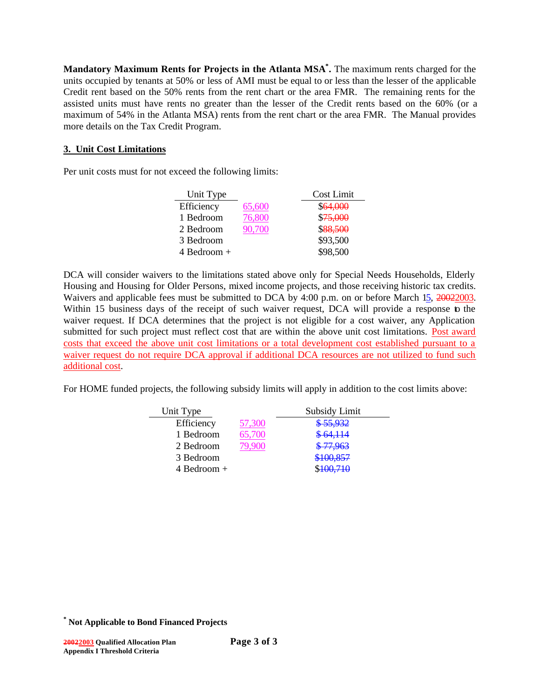**Mandatory Maximum Rents for Projects in the Atlanta MSA\* .** The maximum rents charged for the units occupied by tenants at 50% or less of AMI must be equal to or less than the lesser of the applicable Credit rent based on the 50% rents from the rent chart or the area FMR. The remaining rents for the assisted units must have rents no greater than the lesser of the Credit rents based on the 60% (or a maximum of 54% in the Atlanta MSA) rents from the rent chart or the area FMR. The Manual provides more details on the Tax Credit Program.

# **3. Unit Cost Limitations**

Per unit costs must for not exceed the following limits:

| Unit Type       |        | Cost Limit |
|-----------------|--------|------------|
| Efficiency      | 65,600 | \$64,000   |
| 1 Bedroom       | 76,800 | \$75,000   |
| 2 Bedroom       | 90.700 | \$88,500   |
| 3 Bedroom       |        | \$93,500   |
| $4$ Bedroom $+$ |        | \$98,500   |

DCA will consider waivers to the limitations stated above only for Special Needs Households, Elderly Housing and Housing for Older Persons, mixed income projects, and those receiving historic tax credits. Waivers and applicable fees must be submitted to DCA by 4:00 p.m. on or before March 15, 20022003. Within 15 business days of the receipt of such waiver request, DCA will provide a response to the waiver request. If DCA determines that the project is not eligible for a cost waiver, any Application submitted for such project must reflect cost that are within the above unit cost limitations. Post award costs that exceed the above unit cost limitations or a total development cost established pursuant to a waiver request do not require DCA approval if additional DCA resources are not utilized to fund such additional cost.

For HOME funded projects, the following subsidy limits will apply in addition to the cost limits above:

| Unit Type       |        | Subsidy Limit |  |
|-----------------|--------|---------------|--|
| Efficiency      | 57,300 | \$55,932      |  |
| 1 Bedroom       | 65,700 | \$64,114      |  |
| 2 Bedroom       |        | \$77,963      |  |
| 3 Bedroom       |        | \$100,857     |  |
| $4$ Bedroom $+$ |        | \$100,710     |  |

**<sup>\*</sup> Not Applicable to Bond Financed Projects**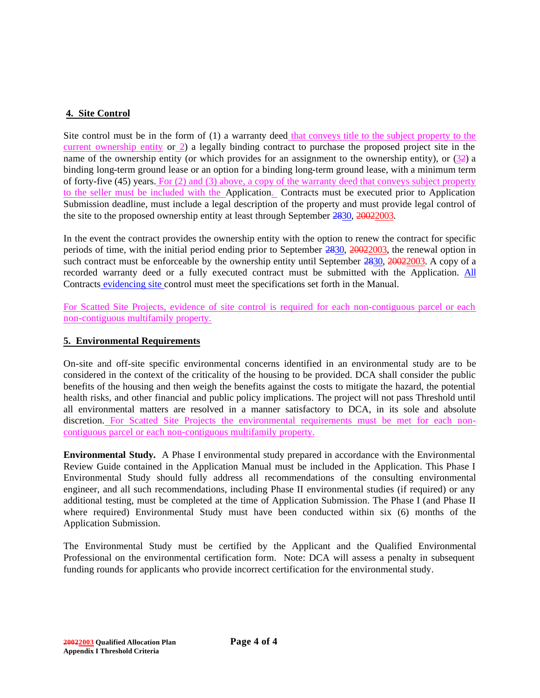# **4. Site Control**

Site control must be in the form of (1) a warranty deed that conveys title to the subject property to the current ownership entity or 2) a legally binding contract to purchase the proposed project site in the name of the ownership entity (or which provides for an assignment to the ownership entity), or (32) a binding long-term ground lease or an option for a binding long-term ground lease, with a minimum term of forty-five (45) years. For (2) and (3) above, a copy of the warranty deed that conveys subject property to the seller must be included with the Application. Contracts must be executed prior to Application Submission deadline, must include a legal description of the property and must provide legal control of the site to the proposed ownership entity at least through September 2830, 20022003.

In the event the contract provides the ownership entity with the option to renew the contract for specific periods of time, with the initial period ending prior to September 2830, 20022003, the renewal option in such contract must be enforceable by the ownership entity until September 2830, 20022003. A copy of a recorded warranty deed or a fully executed contract must be submitted with the Application. All Contracts evidencing site control must meet the specifications set forth in the Manual.

For Scatted Site Projects, evidence of site control is required for each non-contiguous parcel or each non-contiguous multifamily property.

# **5. Environmental Requirements**

On-site and off-site specific environmental concerns identified in an environmental study are to be considered in the context of the criticality of the housing to be provided. DCA shall consider the public benefits of the housing and then weigh the benefits against the costs to mitigate the hazard, the potential health risks, and other financial and public policy implications. The project will not pass Threshold until all environmental matters are resolved in a manner satisfactory to DCA, in its sole and absolute discretion. For Scatted Site Projects the environmental requirements must be met for each noncontiguous parcel or each non-contiguous multifamily property.

**Environmental Study.** A Phase I environmental study prepared in accordance with the Environmental Review Guide contained in the Application Manual must be included in the Application. This Phase I Environmental Study should fully address all recommendations of the consulting environmental engineer, and all such recommendations, including Phase II environmental studies (if required) or any additional testing, must be completed at the time of Application Submission. The Phase I (and Phase II where required) Environmental Study must have been conducted within six (6) months of the Application Submission.

The Environmental Study must be certified by the Applicant and the Qualified Environmental Professional on the environmental certification form. Note: DCA will assess a penalty in subsequent funding rounds for applicants who provide incorrect certification for the environmental study.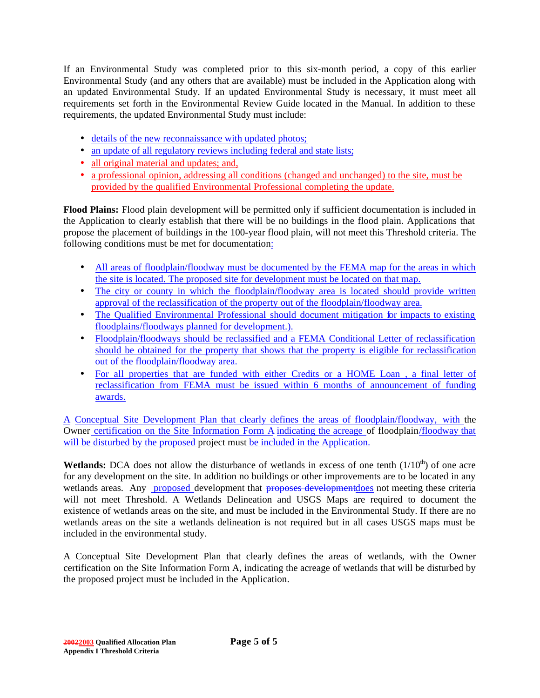If an Environmental Study was completed prior to this six-month period, a copy of this earlier Environmental Study (and any others that are available) must be included in the Application along with an updated Environmental Study. If an updated Environmental Study is necessary, it must meet all requirements set forth in the Environmental Review Guide located in the Manual. In addition to these requirements, the updated Environmental Study must include:

- details of the new reconnaissance with updated photos;
- an update of all regulatory reviews including federal and state lists;
- all original material and updates; and,
- a professional opinion, addressing all conditions (changed and unchanged) to the site, must be provided by the qualified Environmental Professional completing the update.

**Flood Plains:** Flood plain development will be permitted only if sufficient documentation is included in the Application to clearly establish that there will be no buildings in the flood plain. Applications that propose the placement of buildings in the 100-year flood plain, will not meet this Threshold criteria. The following conditions must be met for documentation:

- All areas of floodplain/floodway must be documented by the FEMA map for the areas in which the site is located. The proposed site for development must be located on that map.
- The city or county in which the floodplain/floodway area is located should provide written approval of the reclassification of the property out of the floodplain/floodway area.
- The Qualified Environmental Professional should document mitigation for impacts to existing floodplains/floodways planned for development.).
- Floodplain/floodways should be reclassified and a FEMA Conditional Letter of reclassification should be obtained for the property that shows that the property is eligible for reclassification out of the floodplain/floodway area.
- For all properties that are funded with either Credits or a HOME Loan , a final letter of reclassification from FEMA must be issued within 6 months of announcement of funding awards.

A Conceptual Site Development Plan that clearly defines the areas of floodplain/floodway, with the Owner certification on the Site Information Form A indicating the acreage of floodplain/floodway that will be disturbed by the proposed project must be included in the Application.

**Wetlands:** DCA does not allow the disturbance of wetlands in excess of one tenth  $(1/10<sup>th</sup>)$  of one acre for any development on the site. In addition no buildings or other improvements are to be located in any wetlands areas. Any proposed development that proposes developmentdoes not meeting these criteria will not meet Threshold. A Wetlands Delineation and USGS Maps are required to document the existence of wetlands areas on the site, and must be included in the Environmental Study. If there are no wetlands areas on the site a wetlands delineation is not required but in all cases USGS maps must be included in the environmental study.

A Conceptual Site Development Plan that clearly defines the areas of wetlands, with the Owner certification on the Site Information Form A, indicating the acreage of wetlands that will be disturbed by the proposed project must be included in the Application.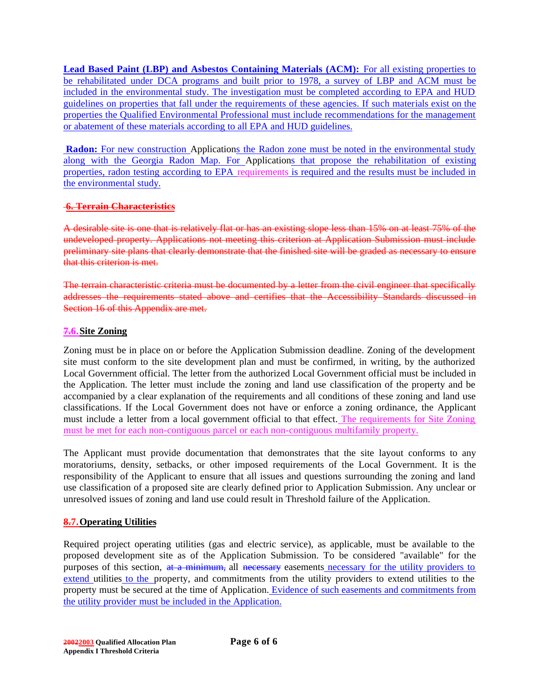**Lead Based Paint (LBP) and Asbestos Containing Materials (ACM):** For all existing properties to be rehabilitated under DCA programs and built prior to 1978, a survey of LBP and ACM must be included in the environmental study. The investigation must be completed according to EPA and HUD guidelines on properties that fall under the requirements of these agencies. If such materials exist on the properties the Qualified Environmental Professional must include recommendations for the management or abatement of these materials according to all EPA and HUD guidelines.

**Radon:** For new construction Applications the Radon zone must be noted in the environmental study along with the Georgia Radon Map. For Applications that propose the rehabilitation of existing properties, radon testing according to EPA requirements is required and the results must be included in the environmental study.

# **6. Terrain Characteristics**

A desirable site is one that is relatively flat or has an existing slope less than 15% on at least 75% of the undeveloped property. Applications not meeting this criterion at Application Submission must include preliminary site plans that clearly demonstrate that the finished site will be graded as necessary to ensure that this criterion is met.

The terrain characteristic criteria must be documented by a letter from the civil engineer that specifically addresses the requirements stated above and certifies that the Accessibility Standards discussed in Section 16 of this Appendix are met.

# **7.6.Site Zoning**

Zoning must be in place on or before the Application Submission deadline. Zoning of the development site must conform to the site development plan and must be confirmed, in writing, by the authorized Local Government official. The letter from the authorized Local Government official must be included in the Application. The letter must include the zoning and land use classification of the property and be accompanied by a clear explanation of the requirements and all conditions of these zoning and land use classifications. If the Local Government does not have or enforce a zoning ordinance, the Applicant must include a letter from a local government official to that effect. The requirements for Site Zoning must be met for each non-contiguous parcel or each non-contiguous multifamily property.

The Applicant must provide documentation that demonstrates that the site layout conforms to any moratoriums, density, setbacks, or other imposed requirements of the Local Government. It is the responsibility of the Applicant to ensure that all issues and questions surrounding the zoning and land use classification of a proposed site are clearly defined prior to Application Submission. Any unclear or unresolved issues of zoning and land use could result in Threshold failure of the Application.

# **8.7.Operating Utilities**

Required project operating utilities (gas and electric service), as applicable, must be available to the proposed development site as of the Application Submission. To be considered "available" for the purposes of this section, at a minimum, all necessary easements necessary for the utility providers to extend utilities to the property, and commitments from the utility providers to extend utilities to the property must be secured at the time of Application. Evidence of such easements and commitments from the utility provider must be included in the Application.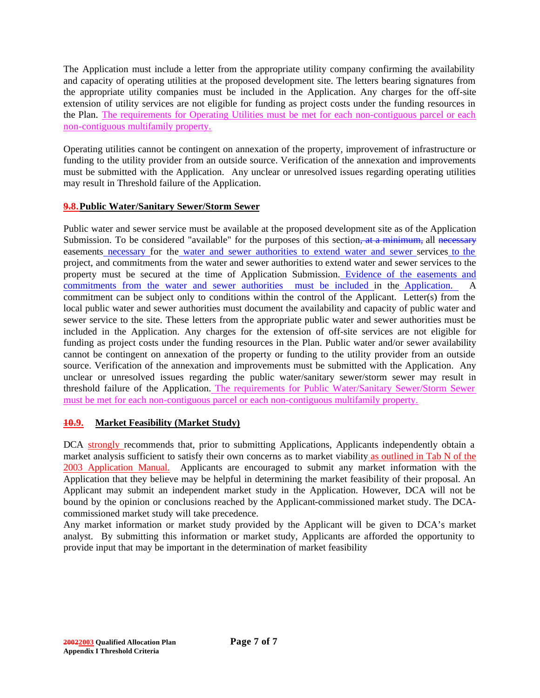The Application must include a letter from the appropriate utility company confirming the availability and capacity of operating utilities at the proposed development site. The letters bearing signatures from the appropriate utility companies must be included in the Application. Any charges for the off-site extension of utility services are not eligible for funding as project costs under the funding resources in the Plan. The requirements for Operating Utilities must be met for each non-contiguous parcel or each non-contiguous multifamily property.

Operating utilities cannot be contingent on annexation of the property, improvement of infrastructure or funding to the utility provider from an outside source. Verification of the annexation and improvements must be submitted with the Application. Any unclear or unresolved issues regarding operating utilities may result in Threshold failure of the Application.

# **9.8.Public Water/Sanitary Sewer/Storm Sewer**

Public water and sewer service must be available at the proposed development site as of the Application Submission. To be considered "available" for the purposes of this section, at a minimum, all necessary easements necessary for the water and sewer authorities to extend water and sewer services to the project, and commitments from the water and sewer authorities to extend water and sewer services to the property must be secured at the time of Application Submission. Evidence of the easements and commitments from the water and sewer authorities must be included in the Application. A commitment can be subject only to conditions within the control of the Applicant. Letter(s) from the local public water and sewer authorities must document the availability and capacity of public water and sewer service to the site. These letters from the appropriate public water and sewer authorities must be included in the Application. Any charges for the extension of off-site services are not eligible for funding as project costs under the funding resources in the Plan. Public water and/or sewer availability cannot be contingent on annexation of the property or funding to the utility provider from an outside source. Verification of the annexation and improvements must be submitted with the Application.Any unclear or unresolved issues regarding the public water/sanitary sewer/storm sewer may result in threshold failure of the Application. The requirements for Public Water/Sanitary Sewer/Storm Sewer must be met for each non-contiguous parcel or each non-contiguous multifamily property.

# **10.9. Market Feasibility (Market Study)**

DCA strongly recommends that, prior to submitting Applications, Applicants independently obtain a market analysis sufficient to satisfy their own concerns as to market viability as outlined in Tab N of the 2003 Application Manual. Applicants are encouraged to submit any market information with the Application that they believe may be helpful in determining the market feasibility of their proposal. An Applicant may submit an independent market study in the Application. However, DCA will not be bound by the opinion or conclusions reached by the Applicant-commissioned market study. The DCAcommissioned market study will take precedence.

Any market information or market study provided by the Applicant will be given to DCA's market analyst. By submitting this information or market study, Applicants are afforded the opportunity to provide input that may be important in the determination of market feasibility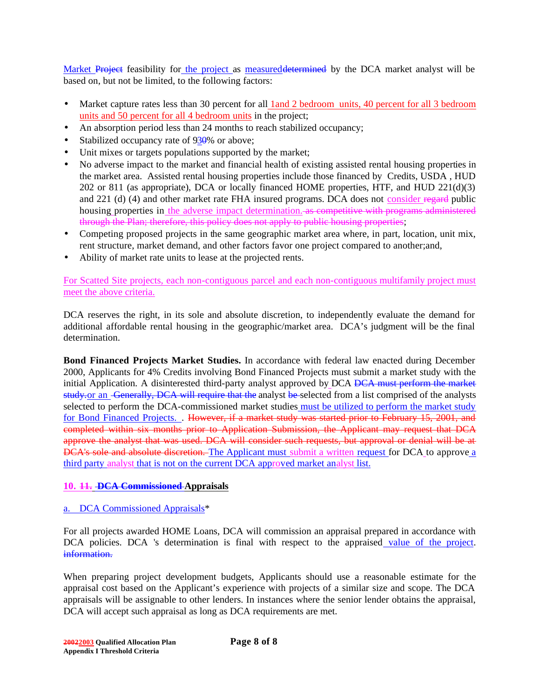Market Project feasibility for the project as measured determined by the DCA market analyst will be based on, but not be limited, to the following factors:

- Market capture rates less than 30 percent for all 1 and 2 bedroom units, 40 percent for all 3 bedroom units and 50 percent for all 4 bedroom units in the project;
- An absorption period less than 24 months to reach stabilized occupancy;
- Stabilized occupancy rate of 930% or above;
- Unit mixes or targets populations supported by the market;
- No adverse impact to the market and financial health of existing assisted rental housing properties in the market area. Assisted rental housing properties include those financed by Credits, USDA , HUD 202 or 811 (as appropriate), DCA or locally financed HOME properties, HTF, and HUD 221(d)(3) and 221 (d) (4) and other market rate FHA insured programs. DCA does not consider regard public housing properties in the adverse impact determination. as competitive with programs administered through the Plan; therefore, this policy does not apply to public housing properties;
- Competing proposed projects in the same geographic market area where, in part, location, unit mix, rent structure, market demand, and other factors favor one project compared to another;and,
- Ability of market rate units to lease at the projected rents.

For Scatted Site projects, each non-contiguous parcel and each non-contiguous multifamily project must meet the above criteria.

DCA reserves the right, in its sole and absolute discretion, to independently evaluate the demand for additional affordable rental housing in the geographic/market area. DCA's judgment will be the final determination.

**Bond Financed Projects Market Studies.** In accordance with federal law enacted during December 2000, Applicants for 4% Credits involving Bond Financed Projects must submit a market study with the initial Application. A disinterested third-party analyst approved by DCA <del>DCA must perform the market</del> study, or an Generally, DCA will require that the analyst be-selected from a list comprised of the analysts selected to perform the DCA-commissioned market studies must be utilized to perform the market study for Bond Financed Projects. . However, if a market study was started prior to February 15, 2001, and completed within six months prior to Application Submission, the Applicant may request that DCA approve the analyst that was used. DCA will consider such requests, but approval or denial will be at DCA's sole and absolute discretion. The Applicant must submit a written request for DCA to approve a third party analyst that is not on the current DCA approved market analyst list.

# **10. 11. DCA Commissioned Appraisals**

# a. DCA Commissioned Appraisals\*

For all projects awarded HOME Loans, DCA will commission an appraisal prepared in accordance with DCA policies. DCA 's determination is final with respect to the appraised value of the project. information.

When preparing project development budgets, Applicants should use a reasonable estimate for the appraisal cost based on the Applicant's experience with projects of a similar size and scope. The DCA appraisals will be assignable to other lenders. In instances where the senior lender obtains the appraisal, DCA will accept such appraisal as long as DCA requirements are met.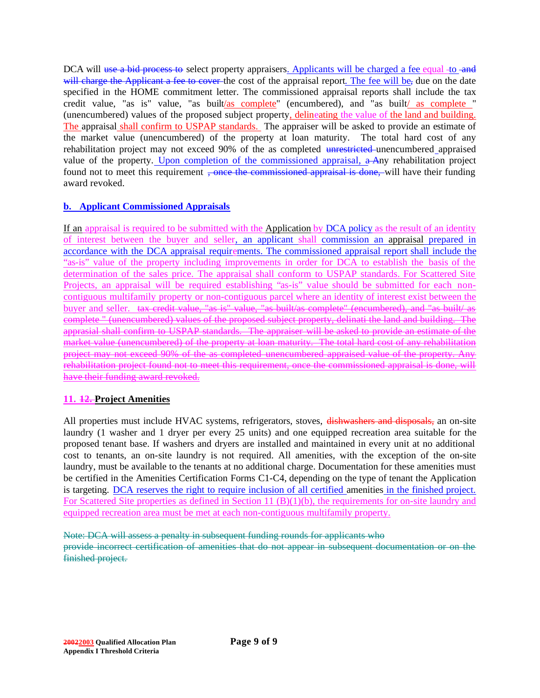DCA will use a bid process to select property appraisers. Applicants will be charged a fee equal to and will charge the Applicant a fee to cover the cost of the appraisal report. The fee will be, due on the date specified in the HOME commitment letter. The commissioned appraisal reports shall include the tax credit value, "as is" value, "as built/as complete" (encumbered), and "as built/ as complete " (unencumbered) values of the proposed subject property, delineating the value of the land and building. The appraisal shall confirm to USPAP standards. The appraiser will be asked to provide an estimate of the market value (unencumbered) of the property at loan maturity. The total hard cost of any rehabilitation project may not exceed 90% of the as completed unrestricted unencumbered appraised value of the property. Upon completion of the commissioned appraisal, a Any rehabilitation project found not to meet this requirement <del>, once the commissioned appraisal is done,</del> will have their funding award revoked.

# **b. Applicant Commissioned Appraisals**

If an appraisal is required to be submitted with the Application by DCA policy as the result of an identity of interest between the buyer and seller, an applicant shall commission an appraisal prepared in accordance with the DCA appraisal requirements. The commissioned appraisal report shall include the "as-is" value of the property including improvements in order for DCA to establish the basis of the determination of the sales price. The appraisal shall conform to USPAP standards. For Scattered Site Projects, an appraisal will be required establishing "as-is" value should be submitted for each noncontiguous multifamily property or non-contiguous parcel where an identity of interest exist between the buyer and seller. tax credit value, "as is" value, "as built/as complete" (encumbered), and "as built/ as complete " (unencumbered) values of the proposed subject property, delinati the land and building. The apprasial shall confirm to USPAP standards. The appraiser will be asked to provide an estimate of the market value (unencumbered) of the property at loan maturity. The total hard cost of any rehabilitation project may not exceed 90% of the as completed unencumbered appraised value of the property. Any rehabilitation project found not to meet this requirement, once the commissioned appraisal is done, will have their funding award revoked.

# **11. 12. Project Amenities**

All properties must include HVAC systems, refrigerators, stoves, dishwashers and disposals, an on-site laundry (1 washer and 1 dryer per every 25 units) and one equipped recreation area suitable for the proposed tenant base. If washers and dryers are installed and maintained in every unit at no additional cost to tenants, an on-site laundry is not required. All amenities, with the exception of the on-site laundry, must be available to the tenants at no additional charge. Documentation for these amenities must be certified in the Amenities Certification Forms C1-C4, depending on the type of tenant the Application is targeting. DCA reserves the right to require inclusion of all certified amenities in the finished project. For Scattered Site properties as defined in Section 11 (B)(1)(b), the requirements for on-site laundry and equipped recreation area must be met at each non-contiguous multifamily property.

Note: DCA will assess a penalty in subsequent funding rounds for applicants who

provide incorrect certification of amenities that do not appear in subsequent documentation or on the finished project.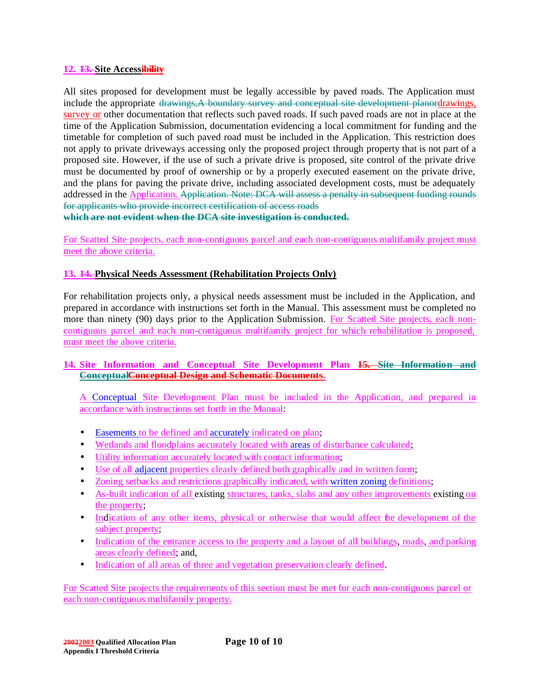#### **12. 13. Site Accessibility**

All sites proposed for development must be legally accessible by paved roads. The Application must include the appropriate drawings, A boundary survey and conceptual site development planordrawings, survey or other documentation that reflects such paved roads. If such paved roads are not in place at the time of the Application Submission, documentation evidencing a local commitment for funding and the timetable for completion of such paved road must be included in the Application. This restriction does not apply to private driveways accessing only the proposed project through property that is not part of a proposed site. However, if the use of such a private drive is proposed, site control of the private drive must be documented by proof of ownership or by a properly executed easement on the private drive, and the plans for paving the private drive, including associated development costs, must be adequately addressed in the Application. Application. Note: DCA will assess a penalty in subsequent funding rounds for applicants who provide incorrect certification of access roads

**which are not evident when the DCA site investigation is conducted.**

For Scatted Site projects, each non-contiguous parcel and each non-contiguous multifamily project must meet the above criteria.

# **13. 14. Physical Needs Assessment (Rehabilitation Projects Only)**

For rehabilitation projects only, a physical needs assessment must be included in the Application, and prepared in accordance with instructions set forth in the Manual. This assessment must be completed no more than ninety (90) days prior to the Application Submission. For Scatted Site projects, each noncontiguous parcel and each non-contiguous multifamily project for which rehabilitation is proposed, must meet the above criteria.

## **14. Site Information and Conceptual Site Development Plan 15. Site Information and ConceptualConceptual Design and Schematic Documents.**

A Conceptual Site Development Plan must be included in the Application, and prepared in accordance with instructions set forth in the Manual:

- Easements to be defined and accurately indicated on plan;
- Wetlands and floodplains accurately located with areas of disturbance calculated;
- Utility information accurately located with contact information;
- Use of all adjacent properties clearly defined both graphically and in written form;
- Zoning setbacks and restrictions graphically indicated, with written zoning definitions;
- As-built indication of all existing structures, tanks, slabs and any other improvements existing on the property;
- Indication of any other items, physical or otherwise that would affect the development of the subject property;
- Indication of the entrance access to the property and a layout of all buildings, roads, and parking areas clearly defined; and,
- Indication of all areas of three and vegetation preservation clearly defined.

For Scatted Site projects the requirements of this section must be met for each non-contiguous parcel or each non-contiguous multifamily property.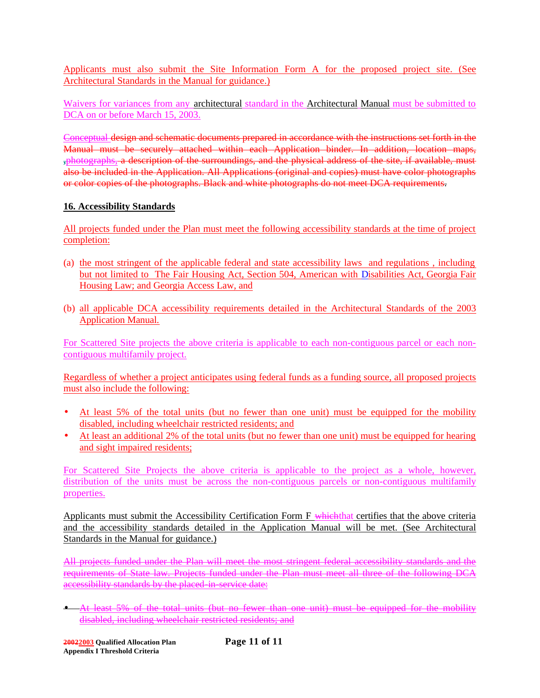Applicants must also submit the Site Information Form A for the proposed project site. (See Architectural Standards in the Manual for guidance.)

Waivers for variances from any architectural standard in the Architectural Manual must be submitted to DCA on or before March 15, 2003.

Conceptual design and schematic documents prepared in accordance with the instructions set forth in the Manual must be securely attached within each Application binder. In addition, location maps, **,**photographs, a description of the surroundings, and the physical address of the site, if available, must also be included in the Application. All Applications (original and copies) must have color photographs or color copies of the photographs. Black and white photographs do not meet DCA requirements.

# **16. Accessibility Standards**

All projects funded under the Plan must meet the following accessibility standards at the time of project completion:

- (a) the most stringent of the applicable federal and state accessibility laws and regulations , including but not limited to The Fair Housing Act, Section 504, American with Disabilities Act, Georgia Fair Housing Law; and Georgia Access Law, and
- (b) all applicable DCA accessibility requirements detailed in the Architectural Standards of the 2003 Application Manual.

For Scattered Site projects the above criteria is applicable to each non-contiguous parcel or each noncontiguous multifamily project.

Regardless of whether a project anticipates using federal funds as a funding source, all proposed projects must also include the following:

- At least 5% of the total units (but no fewer than one unit) must be equipped for the mobility disabled, including wheelchair restricted residents; and
- At least an additional 2% of the total units (but no fewer than one unit) must be equipped for hearing and sight impaired residents;

For Scattered Site Projects the above criteria is applicable to the project as a whole, however, distribution of the units must be across the non-contiguous parcels or non-contiguous multifamily properties.

Applicants must submit the Accessibility Certification Form F which that certifies that the above criteria and the accessibility standards detailed in the Application Manual will be met. (See Architectural Standards in the Manual for guidance.)

All projects funded under the Plan will meet the most stringent federal accessibility standards and the requirements of State law. Projects funded under the Plan must meet all three of the following DCA accessibility standards by the placed-in-service date:

• At least 5% of the total units (but no fewer than one unit) must be equipped for the mobility disabled, including wheelchair restricted residents; and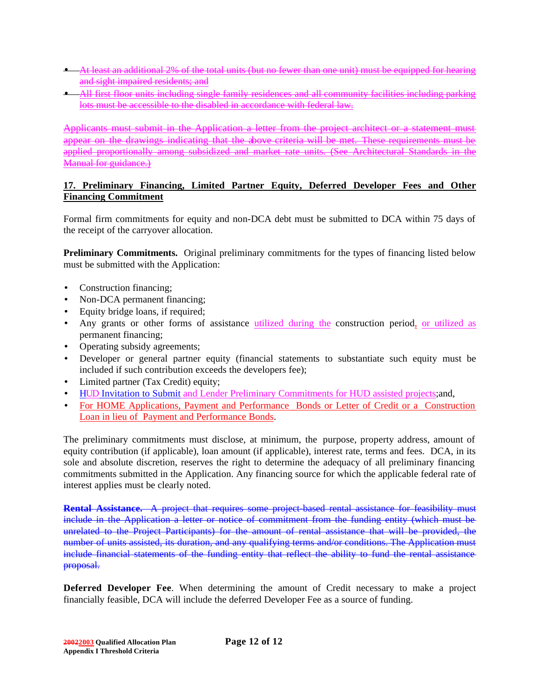- At least an additional 2% of the total units (but no fewer than one unit) must be equipped for hearing and sight impaired residents; and
- All first floor units including single family residences and all community facilities including parking lots must be accessible to the disabled in accordance with federal law.

Applicants must submit in the Application a letter from the project architect or a statement must appear on the drawings indicating that the above criteria will be met. These requirements must be applied proportionally among subsidized and market rate units. (See Architectural Standards in the Manual for guidance.)

## **17. Preliminary Financing, Limited Partner Equity, Deferred Developer Fees and Other Financing Commitment**

Formal firm commitments for equity and non-DCA debt must be submitted to DCA within 75 days of the receipt of the carryover allocation.

**Preliminary Commitments.** Original preliminary commitments for the types of financing listed below must be submitted with the Application:

- Construction financing;
- Non-DCA permanent financing;
- Equity bridge loans, if required;
- Any grants or other forms of assistance utilized during the construction period, or utilized as permanent financing;
- Operating subsidy agreements;
- Developer or general partner equity (financial statements to substantiate such equity must be included if such contribution exceeds the developers fee);
- Limited partner (Tax Credit) equity;
- HUD Invitation to Submit and Lender Preliminary Commitments for HUD assisted projects;and,
- For HOME Applications, Payment and Performance Bonds or Letter of Credit or a Construction Loan in lieu of Payment and Performance Bonds.

The preliminary commitments must disclose, at minimum, the purpose, property address, amount of equity contribution (if applicable), loan amount (if applicable), interest rate, terms and fees. DCA, in its sole and absolute discretion, reserves the right to determine the adequacy of all preliminary financing commitments submitted in the Application. Any financing source for which the applicable federal rate of interest applies must be clearly noted.

**Rental Assistance.** A project that requires some project-based rental assistance for feasibility must include in the Application a letter or notice of commitment from the funding entity (which must be unrelated to the Project Participants) for the amount of rental assistance that will be provided, the number of units assisted, its duration, and any qualifying terms and/or conditions. The Application must include financial statements of the funding entity that reflect the ability to fund the rental assistance proposal.

**Deferred Developer Fee**. When determining the amount of Credit necessary to make a project financially feasible, DCA will include the deferred Developer Fee as a source of funding.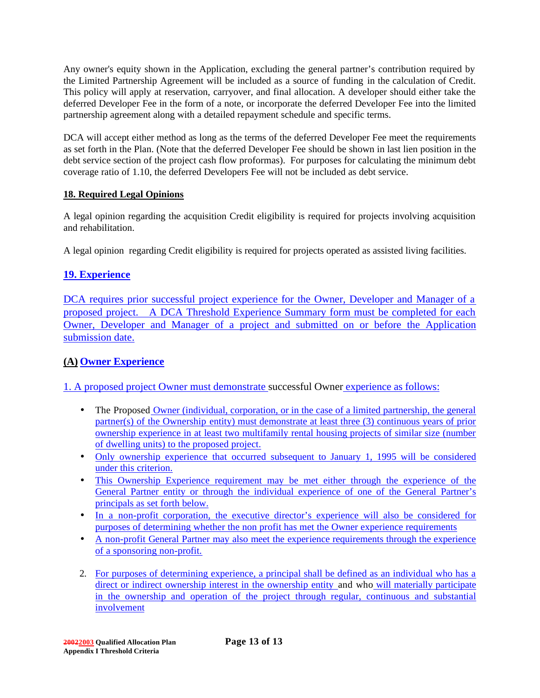Any owner's equity shown in the Application, excluding the general partner's contribution required by the Limited Partnership Agreement will be included as a source of funding in the calculation of Credit. This policy will apply at reservation, carryover, and final allocation. A developer should either take the deferred Developer Fee in the form of a note, or incorporate the deferred Developer Fee into the limited partnership agreement along with a detailed repayment schedule and specific terms.

DCA will accept either method as long as the terms of the deferred Developer Fee meet the requirements as set forth in the Plan. (Note that the deferred Developer Fee should be shown in last lien position in the debt service section of the project cash flow proformas). For purposes for calculating the minimum debt coverage ratio of 1.10, the deferred Developers Fee will not be included as debt service.

# **18. Required Legal Opinions**

A legal opinion regarding the acquisition Credit eligibility is required for projects involving acquisition and rehabilitation.

A legal opinion regarding Credit eligibility is required for projects operated as assisted living facilities.

# **19. Experience**

DCA requires prior successful project experience for the Owner, Developer and Manager of a proposed project. A DCA Threshold Experience Summary form must be completed for each Owner, Developer and Manager of a project and submitted on or before the Application submission date.

# **(A) Owner Experience**

1. A proposed project Owner must demonstrate successful Owner experience as follows:

- The Proposed Owner (individual, corporation, or in the case of a limited partnership, the general partner(s) of the Ownership entity) must demonstrate at least three (3) continuous years of prior ownership experience in at least two multifamily rental housing projects of similar size (number of dwelling units) to the proposed project.
- Only ownership experience that occurred subsequent to January 1, 1995 will be considered under this criterion.
- This Ownership Experience requirement may be met either through the experience of the General Partner entity or through the individual experience of one of the General Partner's principals as set forth below.
- In a non-profit corporation, the executive director's experience will also be considered for purposes of determining whether the non profit has met the Owner experience requirements
- A non-profit General Partner may also meet the experience requirements through the experience of a sponsoring non-profit.
- 2. For purposes of determining experience, a principal shall be defined as an individual who has a direct or indirect ownership interest in the ownership entity and who will materially participate in the ownership and operation of the project through regular, continuous and substantial involvement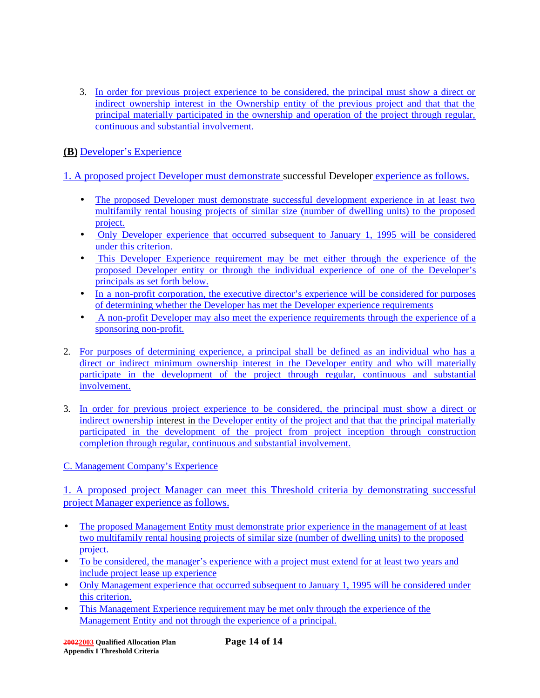3. In order for previous project experience to be considered, the principal must show a direct or indirect ownership interest in the Ownership entity of the previous project and that that the principal materially participated in the ownership and operation of the project through regular, continuous and substantial involvement.

**(B)** Developer's Experience

1. A proposed project Developer must demonstrate successful Developer experience as follows.

- The proposed Developer must demonstrate successful development experience in at least two multifamily rental housing projects of similar size (number of dwelling units) to the proposed project.
- Only Developer experience that occurred subsequent to January 1, 1995 will be considered under this criterion.
- This Developer Experience requirement may be met either through the experience of the proposed Developer entity or through the individual experience of one of the Developer's principals as set forth below.
- In a non-profit corporation, the executive director's experience will be considered for purposes of determining whether the Developer has met the Developer experience requirements
- A non-profit Developer may also meet the experience requirements through the experience of a sponsoring non-profit.
- 2. For purposes of determining experience, a principal shall be defined as an individual who has a direct or indirect minimum ownership interest in the Developer entity and who will materially participate in the development of the project through regular, continuous and substantial involvement.
- 3. In order for previous project experience to be considered, the principal must show a direct or indirect ownership interest in the Developer entity of the project and that that the principal materially participated in the development of the project from project inception through construction completion through regular, continuous and substantial involvement.

C. Management Company's Experience

1. A proposed project Manager can meet this Threshold criteria by demonstrating successful project Manager experience as follows.

- The proposed Management Entity must demonstrate prior experience in the management of at least two multifamily rental housing projects of similar size (number of dwelling units) to the proposed project.
- To be considered, the manager's experience with a project must extend for at least two years and include project lease up experience
- Only Management experience that occurred subsequent to January 1, 1995 will be considered under this criterion.
- This Management Experience requirement may be met only through the experience of the Management Entity and not through the experience of a principal.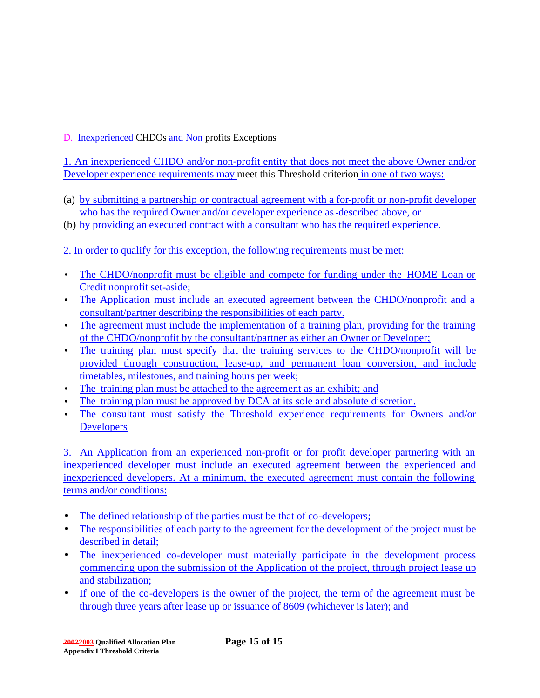# D. Inexperienced CHDOs and Non profits Exceptions

1. An inexperienced CHDO and/or non-profit entity that does not meet the above Owner and/or Developer experience requirements may meet this Threshold criterion in one of two ways:

- (a) by submitting a partnership or contractual agreement with a for-profit or non-profit developer who has the required Owner and/or developer experience as -described above, or
- (b) by providing an executed contract with a consultant who has the required experience.
- 2. In order to qualify for this exception, the following requirements must be met:
- The CHDO/nonprofit must be eligible and compete for funding under the HOME Loan or Credit nonprofit set-aside;
- The Application must include an executed agreement between the CHDO/nonprofit and a consultant/partner describing the responsibilities of each party.
- The agreement must include the implementation of a training plan, providing for the training of the CHDO/nonprofit by the consultant/partner as either an Owner or Developer;
- The training plan must specify that the training services to the CHDO/nonprofit will be provided through construction, lease-up, and permanent loan conversion, and include timetables, milestones, and training hours per week;
- The training plan must be attached to the agreement as an exhibit; and
- The training plan must be approved by DCA at its sole and absolute discretion.
- The consultant must satisfy the Threshold experience requirements for Owners and/or **Developers**

3. An Application from an experienced non-profit or for profit developer partnering with an inexperienced developer must include an executed agreement between the experienced and inexperienced developers. At a minimum, the executed agreement must contain the following terms and/or conditions:

- The defined relationship of the parties must be that of co-developers;
- The responsibilities of each party to the agreement for the development of the project must be described in detail;
- The inexperienced co-developer must materially participate in the development process commencing upon the submission of the Application of the project, through project lease up and stabilization;
- If one of the co-developers is the owner of the project, the term of the agreement must be through three years after lease up or issuance of 8609 (whichever is later); and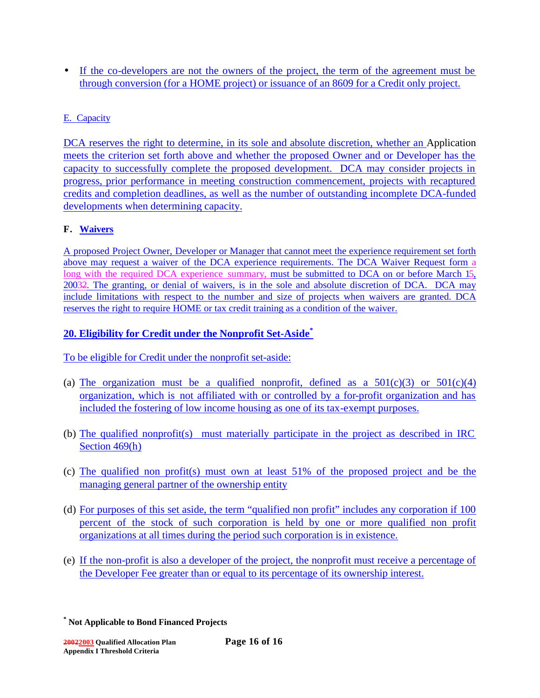• If the co-developers are not the owners of the project, the term of the agreement must be through conversion (for a HOME project) or issuance of an 8609 for a Credit only project.

# E. Capacity

DCA reserves the right to determine, in its sole and absolute discretion, whether an Application meets the criterion set forth above and whether the proposed Owner and or Developer has the capacity to successfully complete the proposed development. DCA may consider projects in progress, prior performance in meeting construction commencement, projects with recaptured credits and completion deadlines, as well as the number of outstanding incomplete DCA-funded developments when determining capacity.

# **F. Waivers**

A proposed Project Owner, Developer or Manager that cannot meet the experience requirement set forth above may request a waiver of the DCA experience requirements. The DCA Waiver Request form a long with the required DCA experience summary, must be submitted to DCA on or before March 15, 20032. The granting, or denial of waivers, is in the sole and absolute discretion of DCA. DCA may include limitations with respect to the number and size of projects when waivers are granted. DCA reserves the right to require HOME or tax credit training as a condition of the waiver.

# **20. Eligibility for Credit under the Nonprofit Set-Aside\***

To be eligible for Credit under the nonprofit set-aside:

- (a) The organization must be a qualified nonprofit, defined as a  $501(c)(3)$  or  $501(c)(4)$ organization, which is not affiliated with or controlled by a for-profit organization and has included the fostering of low income housing as one of its tax-exempt purposes.
- (b) The qualified nonprofit(s) must materially participate in the project as described in IRC Section 469(h)
- (c) The qualified non profit(s) must own at least 51% of the proposed project and be the managing general partner of the ownership entity
- (d) For purposes of this set aside, the term "qualified non profit" includes any corporation if 100 percent of the stock of such corporation is held by one or more qualified non profit organizations at all times during the period such corporation is in existence.
- (e) If the non-profit is also a developer of the project, the nonprofit must receive a percentage of the Developer Fee greater than or equal to its percentage of its ownership interest.

**<sup>\*</sup> Not Applicable to Bond Financed Projects**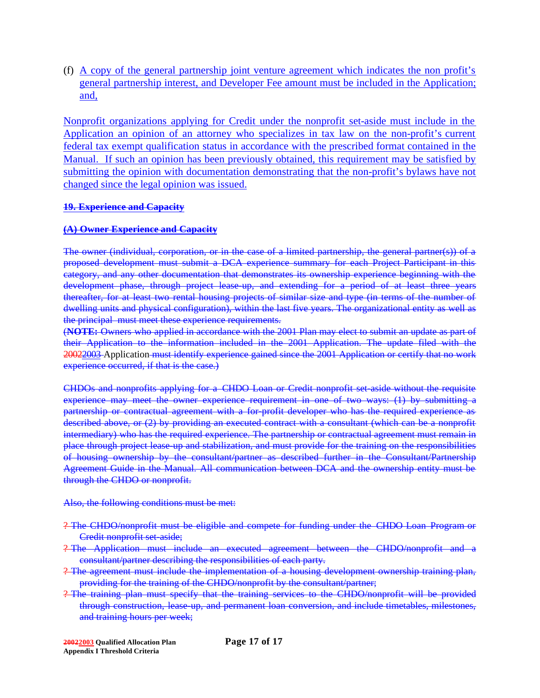(f) A copy of the general partnership joint venture agreement which indicates the non profit's general partnership interest, and Developer Fee amount must be included in the Application; and,

Nonprofit organizations applying for Credit under the nonprofit set-aside must include in the Application an opinion of an attorney who specializes in tax law on the non-profit's current federal tax exempt qualification status in accordance with the prescribed format contained in the Manual. If such an opinion has been previously obtained, this requirement may be satisfied by submitting the opinion with documentation demonstrating that the non-profit's bylaws have not changed since the legal opinion was issued.

#### **19. Experience and Capacity**

## **(A) Owner Experience and Capacity**

The owner (individual, corporation, or in the case of a limited partnership, the general partner(s)) of a proposed development must submit a DCA experience summary for each Project Participant in this category, and any other documentation that demonstrates its ownership experience beginning with the development phase, through project lease up, and extending for a period of at least three years thereafter, for at least two rental housing projects of similar size and type (in terms of the number of dwelling units and physical configuration), within the last five years. The organizational entity as well as the principal must meet these experience requirements.

(**NOTE:** Owners who applied in accordance with the 2001 Plan may elect to submit an update as part of their Application to the information included in the 2001 Application. The update filed with the 20022003 Application must identify experience gained since the 2001 Application or certify that no work experience occurred, if that is the case.)

CHDOs and nonprofits applying for a CHDO Loan or Credit nonprofit set-aside without the requisite experience may meet the owner experience requirement in one of two ways: (1) by submitting a partnership or contractual agreement with a for-profit developer who has the required experience as described above, or (2) by providing an executed contract with a consultant (which can be a nonprofit intermediary) who has the required experience. The partnership or contractual agreement must remain in place through project lease-up and stabilization, and must provide for the training on the responsibilities of housing ownership by the consultant/partner as described further in the Consultant/Partnership Agreement Guide in the Manual. All communication between DCA and the ownership entity must be through the CHDO or nonprofit.

Also, the following conditions must be met:

- ? The CHDO/nonprofit must be eligible and compete for funding under the CHDO Loan Program or Credit nonprofit set-aside;
- ? The Application must include an executed agreement between the CHDO/nonprofit and a consultant/partner describing the responsibilities of each party.
- ? The agreement must include the implementation of a housing development ownership training plan, providing for the training of the CHDO/nonprofit by the consultant/partner;
- ? The training plan must specify that the training services to the CHDO/nonprofit will be provided through construction, lease-up, and permanent loan conversion, and include timetables, milestones, and training hours per week;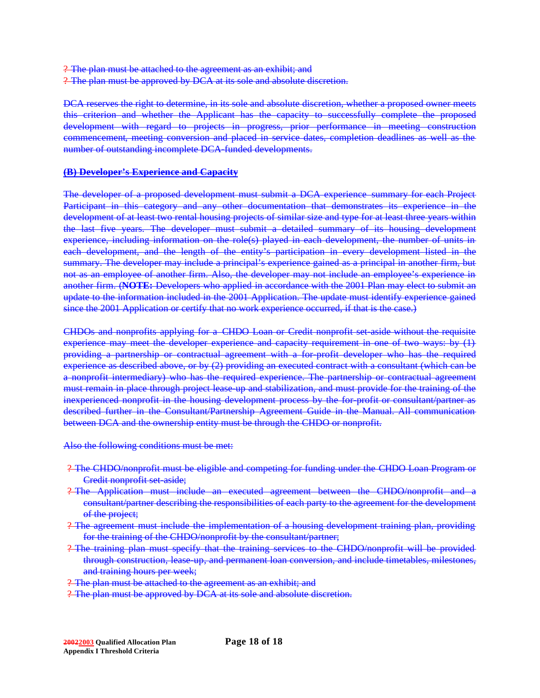? The plan must be attached to the agreement as an exhibit; and ? The plan must be approved by DCA at its sole and absolute discretion.

DCA reserves the right to determine, in its sole and absolute discretion, whether a proposed owner meets this criterion and whether the Applicant has the capacity to successfully complete the proposed development with regard to projects in progress, prior performance in meeting construction commencement, meeting conversion and placed in service dates, completion deadlines as well as the number of outstanding incomplete DCA-funded developments.

# **(B) Developer's Experience and Capacity**

The developer of a proposed development must submit a DCA experience summary for each Project Participant in this category and any other documentation that demonstrates its experience in the development of at least two rental housing projects of similar size and type for at least three years within the last five years. The developer must submit a detailed summary of its housing development experience, including information on the role(s) played in each development, the number of units in each development, and the length of the entity's participation in every development listed in the summary. The developer may include a principal's experience gained as a principal in another firm, but not as an employee of another firm. Also, the developer may not include an employee's experience in another firm. (**NOTE:** Developers who applied in accordance with the 2001 Plan may elect to submit an update to the information included in the 2001 Application. The update must identify experience gained since the 2001 Application or certify that no work experience occurred, if that is the case.)

CHDOs and nonprofits applying for a CHDO Loan or Credit nonprofit set-aside without the requisite experience may meet the developer experience and capacity requirement in one of two ways: by (1) providing a partnership or contractual agreement with a for-profit developer who has the required experience as described above, or by (2) providing an executed contract with a consultant (which can be a nonprofit intermediary) who has the required experience. The partnership or contractual agreement must remain in place through project lease-up and stabilization, and must provide for the training of the inexperienced nonprofit in the housing development process by the for-profit or consultant/partner as described further in the Consultant/Partnership Agreement Guide in the Manual. All communication between DCA and the ownership entity must be through the CHDO or nonprofit.

Also the following conditions must be met:

- ? The CHDO/nonprofit must be eligible and competing for funding under the CHDO Loan Program or Credit nonprofit set-aside;
- ? The Application must include an executed agreement between the CHDO/nonprofit and a consultant/partner describing the responsibilities of each party to the agreement for the development of the project;
- ? The agreement must include the implementation of a housing development training plan, providing for the training of the CHDO/nonprofit by the consultant/partner;
- ? The training plan must specify that the training services to the CHDO/nonprofit will be provided through construction, lease-up, and permanent loan conversion, and include timetables, milestones, and training hours per week;
- ? The plan must be attached to the agreement as an exhibit; and
- ? The plan must be approved by DCA at its sole and absolute discretion.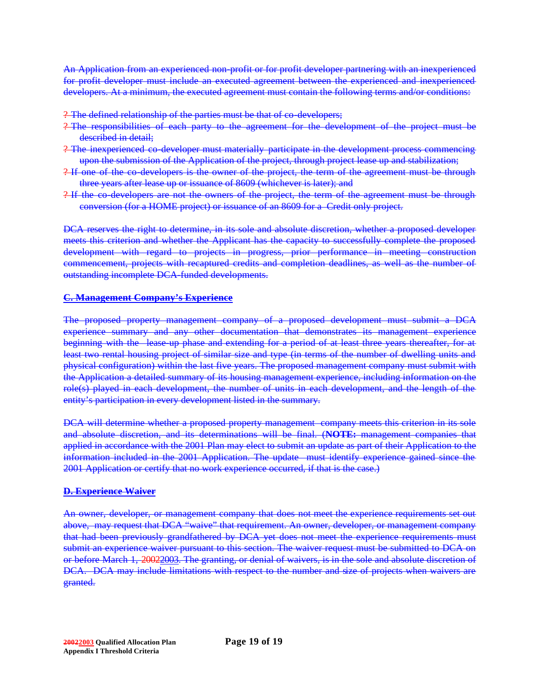An Application from an experienced non-profit or for profit developer partnering with an inexperienced for profit developer must include an executed agreement between the experienced and inexperienced developers. At a minimum, the executed agreement must contain the following terms and/or conditions:

? The defined relationship of the parties must be that of co-developers;

- ? The responsibilities of each party to the agreement for the development of the project must be described in detail;
- ? The inexperienced co-developer must materially participate in the development process commencing upon the submission of the Application of the project, through project lease up and stabilization;
- ? If one of the co-developers is the owner of the project, the term of the agreement must be through three years after lease up or issuance of 8609 (whichever is later); and
- ? If the co-developers are not the owners of the project, the term of the agreement must be through conversion (for a HOME project) or issuance of an 8609 for a Credit only project.

DCA reserves the right to determine, in its sole and absolute discretion, whether a proposed developer meets this criterion and whether the Applicant has the capacity to successfully complete the proposed development with regard to projects in progress, prior performance in meeting construction commencement, projects with recaptured credits and completion deadlines, as well as the number of outstanding incomplete DCA-funded developments.

#### **C. Management Company's Experience**

The proposed property management company of a proposed development must submit a DCA experience summary and any other documentation that demonstrates its management experience beginning with the lease up phase and extending for a period of at least three years thereafter, for at least two rental housing project of similar size and type (in terms of the number of dwelling units and physical configuration) within the last five years. The proposed management company must submit with the Application a detailed summary of its housing management experience, including information on the role(s) played in each development, the number of units in each development, and the length of the entity's participation in every development listed in the summary.

DCA will determine whether a proposed property management company meets this criterion in its sole and absolute discretion, and its determinations will be final. (**NOTE:** management companies that applied in accordance with the 2001 Plan may elect to submit an update as part of their Application to the information included in the 2001 Application. The update must identify experience gained since the 2001 Application or certify that no work experience occurred, if that is the case.)

#### **D. Experience Waiver**

An owner, developer, or management company that does not meet the experience requirements set out above, may request that DCA "waive" that requirement. An owner, developer, or management company that had been previously grandfathered by DCA yet does not meet the experience requirements must submit an experience waiver pursuant to this section. The waiver request must be submitted to DCA on or before March 1, 20022003. The granting, or denial of waivers, is in the sole and absolute discretion of DCA. DCA may include limitations with respect to the number and size of projects when waivers are granted.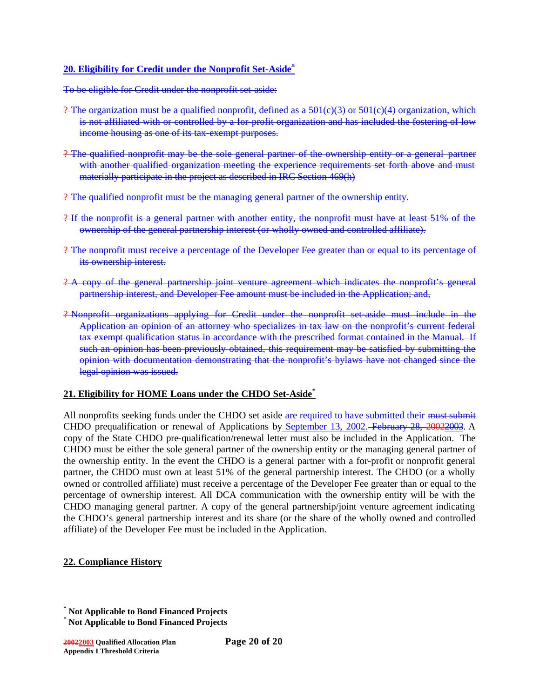#### **20. Eligibility for Credit under the Nonprofit Set-Aside\***

To be eligible for Credit under the nonprofit set-aside:

- ? The organization must be a qualified nonprofit, defined as a  $501(e)(3)$  or  $501(e)(4)$  organization, which is not affiliated with or controlled by a for-profit organization and has included the fostering of low income housing as one of its tax-exempt purposes.
- ? The qualified nonprofit may be the sole general partner of the ownership entity or a general partner with another qualified organization meeting the experience requirements set forth above and must materially participate in the project as described in IRC Section 469(h)
- ? The qualified nonprofit must be the managing general partner of the ownership entity.
- ? If the nonprofit is a general partner with another entity, the nonprofit must have at least 51% of the ownership of the general partnership interest (or wholly owned and controlled affiliate).
- ? The nonprofit must receive a percentage of the Developer Fee greater than or equal to its percentage of its ownership interest.
- ? A copy of the general partnership joint venture agreement which indicates the nonprofit's general partnership interest, and Developer Fee amount must be included in the Application; and,
- ? Nonprofit organizations applying for Credit under the nonprofit set-aside must include in the Application an opinion of an attorney who specializes in tax law on the nonprofit's current federal tax exempt qualification status in accordance with the prescribed format contained in the Manual. If such an opinion has been previously obtained, this requirement may be satisfied by submitting the opinion with documentation demonstrating that the nonprofit's bylaws have not changed since the legal opinion was issued.

# **21. Eligibility for HOME Loans under the CHDO Set-Aside\***

All nonprofits seeking funds under the CHDO set aside are required to have submitted their must submit CHDO prequalification or renewal of Applications by September 13, 2002. February 28, 20022003. A copy of the State CHDO pre-qualification/renewal letter must also be included in the Application. The CHDO must be either the sole general partner of the ownership entity or the managing general partner of the ownership entity. In the event the CHDO is a general partner with a for-profit or nonprofit general partner, the CHDO must own at least 51% of the general partnership interest. The CHDO (or a wholly owned or controlled affiliate) must receive a percentage of the Developer Fee greater than or equal to the percentage of ownership interest. All DCA communication with the ownership entity will be with the CHDO managing general partner. A copy of the general partnership/joint venture agreement indicating the CHDO's general partnership interest and its share (or the share of the wholly owned and controlled affiliate) of the Developer Fee must be included in the Application.

# **22. Compliance History**

**<sup>\*</sup> Not Applicable to Bond Financed Projects**

**<sup>\*</sup> Not Applicable to Bond Financed Projects**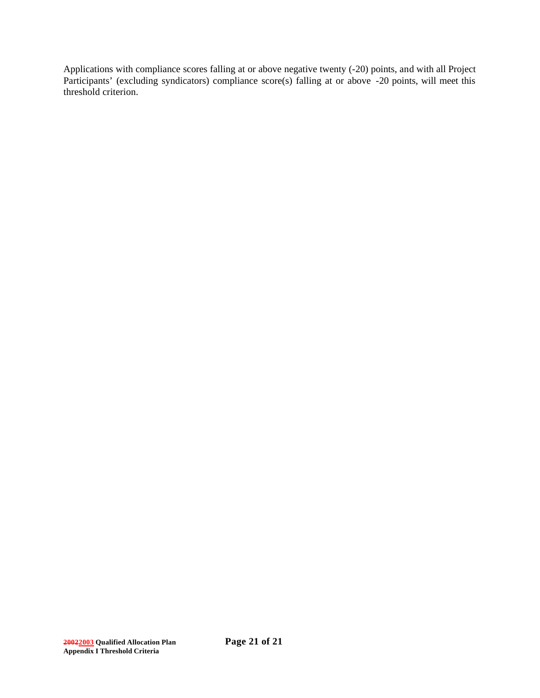Applications with compliance scores falling at or above negative twenty (-20) points, and with all Project Participants' (excluding syndicators) compliance score(s) falling at or above -20 points, will meet this threshold criterion.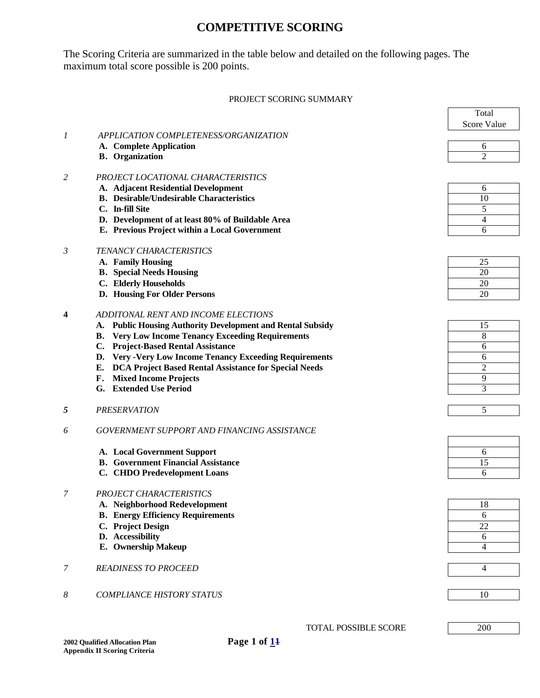# **COMPETITIVE SCORING**

The Scoring Criteria are summarized in the table below and detailed on the following pages. The maximum total score possible is 200 points.

#### PROJECT SCORING SUMMARY

 $\mathbf{r}$ 

|                |                                                                      | Total          |
|----------------|----------------------------------------------------------------------|----------------|
|                |                                                                      | Score Value    |
| 1              | APPLICATION COMPLETENESS/ORGANIZATION                                |                |
|                | A. Complete Application                                              | 6              |
|                | <b>B.</b> Organization                                               | $\overline{2}$ |
|                |                                                                      |                |
| 2              | PROJECT LOCATIONAL CHARACTERISTICS                                   |                |
|                | A. Adjacent Residential Development                                  | 6              |
|                | <b>B.</b> Desirable/Undesirable Characteristics                      | 10             |
|                | C. In-fill Site                                                      | 5              |
|                | D. Development of at least 80% of Buildable Area                     | 4              |
|                | E. Previous Project within a Local Government                        | 6              |
|                |                                                                      |                |
| $\mathfrak{Z}$ | TENANCY CHARACTERISTICS                                              |                |
|                | A. Family Housing                                                    | 25             |
|                | <b>B.</b> Special Needs Housing                                      | 20             |
|                | C. Elderly Households                                                | 20             |
|                | D. Housing For Older Persons                                         | 20             |
|                |                                                                      |                |
| 4              | ADDITONAL RENT AND INCOME ELECTIONS                                  |                |
|                | <b>Public Housing Authority Development and Rental Subsidy</b><br>А. | 15             |
|                | <b>Very Low Income Tenancy Exceeding Requirements</b><br><b>B.</b>   | 8              |
|                | <b>Project-Based Rental Assistance</b><br>C.                         | 6              |
|                | <b>Very-Very Low Income Tenancy Exceeding Requirements</b><br>D.     | 6              |
|                | DCA Project Based Rental Assistance for Special Needs<br>Е.          | $\overline{2}$ |
|                | <b>Mixed Income Projects</b><br>F.                                   | 9              |
|                | G. Extended Use Period                                               | 3              |
|                |                                                                      |                |
| 5              | <b>PRESERVATION</b>                                                  | 5              |
|                | GOVERNMENT SUPPORT AND FINANCING ASSISTANCE                          |                |
| 6              |                                                                      |                |
|                | A. Local Government Support                                          | 6              |
|                | <b>B.</b> Government Financial Assistance                            | 15             |
|                | C. CHDO Predevelopment Loans                                         | 6              |
|                |                                                                      |                |
| 7              | PROJECT CHARACTERISTICS                                              |                |
|                | A. Neighborhood Redevelopment                                        | 18             |
|                | <b>B.</b> Energy Efficiency Requirements                             | 6              |
|                | C. Project Design                                                    | 22             |
|                | D. Accessibility                                                     | 6              |
|                | E. Ownership Makeup                                                  | 4              |
|                |                                                                      |                |
| 7              | <b>READINESS TO PROCEED</b>                                          | $\overline{4}$ |
|                |                                                                      |                |
|                |                                                                      |                |
| 8              | <b>COMPLIANCE HISTORY STATUS</b>                                     | 10             |
|                |                                                                      |                |
|                |                                                                      |                |
|                | <b>TOTAL POSSIBLE SCORE</b>                                          | 200            |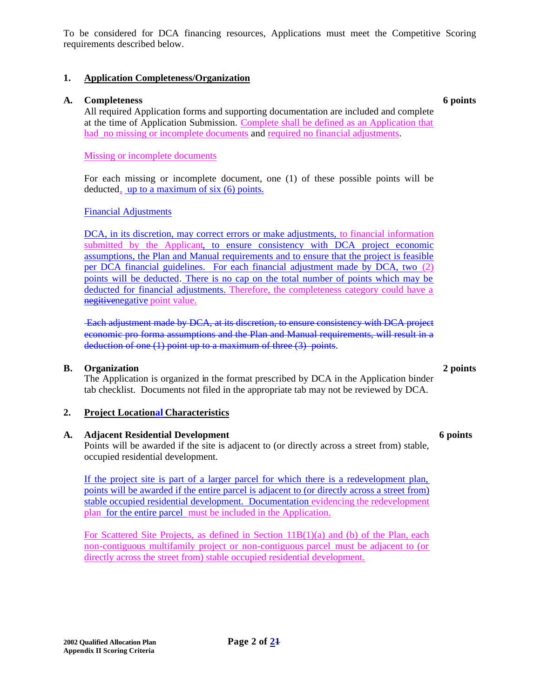To be considered for DCA financing resources, Applications must meet the Competitive Scoring requirements described below.

## **1. Application Completeness/Organization**

## **A. Completeness 6 points**

All required Application forms and supporting documentation are included and complete at the time of Application Submission. Complete shall be defined as an Application that had no missing or incomplete documents and required no financial adjustments.

Missing or incomplete documents

For each missing or incomplete document, one (1) of these possible points will be deducted, up to a maximum of six (6) points.

## Financial Adjustments

DCA, in its discretion, may correct errors or make adjustments, to financial information submitted by the Applicant, to ensure consistency with DCA project economic assumptions, the Plan and Manual requirements and to ensure that the project is feasible per DCA financial guidelines. For each financial adjustment made by DCA, two (2) points will be deducted. There is no cap on the total number of points which may be deducted for financial adjustments. Therefore, the completeness category could have a negitivenegative point value.

Each adjustment made by DCA, at its discretion, to ensure consistency with DCA project economic pro forma assumptions and the Plan and Manual requirements, will result in a deduction of one (1) point up to a maximum of three (3) points.

#### **B. Organization 2 points**

The Application is organized in the format prescribed by DCA in the Application binder tab checklist. Documents not filed in the appropriate tab may not be reviewed by DCA.

# **2. Project Locational Characteristics**

#### **A. Adjacent Residential Development 6 points**

Points will be awarded if the site is adjacent to (or directly across a street from) stable, occupied residential development.

If the project site is part of a larger parcel for which there is a redevelopment plan, points will be awarded if the entire parcel is adjacent to (or directly across a street from) stable occupied residential development. Documentation evidencing the redevelopment plan for the entire parcel must be included in the Application.

For Scattered Site Projects, as defined in Section 11B(1)(a) and (b) of the Plan, each non-contiguous multifamily project or non-contiguous parcel must be adjacent to (or directly across the street from) stable occupied residential development.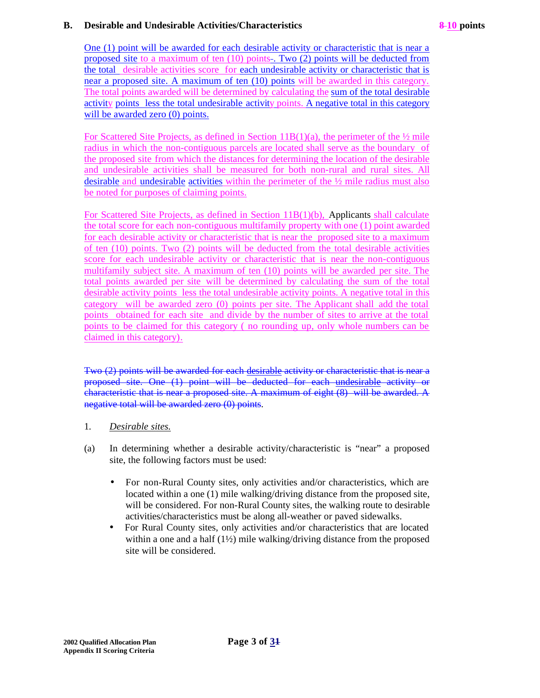## **B. Desirable and Undesirable Activities/Characteristics 8-10 points**

One (1) point will be awarded for each desirable activity or characteristic that is near a proposed site to a maximum of ten (10) points . Two (2) points will be deducted from the total desirable activities score for each undesirable activity or characteristic that is near a proposed site. A maximum of ten (10) points will be awarded in this category. The total points awarded will be determined by calculating the sum of the total desirable activity points less the total undesirable activity points. A negative total in this category will be awarded zero (0) points.

For Scattered Site Projects, as defined in Section  $11B(1)(a)$ , the perimeter of the  $\frac{1}{2}$  mile radius in which the non-contiguous parcels are located shall serve as the boundary of the proposed site from which the distances for determining the location of the desirable and undesirable activities shall be measured for both non-rural and rural sites. All desirable and undesirable activities within the perimeter of the ½ mile radius must also be noted for purposes of claiming points.

For Scattered Site Projects, as defined in Section 11B(1)(b), Applicants shall calculate the total score for each non-contiguous multifamily property with one (1) point awarded for each desirable activity or characteristic that is near the proposed site to a maximum of ten (10) points. Two (2) points will be deducted from the total desirable activities score for each undesirable activity or characteristic that is near the non-contiguous multifamily subject site. A maximum of ten (10) points will be awarded per site. The total points awarded per site will be determined by calculating the sum of the total desirable activity points less the total undesirable activity points. A negative total in this category will be awarded zero (0) points per site. The Applicant shall add the total points obtained for each site and divide by the number of sites to arrive at the total points to be claimed for this category ( no rounding up, only whole numbers can be claimed in this category).

Two (2) points will be awarded for each desirable activity or characteristic that is near a proposed site. One (1) point will be deducted for each undesirable activity or characteristic that is near a proposed site. A maximum of eight (8) will be awarded. A negative total will be awarded zero (0) points.

- 1. *Desirable sites.*
- (a) In determining whether a desirable activity/characteristic is "near" a proposed site, the following factors must be used:
	- For non-Rural County sites, only activities and/or characteristics, which are located within a one (1) mile walking/driving distance from the proposed site, will be considered. For non-Rural County sites, the walking route to desirable activities/characteristics must be along all-weather or paved sidewalks.
	- For Rural County sites, only activities and/or characteristics that are located within a one and a half  $(1\frac{1}{2})$  mile walking/driving distance from the proposed site will be considered.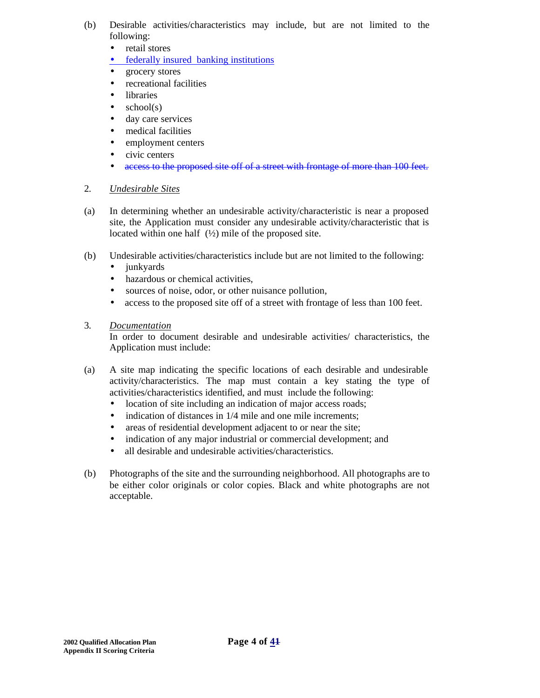- (b) Desirable activities/characteristics may include, but are not limited to the following:
	- retail stores
	- federally insured banking institutions
	- grocery stores
	- recreational facilities
	- libraries
	- $\bullet$  school(s)
	- day care services
	- medical facilities
	- employment centers
	- civic centers
	- access to the proposed site off of a street with frontage of more than 100 feet.

# 2. *Undesirable Sites*

- (a) In determining whether an undesirable activity/characteristic is near a proposed site, the Application must consider any undesirable activity/characteristic that is located within one half  $(½)$  mile of the proposed site.
- (b) Undesirable activities/characteristics include but are not limited to the following:
	- junkyards
	- hazardous or chemical activities.
	- sources of noise, odor, or other nuisance pollution,
	- access to the proposed site off of a street with frontage of less than 100 feet.

## 3. *Documentation*

In order to document desirable and undesirable activities/ characteristics, the Application must include:

- (a) A site map indicating the specific locations of each desirable and undesirable activity/characteristics. The map must contain a key stating the type of activities/characteristics identified, and must include the following:
	- location of site including an indication of major access roads;
	- indication of distances in  $1/4$  mile and one mile increments;
	- areas of residential development adjacent to or near the site;
	- indication of any major industrial or commercial development; and
	- all desirable and undesirable activities/characteristics.
- (b) Photographs of the site and the surrounding neighborhood. All photographs are to be either color originals or color copies. Black and white photographs are not acceptable.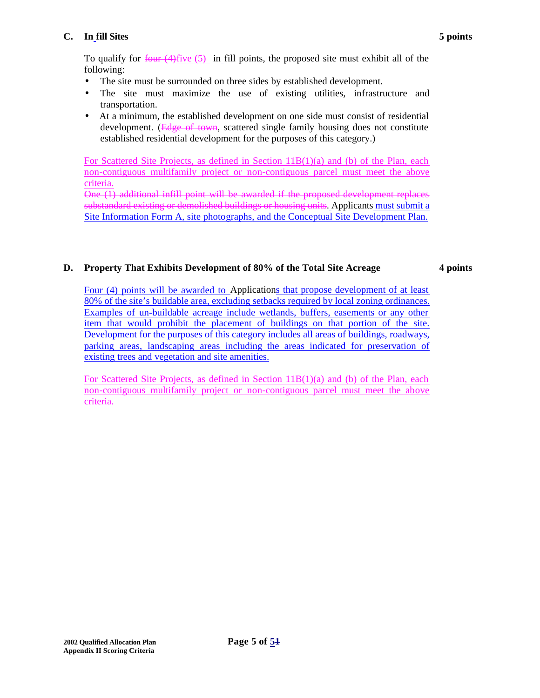# **C. In fill Sites 5 points**

To qualify for  $f_{\text{out}}(4)$  five (5) in fill points, the proposed site must exhibit all of the following:

- The site must be surrounded on three sides by established development.
- The site must maximize the use of existing utilities, infrastructure and transportation.
- At a minimum, the established development on one side must consist of residential development. (Edge of town, scattered single family housing does not constitute established residential development for the purposes of this category.)

For Scattered Site Projects, as defined in Section 11B(1)(a) and (b) of the Plan, each non-contiguous multifamily project or non-contiguous parcel must meet the above criteria.

One (1) additional infill point will be awarded if the proposed development replaces substandard existing or demolished buildings or housing units. Applicants must submit a Site Information Form A, site photographs, and the Conceptual Site Development Plan.

## **D. Property That Exhibits Development of 80% of the Total Site Acreage 4 points**

Four (4) points will be awarded to Applications that propose development of at least 80% of the site's buildable area, excluding setbacks required by local zoning ordinances. Examples of un-buildable acreage include wetlands, buffers, easements or any other item that would prohibit the placement of buildings on that portion of the site. Development for the purposes of this category includes all areas of buildings, roadways, parking areas, landscaping areas including the areas indicated for preservation of existing trees and vegetation and site amenities.

For Scattered Site Projects, as defined in Section 11B(1)(a) and (b) of the Plan, each non-contiguous multifamily project or non-contiguous parcel must meet the above criteria.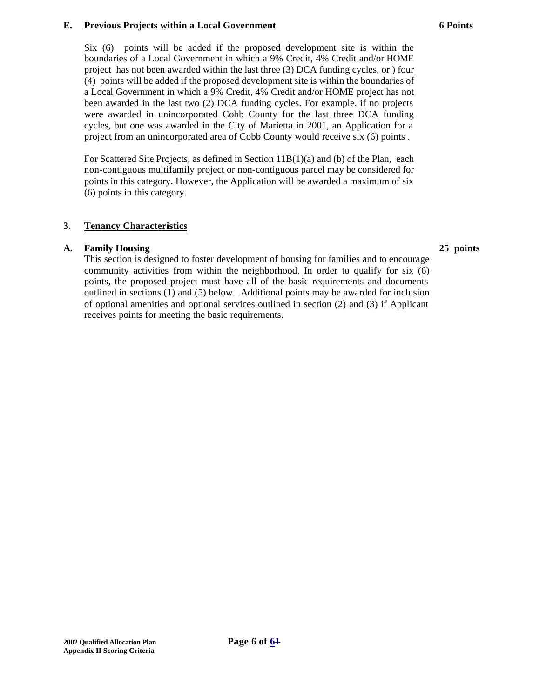#### **E. Previous Projects within a Local Government**

Six (6) points will be added if the proposed development site is within the boundaries of a Local Government in which a 9% Credit, 4% Credit and/or HOME project has not been awarded within the last three (3) DCA funding cycles, or ) four (4) points will be added if the proposed development site is within the boundaries of a Local Government in which a 9% Credit, 4% Credit and/or HOME project has not been awarded in the last two (2) DCA funding cycles. For example, if no projects were awarded in unincorporated Cobb County for the last three DCA funding cycles, but one was awarded in the City of Marietta in 2001, an Application for a project from an unincorporated area of Cobb County would receive six (6) points .

For Scattered Site Projects, as defined in Section 11B(1)(a) and (b) of the Plan, each non-contiguous multifamily project or non-contiguous parcel may be considered for points in this category. However, the Application will be awarded a maximum of six (6) points in this category.

## **3. Tenancy Characteristics**

## **A. Family Housing 25 points**

This section is designed to foster development of housing for families and to encourage community activities from within the neighborhood. In order to qualify for six (6) points, the proposed project must have all of the basic requirements and documents outlined in sections (1) and (5) below. Additional points may be awarded for inclusion of optional amenities and optional services outlined in section (2) and (3) if Applicant receives points for meeting the basic requirements.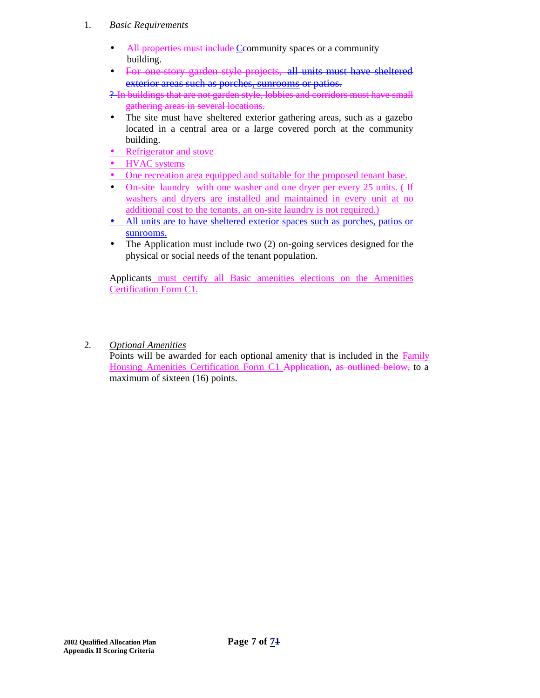## 1. *Basic Requirements*

- All properties must include Ceommunity spaces or a community building.
- For one story garden style projects, all units must have sheltered exterior areas such as porches, sunrooms or patios.

? In buildings that are not garden style, lobbies and corridors must have small gathering areas in several locations.

- The site must have sheltered exterior gathering areas, such as a gazebo located in a central area or a large covered porch at the community building.
- Refrigerator and stove
- **HVAC** systems
- One recreation area equipped and suitable for the proposed tenant base.
- On-site laundry with one washer and one dryer per every 25 units. (If washers and dryers are installed and maintained in every unit at no additional cost to the tenants, an on-site laundry is not required.)
- All units are to have sheltered exterior spaces such as porches, patios or sunrooms.
- The Application must include two (2) on-going services designed for the physical or social needs of the tenant population.

Applicants must certify all Basic amenities elections on the Amenities Certification Form C1.

2. *Optional Amenities*

Points will be awarded for each optional amenity that is included in the Family Housing Amenities Certification Form C1 Application, as outlined below, to a maximum of sixteen (16) points.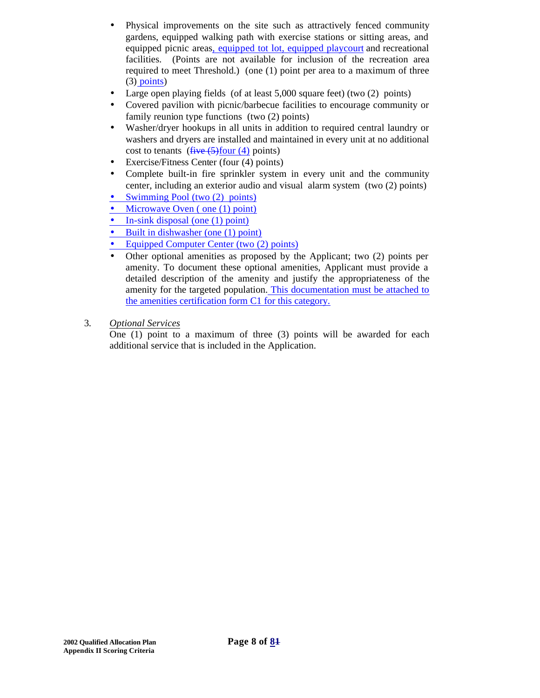- Physical improvements on the site such as attractively fenced community gardens, equipped walking path with exercise stations or sitting areas, and equipped picnic areas, equipped tot lot, equipped playcourt and recreational facilities. (Points are not available for inclusion of the recreation area required to meet Threshold.) (one (1) point per area to a maximum of three  $(3)$  points)
- Large open playing fields (of at least 5,000 square feet) (two (2) points)
- Covered pavilion with picnic/barbecue facilities to encourage community or family reunion type functions (two (2) points)
- Washer/dryer hookups in all units in addition to required central laundry or washers and dryers are installed and maintained in every unit at no additional cost to tenants  $(f~~ive~~ (5)$ four (4) points)
- Exercise/Fitness Center (four (4) points)
- Complete built-in fire sprinkler system in every unit and the community center, including an exterior audio and visual alarm system (two (2) points)
- Swimming Pool (two (2) points)
- Microwave Oven (one (1) point)
- In-sink disposal (one (1) point)
- Built in dishwasher (one (1) point)
- Equipped Computer Center (two (2) points)
- Other optional amenities as proposed by the Applicant; two (2) points per amenity. To document these optional amenities, Applicant must provide a detailed description of the amenity and justify the appropriateness of the amenity for the targeted population. This documentation must be attached to the amenities certification form C1 for this category.
- 3. *Optional Services*

One (1) point to a maximum of three (3) points will be awarded for each additional service that is included in the Application.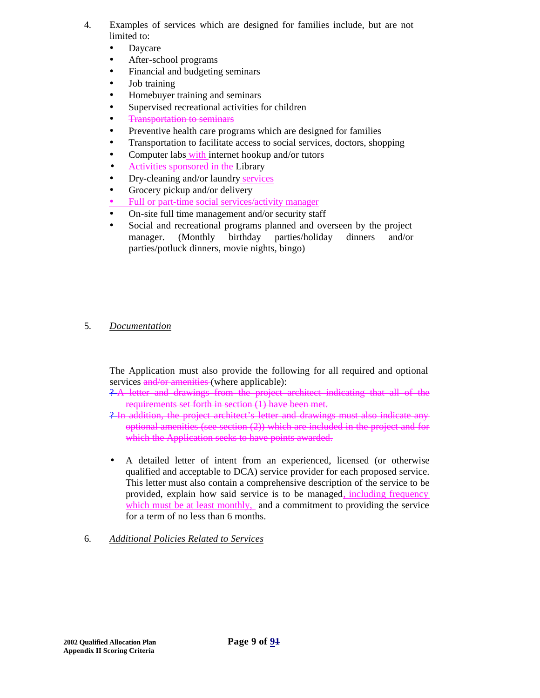- 4. Examples of services which are designed for families include, but are not limited to:
	- Daycare
	- After-school programs
	- Financial and budgeting seminars
	- Job training
	- Homebuyer training and seminars
	- Supervised recreational activities for children
	- **Transportation to seminars**
	- Preventive health care programs which are designed for families
	- Transportation to facilitate access to social services, doctors, shopping
	- Computer labs with internet hookup and/or tutors
	- Activities sponsored in the Library
	- Dry-cleaning and/or laundry services
	- Grocery pickup and/or delivery
	- Full or part-time social services/activity manager
	- On-site full time management and/or security staff
	- Social and recreational programs planned and overseen by the project manager. (Monthly birthday parties/holiday dinners and/or parties/potluck dinners, movie nights, bingo)
- 5. *Documentation*

The Application must also provide the following for all required and optional services and/or amenities (where applicable):

- ? A letter and drawings from the project architect indicating that all of the requirements set forth in section (1) have been met.
- ? In addition, the project architect's letter and drawings must also indicate any optional amenities (see section (2)) which are included in the project and for which the Application seeks to have points awarded.
- A detailed letter of intent from an experienced, licensed (or otherwise qualified and acceptable to DCA) service provider for each proposed service. This letter must also contain a comprehensive description of the service to be provided, explain how said service is to be managed, including frequency which must be at least monthly, and a commitment to providing the service for a term of no less than 6 months.
- 6. *Additional Policies Related to Services*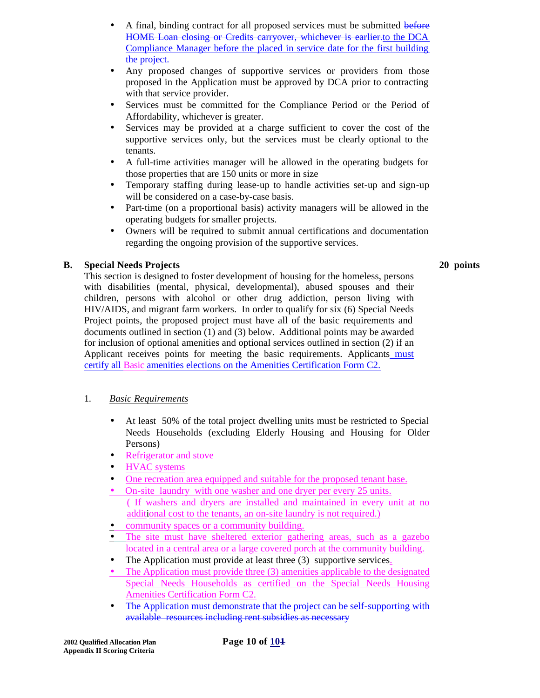- A final, binding contract for all proposed services must be submitted before HOME Loan closing or Credits carryover, whichever is earlier, to the DCA Compliance Manager before the placed in service date for the first building the project.
- Any proposed changes of supportive services or providers from those proposed in the Application must be approved by DCA prior to contracting with that service provider.
- Services must be committed for the Compliance Period or the Period of Affordability, whichever is greater.
- Services may be provided at a charge sufficient to cover the cost of the supportive services only, but the services must be clearly optional to the tenants.
- A full-time activities manager will be allowed in the operating budgets for those properties that are 150 units or more in size
- Temporary staffing during lease-up to handle activities set-up and sign-up will be considered on a case-by-case basis.
- Part-time (on a proportional basis) activity managers will be allowed in the operating budgets for smaller projects.
- Owners will be required to submit annual certifications and documentation regarding the ongoing provision of the supportive services.

# **B. Special Needs Projects**

This section is designed to foster development of housing for the homeless, persons with disabilities (mental, physical, developmental), abused spouses and their children, persons with alcohol or other drug addiction, person living with HIV/AIDS, and migrant farm workers. In order to qualify for six (6) Special Needs Project points, the proposed project must have all of the basic requirements and **20 points**

documents outlined in section (1) and (3) below. Additional points may be awarded for inclusion of optional amenities and optional services outlined in section (2) if an Applicant receives points for meeting the basic requirements. Applicants must certify all Basic amenities elections on the Amenities Certification Form C2.

# 1. *Basic Requirements*

- At least 50% of the total project dwelling units must be restricted to Special Needs Households (excluding Elderly Housing and Housing for Older Persons)
- Refrigerator and stove
- HVAC systems
- One recreation area equipped and suitable for the proposed tenant base.
- On-site laundry with one washer and one dryer per every 25 units. ( If washers and dryers are installed and maintained in every unit at no additional cost to the tenants, an on-site laundry is not required.)
- community spaces or a community building.
- The site must have sheltered exterior gathering areas, such as a gazebo located in a central area or a large covered porch at the community building.
- The Application must provide at least three (3) supportive services.
- The Application must provide three (3) amenities applicable to the designated Special Needs Households as certified on the Special Needs Housing Amenities Certification Form C2.
- The Application must demonstrate that the project can be self-supporting with available resources including rent subsidies as necessary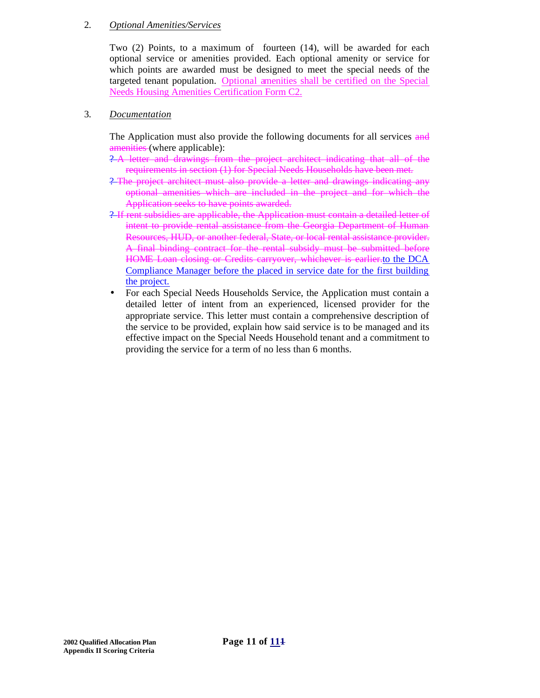#### 2. *Optional Amenities/Services*

Two (2) Points, to a maximum of fourteen (14), will be awarded for each optional service or amenities provided. Each optional amenity or service for which points are awarded must be designed to meet the special needs of the targeted tenant population. Optional amenities shall be certified on the Special Needs Housing Amenities Certification Form C2.

#### 3. *Documentation*

The Application must also provide the following documents for all services and amenities (where applicable):

- ? A letter and drawings from the project architect indicating that all of the requirements in section (1) for Special Needs Households have been met.
- ? The project architect must also provide a letter and drawings indicating any optional amenities which are included in the project and for which the Application seeks to have points awarded.
- ? If rent subsidies are applicable, the Application must contain a detailed letter of intent to provide rental assistance from the Georgia Department of Human Resources, HUD, or another federal, State, or local rental assistance provider. A final binding contract for the rental subsidy must be submitted before HOME Loan closing or Credits carryover, whichever is earlier.to the DCA Compliance Manager before the placed in service date for the first building the project.
- For each Special Needs Households Service, the Application must contain a detailed letter of intent from an experienced, licensed provider for the appropriate service. This letter must contain a comprehensive description of the service to be provided, explain how said service is to be managed and its effective impact on the Special Needs Household tenant and a commitment to providing the service for a term of no less than 6 months.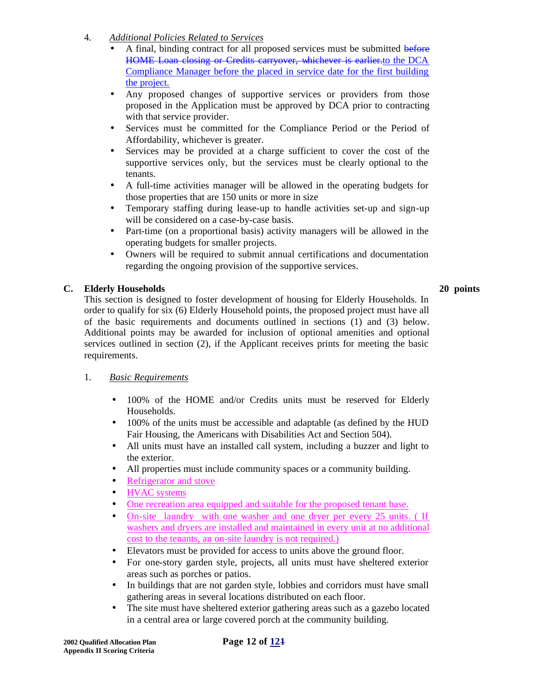# 4. *Additional Policies Related to Services*

- A final, binding contract for all proposed services must be submitted before HOME Loan closing or Credits carryover, whichever is earlier.to the DCA Compliance Manager before the placed in service date for the first building the project.
- Any proposed changes of supportive services or providers from those proposed in the Application must be approved by DCA prior to contracting with that service provider.
- Services must be committed for the Compliance Period or the Period of Affordability, whichever is greater.
- Services may be provided at a charge sufficient to cover the cost of the supportive services only, but the services must be clearly optional to the tenants.
- A full-time activities manager will be allowed in the operating budgets for those properties that are 150 units or more in size
- Temporary staffing during lease-up to handle activities set-up and sign-up will be considered on a case-by-case basis.
- Part-time (on a proportional basis) activity managers will be allowed in the operating budgets for smaller projects.
- Owners will be required to submit annual certifications and documentation regarding the ongoing provision of the supportive services.

# **C. Elderly Households 20 points**

This section is designed to foster development of housing for Elderly Households. In order to qualify for six (6) Elderly Household points, the proposed project must have all of the basic requirements and documents outlined in sections (1) and (3) below. Additional points may be awarded for inclusion of optional amenities and optional services outlined in section (2), if the Applicant receives prints for meeting the basic requirements.

# 1. *Basic Requirements*

- 100% of the HOME and/or Credits units must be reserved for Elderly Households.
- 100% of the units must be accessible and adaptable (as defined by the HUD Fair Housing, the Americans with Disabilities Act and Section 504).
- All units must have an installed call system, including a buzzer and light to the exterior.
- All properties must include community spaces or a community building.
- Refrigerator and stove
- HVAC systems
- One recreation area equipped and suitable for the proposed tenant base.
- On-site laundry with one washer and one dryer per every 25 units. (If washers and dryers are installed and maintained in every unit at no additional cost to the tenants, an on-site laundry is not required.)
- Elevators must be provided for access to units above the ground floor.
- For one-story garden style, projects, all units must have sheltered exterior areas such as porches or patios.
- In buildings that are not garden style, lobbies and corridors must have small gathering areas in several locations distributed on each floor.
- The site must have sheltered exterior gathering areas such as a gazebo located in a central area or large covered porch at the community building.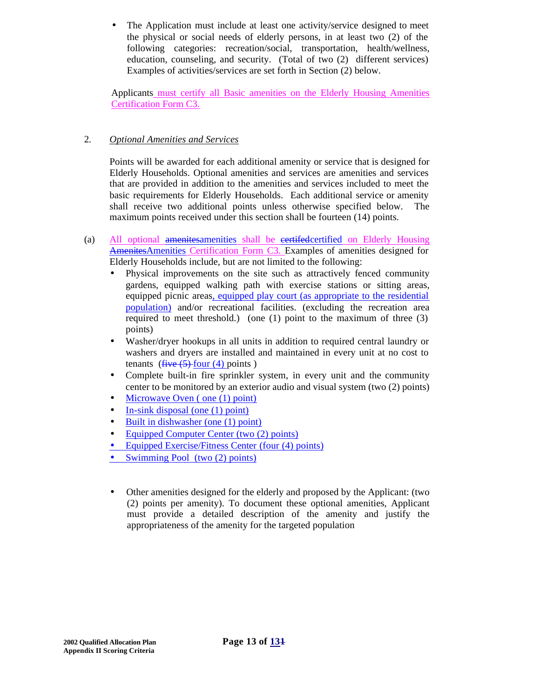The Application must include at least one activity/service designed to meet the physical or social needs of elderly persons, in at least two (2) of the following categories: recreation/social, transportation, health/wellness, education, counseling, and security. (Total of two (2) different services) Examples of activities/services are set forth in Section (2) below.

Applicants must certify all Basic amenities on the Elderly Housing Amenities Certification Form C3.

# 2. *Optional Amenities and Services*

Points will be awarded for each additional amenity or service that is designed for Elderly Households. Optional amenities and services are amenities and services that are provided in addition to the amenities and services included to meet the basic requirements for Elderly Households. Each additional service or amenity shall receive two additional points unless otherwise specified below. The maximum points received under this section shall be fourteen (14) points.

- (a) All optional amenitesamenities shall be eertifed-certified on Elderly Housing AmenitesAmenities Certification Form C3. Examples of amenities designed for Elderly Households include, but are not limited to the following:
	- Physical improvements on the site such as attractively fenced community gardens, equipped walking path with exercise stations or sitting areas, equipped picnic areas, equipped play court (as appropriate to the residential population) and/or recreational facilities. (excluding the recreation area required to meet threshold.) (one (1) point to the maximum of three (3) points)
	- Washer/dryer hookups in all units in addition to required central laundry or washers and dryers are installed and maintained in every unit at no cost to tenants  $(five (5)$  four  $(4)$  points)
	- Complete built-in fire sprinkler system, in every unit and the community center to be monitored by an exterior audio and visual system (two (2) points)
	- Microwave Oven (one (1) point)
	- In-sink disposal (one  $(1)$  point)
	- Built in dishwasher (one (1) point)
	- Equipped Computer Center (two (2) points)
	- Equipped Exercise/Fitness Center (four (4) points)
	- Swimming Pool (two  $(2)$  points)
	- Other amenities designed for the elderly and proposed by the Applicant: (two (2) points per amenity). To document these optional amenities, Applicant must provide a detailed description of the amenity and justify the appropriateness of the amenity for the targeted population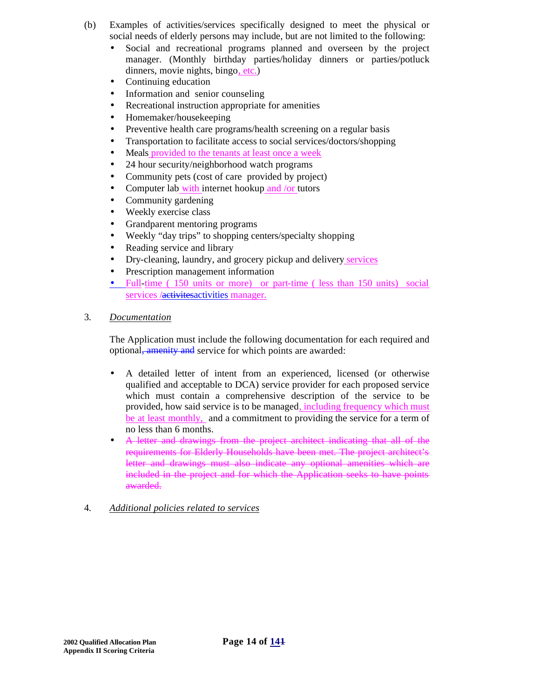- (b) Examples of activities/services specifically designed to meet the physical or social needs of elderly persons may include, but are not limited to the following:
	- Social and recreational programs planned and overseen by the project manager. (Monthly birthday parties/holiday dinners or parties/potluck dinners, movie nights, bingo, etc.)
	- Continuing education
	- Information and senior counseling
	- Recreational instruction appropriate for amenities
	- Homemaker/housekeeping
	- Preventive health care programs/health screening on a regular basis
	- Transportation to facilitate access to social services/doctors/shopping
	- Meals provided to the tenants at least once a week
	- 24 hour security/neighborhood watch programs
	- Community pets (cost of care provided by project)
	- Computer lab with internet hookup and /or tutors
	- Community gardening
	- Weekly exercise class
	- Grandparent mentoring programs
	- Weekly "day trips" to shopping centers/specialty shopping
	- Reading service and library
	- Dry-cleaning, laundry, and grocery pickup and delivery services
	- Prescription management information
	- Full-time (150 units or more) or part-time (less than 150 units) social services /activitesactivities manager.
- 3. *Documentation*

The Application must include the following documentation for each required and optional, amenity and service for which points are awarded:

- A detailed letter of intent from an experienced, licensed (or otherwise qualified and acceptable to DCA) service provider for each proposed service which must contain a comprehensive description of the service to be provided, how said service is to be managed, including frequency which must be at least monthly, and a commitment to providing the service for a term of no less than 6 months.
- A letter and drawings from the project architect indicating that all of the requirements for Elderly Households have been met. The project architect's letter and drawings must also indicate any optional amenities which are included in the project and for which the Application seeks to have points awarded.
- 4. *Additional policies related to services*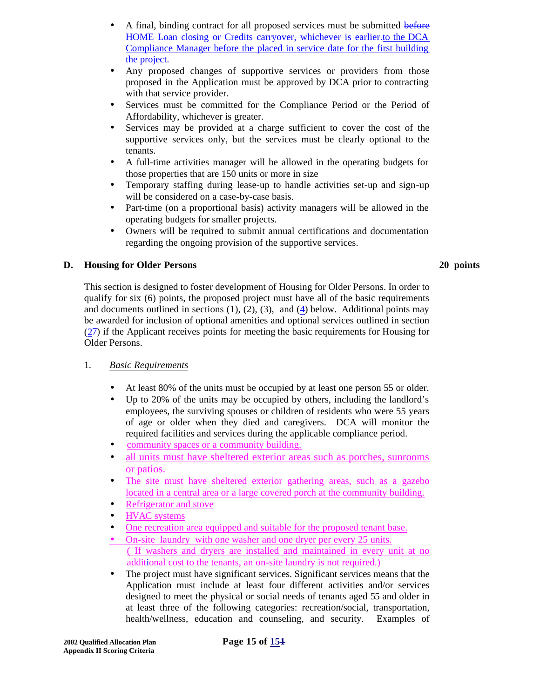- A final, binding contract for all proposed services must be submitted before HOME Loan closing or Credits carryover, whichever is earlier.to the DCA Compliance Manager before the placed in service date for the first building the project.
- Any proposed changes of supportive services or providers from those proposed in the Application must be approved by DCA prior to contracting with that service provider.
- Services must be committed for the Compliance Period or the Period of Affordability, whichever is greater.
- Services may be provided at a charge sufficient to cover the cost of the supportive services only, but the services must be clearly optional to the tenants.
- A full-time activities manager will be allowed in the operating budgets for those properties that are 150 units or more in size
- Temporary staffing during lease-up to handle activities set-up and sign-up will be considered on a case-by-case basis.
- Part-time (on a proportional basis) activity managers will be allowed in the operating budgets for smaller projects.
- Owners will be required to submit annual certifications and documentation regarding the ongoing provision of the supportive services.

# **D. Housing for Older Persons 20 points**

This section is designed to foster development of Housing for Older Persons. In order to qualify for six (6) points, the proposed project must have all of the basic requirements and documents outlined in sections  $(1)$ ,  $(2)$ ,  $(3)$ , and  $(4)$  below. Additional points may be awarded for inclusion of optional amenities and optional services outlined in section (27) if the Applicant receives points for meeting the basic requirements for Housing for Older Persons.

# 1. *Basic Requirements*

- At least 80% of the units must be occupied by at least one person 55 or older.
- Up to 20% of the units may be occupied by others, including the landlord's employees, the surviving spouses or children of residents who were 55 years of age or older when they died and caregivers. DCA will monitor the required facilities and services during the applicable compliance period.
- community spaces or a community building.
- all units must have sheltered exterior areas such as porches, sunrooms or patios.
- The site must have sheltered exterior gathering areas, such as a gazebo located in a central area or a large covered porch at the community building.
- Refrigerator and stove
- **HVAC** systems
- One recreation area equipped and suitable for the proposed tenant base.
- On-site laundry with one washer and one dryer per every 25 units. ( If washers and dryers are installed and maintained in every unit at no additional cost to the tenants, an on-site laundry is not required.)
- The project must have significant services. Significant services means that the Application must include at least four different activities and/or services designed to meet the physical or social needs of tenants aged 55 and older in at least three of the following categories: recreation/social, transportation, health/wellness, education and counseling, and security. Examples of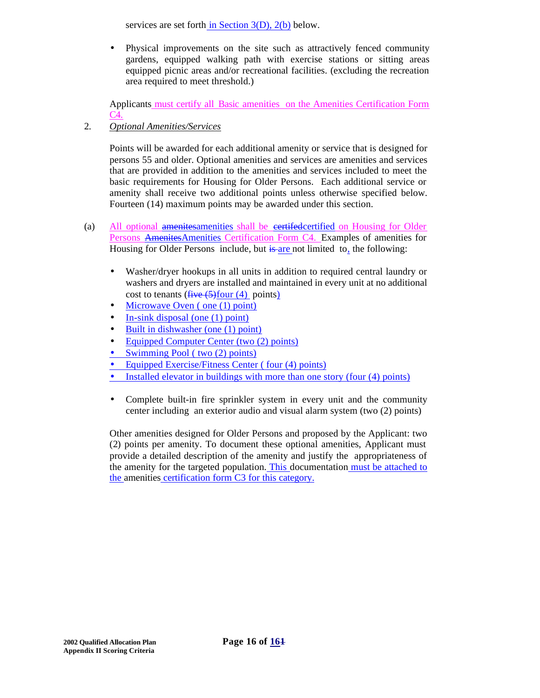services are set forth in Section 3(D), 2(b) below.

• Physical improvements on the site such as attractively fenced community gardens, equipped walking path with exercise stations or sitting areas equipped picnic areas and/or recreational facilities. (excluding the recreation area required to meet threshold.)

Applicants must certify all Basic amenities on the Amenities Certification Form C4.

2. *Optional Amenities/Services*

Points will be awarded for each additional amenity or service that is designed for persons 55 and older. Optional amenities and services are amenities and services that are provided in addition to the amenities and services included to meet the basic requirements for Housing for Older Persons. Each additional service or amenity shall receive two additional points unless otherwise specified below. Fourteen (14) maximum points may be awarded under this section.

- (a) All optional amenitesamenities shall be certifedcertified on Housing for Older Persons AmenitesAmenities Certification Form C4. Examples of amenities for Housing for Older Persons include, but is are not limited to, the following:
	- Washer/dryer hookups in all units in addition to required central laundry or washers and dryers are installed and maintained in every unit at no additional cost to tenants  $(f~~ive~~ (5)$ four (4) points)
	- Microwave Oven (one (1) point)
	- In-sink disposal (one  $(1)$  point)
	- Built in dishwasher (one (1) point)
	- Equipped Computer Center (two (2) points)
	- Swimming Pool ( two  $(2)$  points)
	- Equipped Exercise/Fitness Center (four (4) points)
	- Installed elevator in buildings with more than one story (four (4) points)
	- Complete built-in fire sprinkler system in every unit and the community center including an exterior audio and visual alarm system (two (2) points)

Other amenities designed for Older Persons and proposed by the Applicant: two (2) points per amenity. To document these optional amenities, Applicant must provide a detailed description of the amenity and justify the appropriateness of the amenity for the targeted population. This documentation must be attached to the amenities certification form C3 for this category.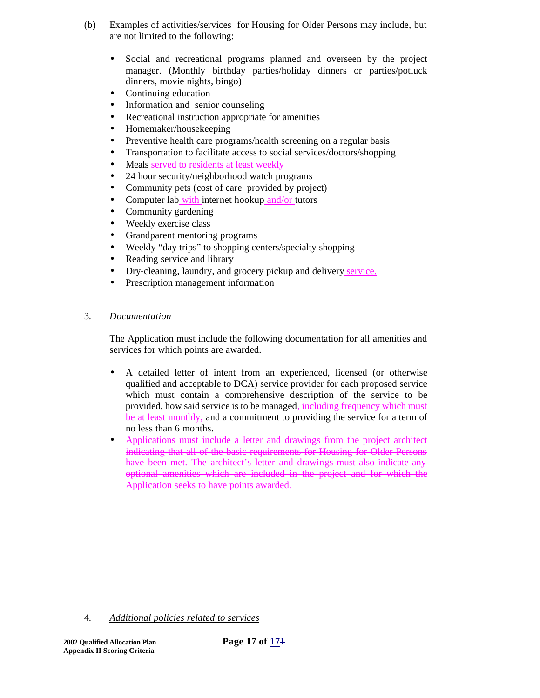- (b) Examples of activities/services for Housing for Older Persons may include, but are not limited to the following:
	- Social and recreational programs planned and overseen by the project manager. (Monthly birthday parties/holiday dinners or parties/potluck dinners, movie nights, bingo)
	- Continuing education
	- Information and senior counseling
	- Recreational instruction appropriate for amenities
	- Homemaker/housekeeping
	- Preventive health care programs/health screening on a regular basis
	- Transportation to facilitate access to social services/doctors/shopping
	- Meals served to residents at least weekly
	- 24 hour security/neighborhood watch programs
	- Community pets (cost of care provided by project)
	- Computer lab with internet hookup and/or tutors
	- Community gardening
	- Weekly exercise class
	- Grandparent mentoring programs
	- Weekly "day trips" to shopping centers/specialty shopping
	- Reading service and library
	- Dry-cleaning, laundry, and grocery pickup and delivery service.
	- Prescription management information

### 3. *Documentation*

The Application must include the following documentation for all amenities and services for which points are awarded.

- A detailed letter of intent from an experienced, licensed (or otherwise qualified and acceptable to DCA) service provider for each proposed service which must contain a comprehensive description of the service to be provided, how said service is to be managed, including frequency which must be at least monthly, and a commitment to providing the service for a term of no less than 6 months.
- Applications must include a letter and drawings from the project architect indicating that all of the basic requirements for Housing for Older Persons have been met. The architect's letter and drawings must also indicate any optional amenities which are included in the project and for which the Application seeks to have points awarded.

4. *Additional policies related to services*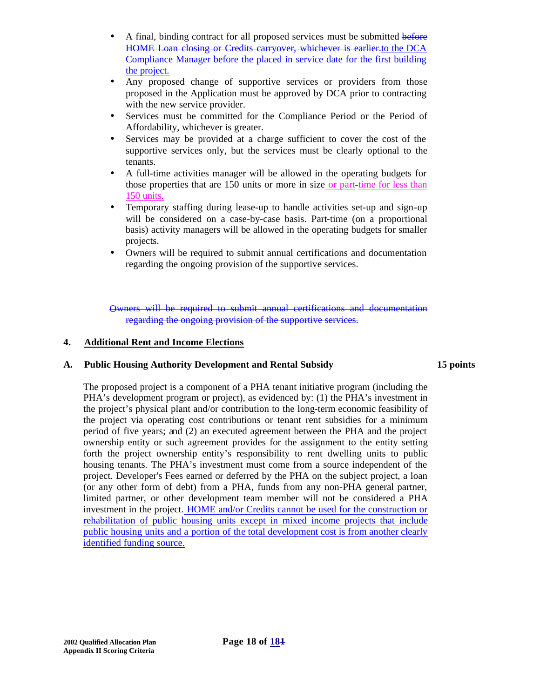- A final, binding contract for all proposed services must be submitted before HOME Loan closing or Credits carryover, whichever is earlier.to the DCA Compliance Manager before the placed in service date for the first building the project.
- Any proposed change of supportive services or providers from those proposed in the Application must be approved by DCA prior to contracting with the new service provider.
- Services must be committed for the Compliance Period or the Period of Affordability, whichever is greater.
- Services may be provided at a charge sufficient to cover the cost of the supportive services only, but the services must be clearly optional to the tenants.
- A full-time activities manager will be allowed in the operating budgets for those properties that are 150 units or more in size or part-time for less than 150 units.
- Temporary staffing during lease-up to handle activities set-up and sign-up will be considered on a case-by-case basis. Part-time (on a proportional basis) activity managers will be allowed in the operating budgets for smaller projects.
- Owners will be required to submit annual certifications and documentation regarding the ongoing provision of the supportive services.

Owners will be required to submit annual certifications and documentation regarding the ongoing provision of the supportive services.

#### **4. Additional Rent and Income Elections**

#### **A. Public Housing Authority Development and Rental Subsidy 15 points**

The proposed project is a component of a PHA tenant initiative program (including the PHA's development program or project), as evidenced by: (1) the PHA's investment in the project's physical plant and/or contribution to the long-term economic feasibility of the project via operating cost contributions or tenant rent subsidies for a minimum period of five years; and (2) an executed agreement between the PHA and the project ownership entity or such agreement provides for the assignment to the entity setting forth the project ownership entity's responsibility to rent dwelling units to public housing tenants. The PHA's investment must come from a source independent of the project. Developer's Fees earned or deferred by the PHA on the subject project, a loan (or any other form of debt) from a PHA, funds from any non-PHA general partner, limited partner, or other development team member will not be considered a PHA investment in the project. HOME and/or Credits cannot be used for the construction or rehabilitation of public housing units except in mixed income projects that include public housing units and a portion of the total development cost is from another clearly identified funding source.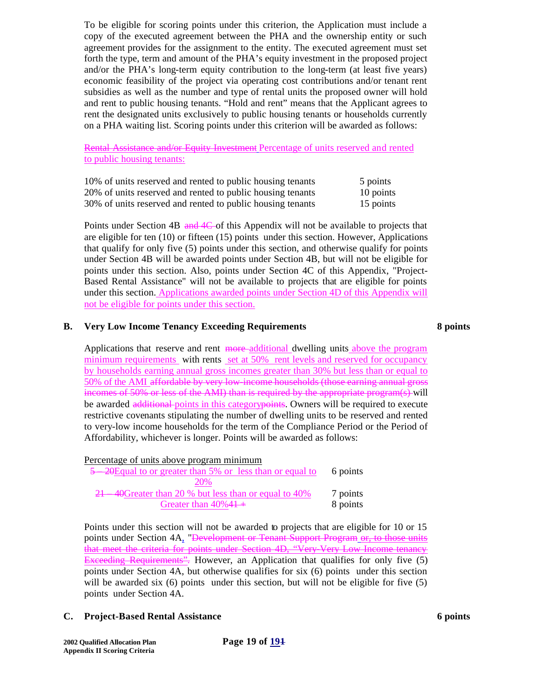To be eligible for scoring points under this criterion, the Application must include a copy of the executed agreement between the PHA and the ownership entity or such agreement provides for the assignment to the entity. The executed agreement must set forth the type, term and amount of the PHA's equity investment in the proposed project and/or the PHA's long-term equity contribution to the long-term (at least five years) economic feasibility of the project via operating cost contributions and/or tenant rent subsidies as well as the number and type of rental units the proposed owner will hold and rent to public housing tenants. "Hold and rent" means that the Applicant agrees to rent the designated units exclusively to public housing tenants or households currently on a PHA waiting list. Scoring points under this criterion will be awarded as follows:

Rental Assistance and/or Equity Investment Percentage of units reserved and rented to public housing tenants:

| 10% of units reserved and rented to public housing tenants | 5 points  |
|------------------------------------------------------------|-----------|
| 20% of units reserved and rented to public housing tenants | 10 points |
| 30% of units reserved and rented to public housing tenants | 15 points |

Points under Section 4B and 4C of this Appendix will not be available to projects that are eligible for ten (10) or fifteen (15) points under this section. However, Applications that qualify for only five (5) points under this section, and otherwise qualify for points under Section 4B will be awarded points under Section 4B, but will not be eligible for points under this section. Also, points under Section 4C of this Appendix, "Project-Based Rental Assistance" will not be available to projects that are eligible for points under this section. Applications awarded points under Section 4D of this Appendix will not be eligible for points under this section.

#### **B. Very Low Income Tenancy Exceeding Requirements 8 points**

Applications that reserve and rent more additional dwelling units above the program minimum requirements with rents set at 50% rent levels and reserved for occupancy by households earning annual gross incomes greater than 30% but less than or equal to 50% of the AMI affordable by very low-income households (those earning annual gross incomes of 50% or less of the AMI) than is required by the appropriate program(s)-will be awarded additional points in this category points. Owners will be required to execute restrictive covenants stipulating the number of dwelling units to be reserved and rented to very-low income households for the term of the Compliance Period or the Period of Affordability, whichever is longer. Points will be awarded as follows:

| Percentage of units above program minimum                  |          |
|------------------------------------------------------------|----------|
| 5 -20 Equal to or greater than 5% or less than or equal to | 6 points |
| 20\%                                                       |          |
| 21 40 Greater than 20 % but less than or equal to 40%      | 7 points |
| Greater than $40\%41+$                                     | 8 points |

Points under this section will not be awarded to projects that are eligible for 10 or 15 points under Section 4A, "Development or Tenant Support Program or, to those units that meet the criteria for points under Section 4D, "Very-Very Low Income tenancy Exceeding Requirements". However, an Application that qualifies for only five (5) points under Section 4A, but otherwise qualifies for six (6) points under this section will be awarded six (6) points under this section, but will not be eligible for five (5) points under Section 4A.

#### **C. Project-Based Rental Assistance 6 points**

**2002 Qualified Allocation Plan Page 19 of 191 Appendix II Scoring Criteria**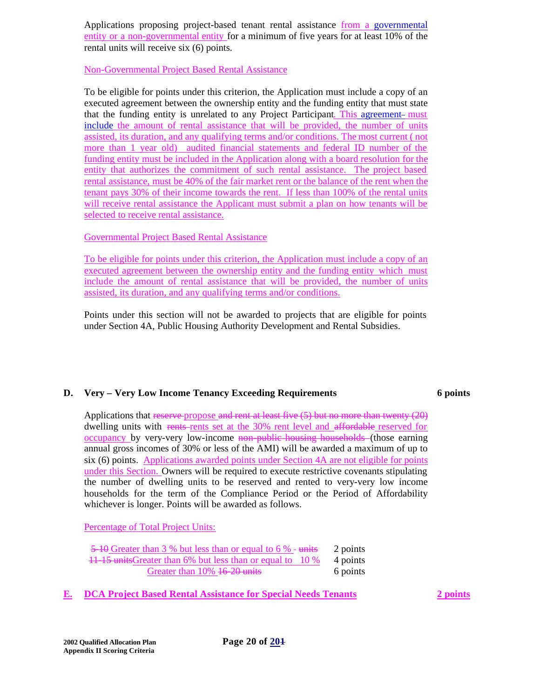Applications proposing project-based tenant rental assistance from a governmental entity or a non-governmental entity for a minimum of five years for at least 10% of the rental units will receive six (6) points.

Non-Governmental Project Based Rental Assistance

To be eligible for points under this criterion, the Application must include a copy of an executed agreement between the ownership entity and the funding entity that must state that the funding entity is unrelated to any Project Participant. This agreement- must include the amount of rental assistance that will be provided, the number of units assisted, its duration, and any qualifying terms and/or conditions. The most current ( not more than 1 year old) audited financial statements and federal ID number of the funding entity must be included in the Application along with a board resolution for the entity that authorizes the commitment of such rental assistance. The project based rental assistance, must be 40% of the fair market rent or the balance of the rent when the tenant pays 30% of their income towards the rent. If less than 100% of the rental units will receive rental assistance the Applicant must submit a plan on how tenants will be selected to receive rental assistance.

# Governmental Project Based Rental Assistance

To be eligible for points under this criterion, the Application must include a copy of an executed agreement between the ownership entity and the funding entity which must include the amount of rental assistance that will be provided, the number of units assisted, its duration, and any qualifying terms and/or conditions.

Points under this section will not be awarded to projects that are eligible for points under Section 4A, Public Housing Authority Development and Rental Subsidies.

# **D. Very – Very Low Income Tenancy Exceeding Requirements 6 points**

Applications that reserve propose and rent at least five (5) but no more than twenty (20) dwelling units with rents-rents set at the 30% rent level and affordable reserved for occupancy by very-very low-income non-public housing households (those earning annual gross incomes of 30% or less of the AMI) will be awarded a maximum of up to six (6) points. Applications awarded points under Section 4A are not eligible for points under this Section. Owners will be required to execute restrictive covenants stipulating the number of dwelling units to be reserved and rented to very-very low income households for the term of the Compliance Period or the Period of Affordability whichever is longer. Points will be awarded as follows.

Percentage of Total Project Units:

| 5–10 Greater than 3 % but less than or equal to 6 % - units 2 points |          |
|----------------------------------------------------------------------|----------|
| 11-15 units Greater than 6% but less than or equal to 10 % 4 points  |          |
| Greater than 10% 46-20 units                                         | 6 points |

**E. DCA Project Based Rental Assistance for Special Needs Tenants 2 points**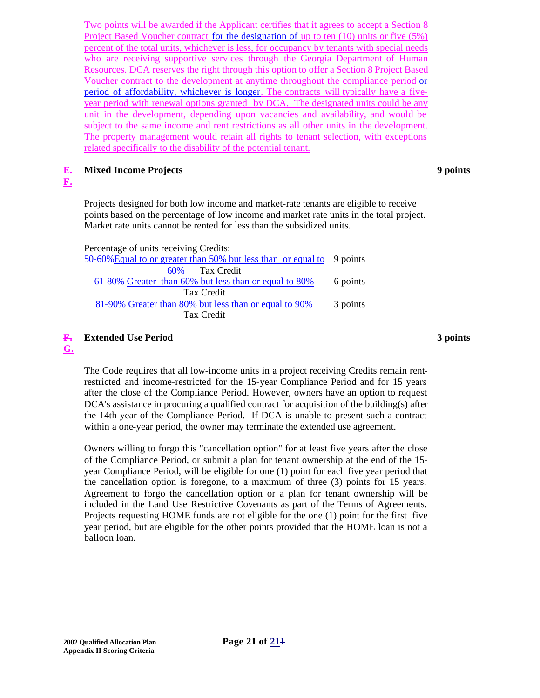Two points will be awarded if the Applicant certifies that it agrees to accept a Section 8 Project Based Voucher contract for the designation of up to ten (10) units or five (5%) percent of the total units, whichever is less, for occupancy by tenants with special needs who are receiving supportive services through the Georgia Department of Human Resources. DCA reserves the right through this option to offer a Section 8 Project Based Voucher contract to the development at anytime throughout the compliance period or period of affordability, whichever is longer. The contracts will typically have a fiveyear period with renewal options granted by DCA. The designated units could be any unit in the development, depending upon vacancies and availability, and would be subject to the same income and rent restrictions as all other units in the development. The property management would retain all rights to tenant selection, with exceptions related specifically to the disability of the potential tenant.

#### **E. Mixed Income Projects 9 points**

# **F.**

Projects designed for both low income and market-rate tenants are eligible to receive points based on the percentage of low income and market rate units in the total project. Market rate units cannot be rented for less than the subsidized units.

| Percentage of units receiving Credits:                                 |          |
|------------------------------------------------------------------------|----------|
| 50–60% Equal to or greater than 50% but less than or equal to 9 points |          |
| 60% Tax Credit                                                         |          |
| 61-80%-Greater than 60% but less than or equal to 80%                  | 6 points |
| Tax Credit                                                             |          |
| 81–90% Greater than 80% but less than or equal to 90%                  | 3 points |
| Tax Credit                                                             |          |
|                                                                        |          |

#### **F. Extended Use Period 3 points**

**G.** 

The Code requires that all low-income units in a project receiving Credits remain rentrestricted and income-restricted for the 15-year Compliance Period and for 15 years after the close of the Compliance Period. However, owners have an option to request DCA's assistance in procuring a qualified contract for acquisition of the building(s) after the 14th year of the Compliance Period. If DCA is unable to present such a contract within a one-year period, the owner may terminate the extended use agreement.

Owners willing to forgo this "cancellation option" for at least five years after the close of the Compliance Period, or submit a plan for tenant ownership at the end of the 15 year Compliance Period, will be eligible for one (1) point for each five year period that the cancellation option is foregone, to a maximum of three (3) points for 15 years. Agreement to forgo the cancellation option or a plan for tenant ownership will be included in the Land Use Restrictive Covenants as part of the Terms of Agreements. Projects requesting HOME funds are not eligible for the one (1) point for the first five year period, but are eligible for the other points provided that the HOME loan is not a balloon loan.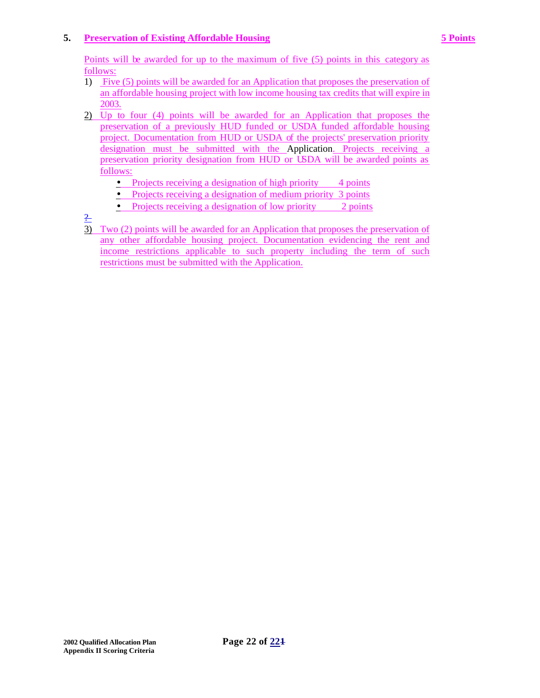# **5. Preservation of Existing Affordable Housing 5 Points**

Points will be awarded for up to the maximum of five (5) points in this category as follows:

- 1) Five (5) points will be awarded for an Application that proposes the preservation of an affordable housing project with low income housing tax credits that will expire in 2003.
- 2) Up to four (4) points will be awarded for an Application that proposes the preservation of a previously HUD funded or USDA funded affordable housing project. Documentation from HUD or USDA of the projects' preservation priority designation must be submitted with the Application. Projects receiving a preservation priority designation from HUD or USDA will be awarded points as follows:
	- Projects receiving a designation of high priority  $4$  points
	- Projects receiving a designation of medium priority 3 points
	- Projects receiving a designation of low priority 2 points

 $\frac{2}{1}$ 

3) Two (2) points will be awarded for an Application that proposes the preservation of any other affordable housing project. Documentation evidencing the rent and income restrictions applicable to such property including the term of such restrictions must be submitted with the Application.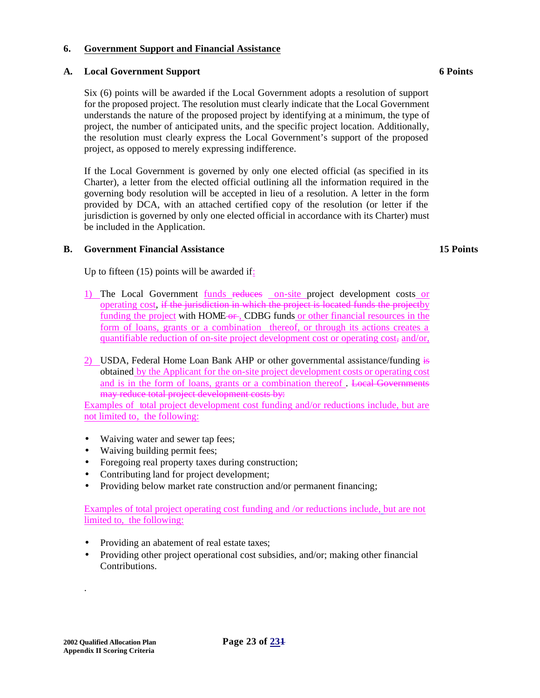## **6. Government Support and Financial Assistance**

### **A. Local Government Support 6 Points**

Six (6) points will be awarded if the Local Government adopts a resolution of support for the proposed project. The resolution must clearly indicate that the Local Government understands the nature of the proposed project by identifying at a minimum, the type of project, the number of anticipated units, and the specific project location. Additionally, the resolution must clearly express the Local Government's support of the proposed project, as opposed to merely expressing indifference.

If the Local Government is governed by only one elected official (as specified in its Charter), a letter from the elected official outlining all the information required in the governing body resolution will be accepted in lieu of a resolution. A letter in the form provided by DCA, with an attached certified copy of the resolution (or letter if the jurisdiction is governed by only one elected official in accordance with its Charter) must be included in the Application.

# **B. Government Financial Assistance 15 Points**

Up to fifteen (15) points will be awarded if:

- 1) The Local Government funds reduces on-site project development costs or operating cost, if the jurisdiction in which the project is located funds the projectby funding the project with HOME-or, CDBG funds or other financial resources in the form of loans, grants or a combination thereof, or through its actions creates a quantifiable reduction of on-site project development cost or operating cost, and/or,
- 2) USDA, Federal Home Loan Bank AHP or other governmental assistance/funding is obtained by the Applicant for the on-site project development costs or operating cost and is in the form of loans, grants or a combination thereof . Local Governments may reduce total project development costs by:

Examples of total project development cost funding and/or reductions include, but are not limited to, the following:

- Waiving water and sewer tap fees;
- Waiving building permit fees;
- Foregoing real property taxes during construction;
- Contributing land for project development;
- Providing below market rate construction and/or permanent financing;

Examples of total project operating cost funding and /or reductions include, but are not limited to, the following:

- Providing an abatement of real estate taxes;
- Providing other project operational cost subsidies, and/or; making other financial Contributions.

.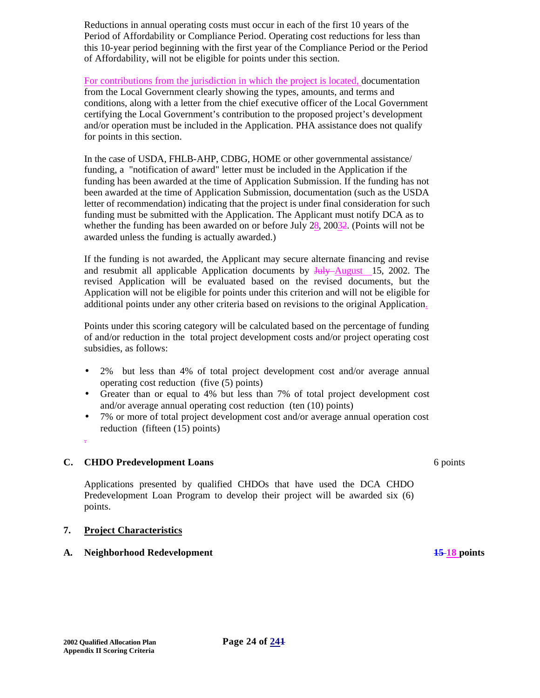Reductions in annual operating costs must occur in each of the first 10 years of the Period of Affordability or Compliance Period. Operating cost reductions for less than this 10-year period beginning with the first year of the Compliance Period or the Period of Affordability, will not be eligible for points under this section.

For contributions from the jurisdiction in which the project is located, documentation from the Local Government clearly showing the types, amounts, and terms and conditions, along with a letter from the chief executive officer of the Local Government certifying the Local Government's contribution to the proposed project's development and/or operation must be included in the Application. PHA assistance does not qualify for points in this section.

In the case of USDA, FHLB-AHP, CDBG, HOME or other governmental assistance/ funding, a "notification of award" letter must be included in the Application if the funding has been awarded at the time of Application Submission. If the funding has not been awarded at the time of Application Submission, documentation (such as the USDA letter of recommendation) indicating that the project is under final consideration for such funding must be submitted with the Application. The Applicant must notify DCA as to whether the funding has been awarded on or before July 28, 20032. (Points will not be awarded unless the funding is actually awarded.)

If the funding is not awarded, the Applicant may secure alternate financing and revise and resubmit all applicable Application documents by July August 15, 2002. The revised Application will be evaluated based on the revised documents, but the Application will not be eligible for points under this criterion and will not be eligible for additional points under any other criteria based on revisions to the original Application.

Points under this scoring category will be calculated based on the percentage of funding of and/or reduction in the total project development costs and/or project operating cost subsidies, as follows:

- 2% but less than 4% of total project development cost and/or average annual operating cost reduction (five (5) points)
- Greater than or equal to 4% but less than 7% of total project development cost and/or average annual operating cost reduction (ten (10) points)
- 7% or more of total project development cost and/or average annual operation cost reduction (fifteen (15) points)
- .

# **C. CHDO Predevelopment Loans** 6 points 6 points

Applications presented by qualified CHDOs that have used the DCA CHDO Predevelopment Loan Program to develop their project will be awarded six (6) points.

# **7. Project Characteristics**

# **A. Neighborhood Redevelopment 15 18 points**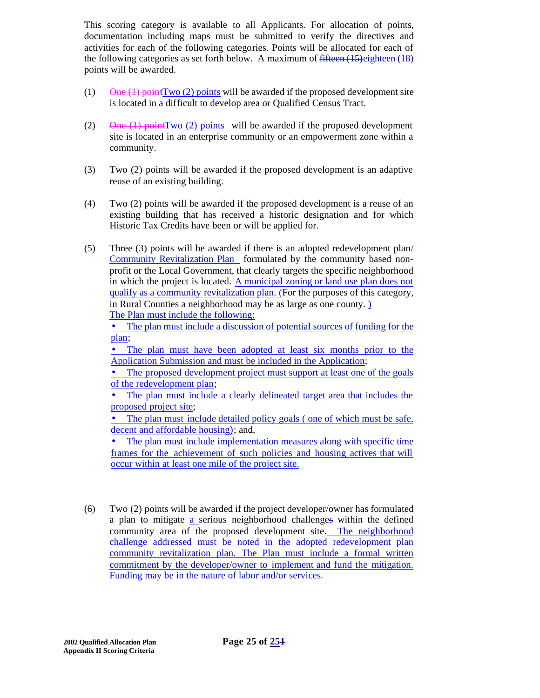This scoring category is available to all Applicants. For allocation of points, documentation including maps must be submitted to verify the directives and activities for each of the following categories. Points will be allocated for each of the following categories as set forth below. A maximum of fifteen (15) eighteen (18) points will be awarded.

- (1) One  $(1)$  point Two  $(2)$  points will be awarded if the proposed development site is located in a difficult to develop area or Qualified Census Tract.
- (2) One  $(1)$  point Two  $(2)$  points will be awarded if the proposed development site is located in an enterprise community or an empowerment zone within a community.
- (3) Two (2) points will be awarded if the proposed development is an adaptive reuse of an existing building.
- (4) Two (2) points will be awarded if the proposed development is a reuse of an existing building that has received a historic designation and for which Historic Tax Credits have been or will be applied for.
- (5) Three (3) points will be awarded if there is an adopted redevelopment plan/ Community Revitalization Plan formulated by the community based nonprofit or the Local Government, that clearly targets the specific neighborhood in which the project is located. A municipal zoning or land use plan does not qualify as a community revitalization plan. (For the purposes of this category, in Rural Counties a neighborhood may be as large as one county. ) The Plan must include the following:

• The plan must include a discussion of potential sources of funding for the plan;

• The plan must have been adopted at least six months prior to the Application Submission and must be included in the Application;

• The proposed development project must support at least one of the goals of the redevelopment plan;

• The plan must include a clearly delineated target area that includes the proposed project site;

• The plan must include detailed policy goals (one of which must be safe, decent and affordable housing); and,

• The plan must include implementation measures along with specific time frames for the achievement of such policies and housing actives that will occur within at least one mile of the project site.

(6) Two (2) points will be awarded if the project developer/owner has formulated a plan to mitigate a serious neighborhood challenges within the defined community area of the proposed development site. The neighborhood challenge addressed must be noted in the adopted redevelopment plan community revitalization plan. The Plan must include a formal written commitment by the developer/owner to implement and fund the mitigation. Funding may be in the nature of labor and/or services.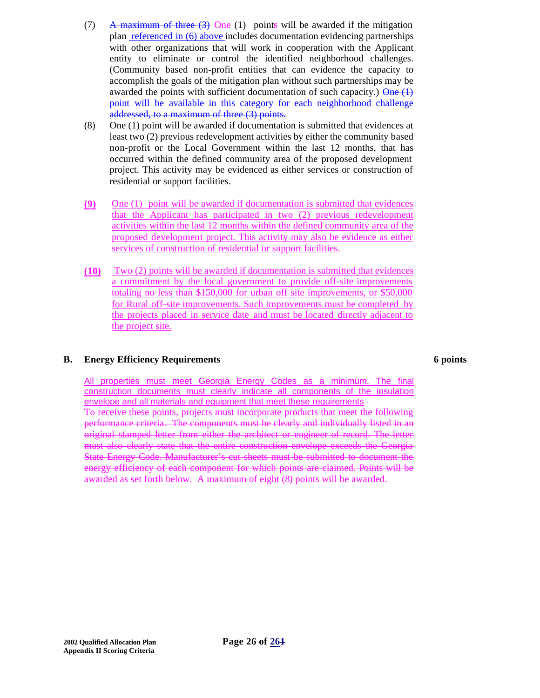- (7) A maximum of three  $(3)$  One (1) points will be awarded if the mitigation plan referenced in (6) above includes documentation evidencing partnerships with other organizations that will work in cooperation with the Applicant entity to eliminate or control the identified neighborhood challenges. (Community based non-profit entities that can evidence the capacity to accomplish the goals of the mitigation plan without such partnerships may be awarded the points with sufficient documentation of such capacity.)  $\theta$  ne  $(1)$ point will be available in this category for each neighborhood challenge addressed, to a maximum of three (3) points.
- (8) One (1) point will be awarded if documentation is submitted that evidences at least two (2) previous redevelopment activities by either the community based non-profit or the Local Government within the last 12 months, that has occurred within the defined community area of the proposed development project. This activity may be evidenced as either services or construction of residential or support facilities.
- **(9)** One (1) point will be awarded if documentation is submitted that evidences that the Applicant has participated in two (2) previous redevelopment activities within the last 12 months within the defined community area of the proposed development project. This activity may also be evidence as either services of construction of residential or support facilities.
- **(10)** Two (2) points will be awarded if documentation is submitted that evidences a commitment by the local government to provide off-site improvements totaling no less than \$150,000 for urban off site improvements, or \$50,000 for Rural off-site improvements. Such improvements must be completed by the projects placed in service date and must be located directly adjacent to the project site.

#### **B. Energy Efficiency Requirements 6 points**

All properties must meet Georgia Energy Codes as a minimum. The final construction documents must clearly indicate all components of the insulation envelope and all materials and equipment that meet these requirements

To receive these points, projects must incorporate products that meet the following performance criteria. The components must be clearly and individually listed in an original stamped letter from either the architect or engineer of record. The letter must also clearly state that the entire construction envelope exceeds the Georgia State Energy Code. Manufacturer's cut sheets must be submitted to document the energy efficiency of each component for which points are claimed. Points will be awarded as set forth below. A maximum of eight (8) points will be awarded.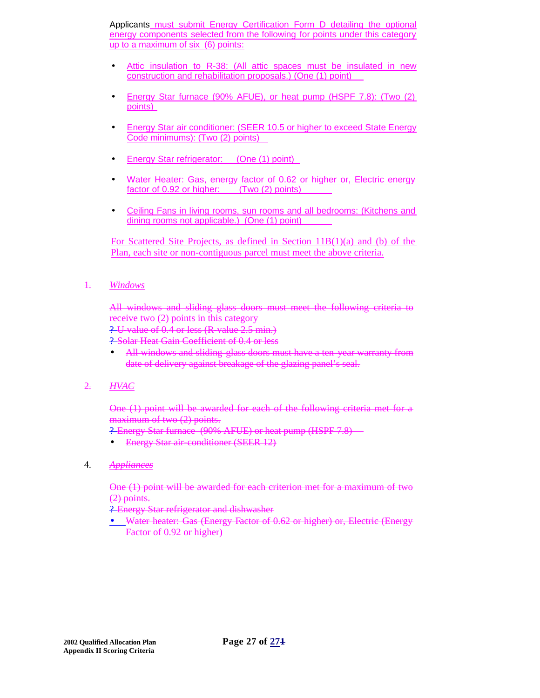Applicants must submit Energy Certification Form D detailing the optional energy components selected from the following for points under this category up to a maximum of six (6) points:

- Attic insulation to R-38: (All attic spaces must be insulated in new construction and rehabilitation proposals.) (One (1) point)
- Energy Star furnace (90% AFUE), or heat pump (HSPF 7.8): (Two (2) points)
- Energy Star air conditioner: (SEER 10.5 or higher to exceed State Energy Code minimums): (Two (2) points)
- Energy Star refrigerator: (One (1) point)
- Water Heater: Gas, energy factor of 0.62 or higher or, Electric energy factor of 0.92 or higher: (Two (2) points)
- Ceiling Fans in living rooms, sun rooms and all bedrooms: (Kitchens and dining rooms not applicable.) (One (1) point)

For Scattered Site Projects, as defined in Section 11B(1)(a) and (b) of the Plan, each site or non-contiguous parcel must meet the above criteria.

#### 1. *Windows*

All windows and sliding glass doors must meet the following criteria to receive two (2) points in this category

? U value of 0.4 or less (R value 2.5 min.)

? Solar Heat Gain Coefficient of 0.4 or less

• All windows and sliding glass doors must have a ten-year warranty from date of delivery against breakage of the glazing panel's seal.

#### 2. *HVAC*

One (1) point will be awarded for each of the following criteria met for a maximum of two (2) points.

? Energy Star furnace (90% AFUE) or heat pump (HSPF 7.8)

• Energy Star air-conditioner (SEER 12)

#### 4. *Appliances*

One (1) point will be awarded for each criterion met for a maximum of two (2) points.

? Energy Star refrigerator and dishwasher

• Water heater: Gas (Energy Factor of 0.62 or higher) or, Electric (Energy Factor of 0.92 or higher)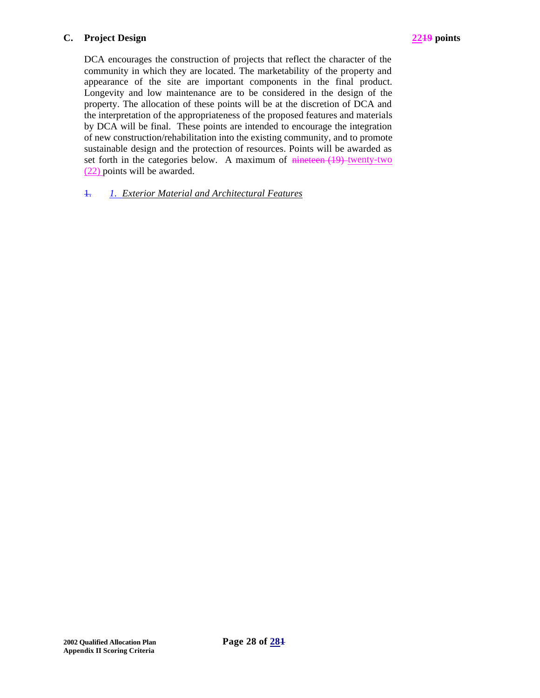### **C. Project Design 2219 points**



DCA encourages the construction of projects that reflect the character of the community in which they are located. The marketability of the property and appearance of the site are important components in the final product. Longevity and low maintenance are to be considered in the design of the property. The allocation of these points will be at the discretion of DCA and the interpretation of the appropriateness of the proposed features and materials by DCA will be final. These points are intended to encourage the integration of new construction/rehabilitation into the existing community, and to promote sustainable design and the protection of resources. Points will be awarded as set forth in the categories below. A maximum of nineteen (19) twenty-two (22) points will be awarded.

# 1. *1. Exterior Material and Architectural Features*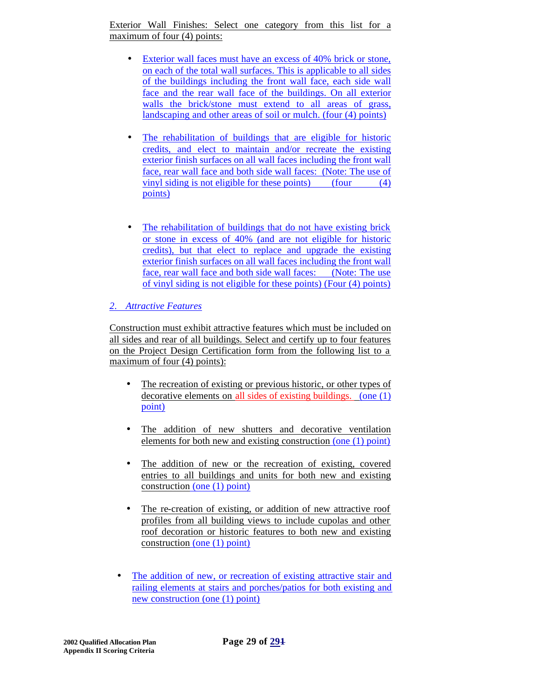Exterior Wall Finishes: Select one category from this list for a maximum of four (4) points:

- Exterior wall faces must have an excess of 40% brick or stone, on each of the total wall surfaces. This is applicable to all sides of the buildings including the front wall face, each side wall face and the rear wall face of the buildings. On all exterior walls the brick/stone must extend to all areas of grass, landscaping and other areas of soil or mulch. (four (4) points)
- The rehabilitation of buildings that are eligible for historic credits, and elect to maintain and/or recreate the existing exterior finish surfaces on all wall faces including the front wall face, rear wall face and both side wall faces: (Note: The use of vinyl siding is not eligible for these points) (four (4) points)
- The rehabilitation of buildings that do not have existing brick or stone in excess of 40% (and are not eligible for historic credits), but that elect to replace and upgrade the existing exterior finish surfaces on all wall faces including the front wall face, rear wall face and both side wall faces: (Note: The use of vinyl siding is not eligible for these points) (Four (4) points)

# *2. Attractive Features*

Construction must exhibit attractive features which must be included on all sides and rear of all buildings. Select and certify up to four features on the Project Design Certification form from the following list to a maximum of four (4) points):

- The recreation of existing or previous historic, or other types of decorative elements on all sides of existing buildings. (one (1) point)
- The addition of new shutters and decorative ventilation elements for both new and existing construction (one (1) point)
- The addition of new or the recreation of existing, covered entries to all buildings and units for both new and existing construction (one (1) point)
- The re-creation of existing, or addition of new attractive roof profiles from all building views to include cupolas and other roof decoration or historic features to both new and existing construction (one (1) point)
- The addition of new, or recreation of existing attractive stair and railing elements at stairs and porches/patios for both existing and new construction (one (1) point)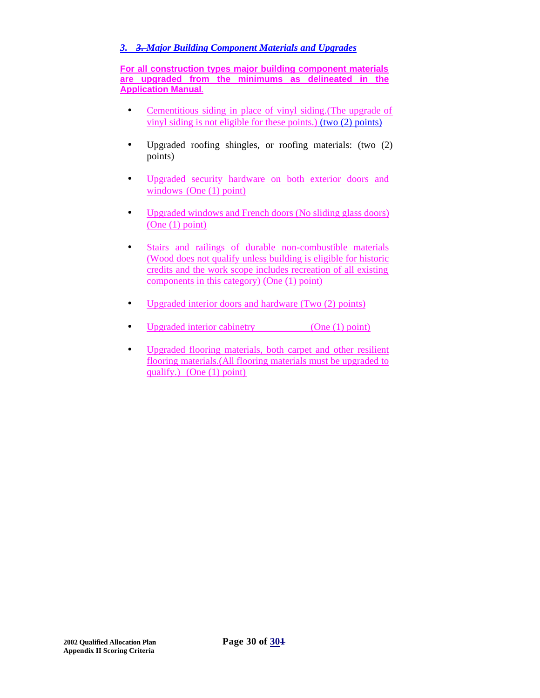# *3. 3. Major Building Component Materials and Upgrades*

**For all construction types major building component materials are upgraded from the minimums as delineated in the Application Manual**.

- Cementitious siding in place of vinyl siding.(The upgrade of vinyl siding is not eligible for these points.) (two (2) points)
- Upgraded roofing shingles, or roofing materials: (two (2) points)
- Upgraded security hardware on both exterior doors and windows (One (1) point)
- Upgraded windows and French doors (No sliding glass doors) (One (1) point)
- Stairs and railings of durable non-combustible materials (Wood does not qualify unless building is eligible for historic credits and the work scope includes recreation of all existing components in this category) (One (1) point)
- Upgraded interior doors and hardware (Two  $(2)$  points)
- Upgraded interior cabinetry (One (1) point)
- Upgraded flooring materials, both carpet and other resilient flooring materials.(All flooring materials must be upgraded to qualify.) (One (1) point)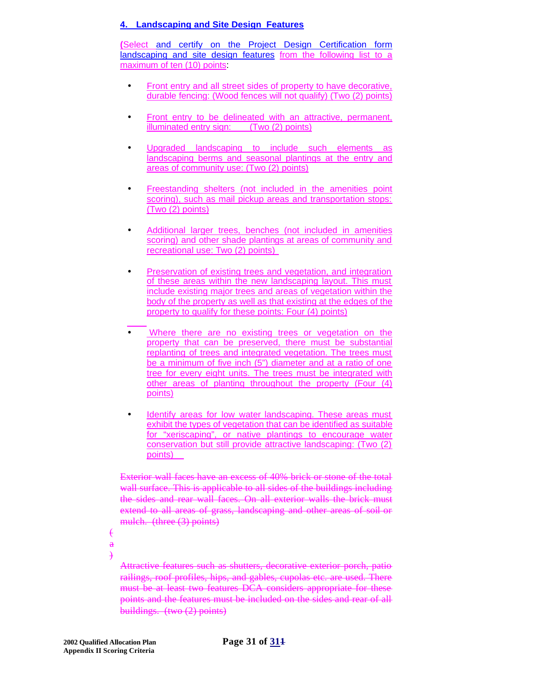### **4. Landscaping and Site Design Features**

**(**Select and certify on the Project Design Certification form landscaping and site design features from the following list to a maximum of ten (10) points.

- Front entry and all street sides of property to have decorative, durable fencing: (Wood fences will not qualify) (Two (2) points)
- Front entry to be delineated with an attractive, permanent, illuminated entry sign: (Two (2) points)
- Upgraded landscaping to include such elements as landscaping berms and seasonal plantings at the entry and areas of community use: (Two (2) points)
- Freestanding shelters (not included in the amenities point scoring), such as mail pickup areas and transportation stops: (Two (2) points)
- Additional larger trees, benches (not included in amenities scoring) and other shade plantings at areas of community and recreational use: Two (2) points)
- Preservation of existing trees and vegetation, and integration of these areas within the new landscaping layout. This must include existing major trees and areas of vegetation within the body of the property as well as that existing at the edges of the property to qualify for these points: Four (4) points)
- Where there are no existing trees or vegetation on the property that can be preserved, there must be substantial replanting of trees and integrated vegetation. The trees must be a minimum of five inch (5") diameter and at a ratio of one tree for every eight units. The trees must be integrated with other areas of planting throughout the property (Four (4) points)
- Identify areas for low water landscaping. These areas must exhibit the types of vegetation that can be identified as suitable for "xeriscaping", or native plantings to encourage water conservation but still provide attractive landscaping: (Two (2) points)

Exterior wall faces have an excess of 40% brick or stone of the total wall surface. This is applicable to all sides of the buildings including the sides and rear wall faces. On all exterior walls the brick must extend to all areas of grass, landscaping and other areas of soil or mulch. (three (3) points)

 $\epsilon$ a

 $\rightarrow$ 

Attractive features such as shutters, decorative exterior porch, patio railings, roof profiles, hips, and gables, cupolas etc. are used. There must be at least two features DCA considers appropriate for these points and the features must be included on the sides and rear of all buildings. (two (2) points)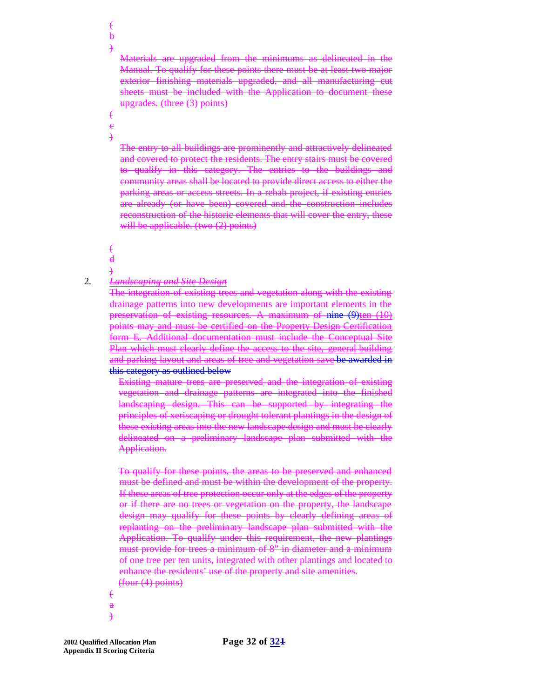Materials are upgraded from the minimums as delineated in the Manual. To qualify for these points there must be at least two major exterior finishing materials upgraded, and all manufacturing cut sheets must be included with the Application to document these upgrades. (three (3) points)

The entry to all buildings are prominently and attractively delineated and covered to protect the residents. The entry stairs must be covered to qualify in this category. The entries to the buildings and community areas shall be located to provide direct access to either the parking areas or access streets. In a rehab project, if existing entries are already (or have been) covered and the construction includes reconstruction of the historic elements that will cover the entry, these will be applicable. (two  $(2)$  points)

 $\epsilon$ d

 $\epsilon$  $\bf{b}$ )

 $\epsilon$ e )

)

#### 2. *Landscaping and Site Design*

The integration of existing trees and vegetation along with the existing drainage patterns into new developments are important elements in the preservation of existing resources. A maximum of nine (9)ten (10) points may and must be certified on the Property Design Certification form E. Additional documentation must include the Conceptual Site Plan which must clearly define the access to the site, general building and parking layout and areas of tree and vegetation save be awarded in this category as outlined below

Existing mature trees are preserved and the integration of existing vegetation and drainage patterns are integrated into the finished landscaping design. This can be supported by integrating the principles of xeriscaping or drought tolerant plantings in the design of these existing areas into the new landscape design and must be clearly delineated on a preliminary landscape plan submitted with the Application.

To qualify for these points, the areas to be preserved and enhanced must be defined and must be within the development of the property. If these areas of tree protection occur only at the edges of the property or if there are no trees or vegetation on the property, the landscape design may qualify for these points by clearly defining areas of replanting on the preliminary landscape plan submitted with the Application. To qualify under this requirement, the new plantings must provide for trees a minimum of 8" in diameter and a minimum of one tree per ten units, integrated with other plantings and located to enhance the residents' use of the property and site amenities. (four (4) points)

- $\epsilon$ a
- )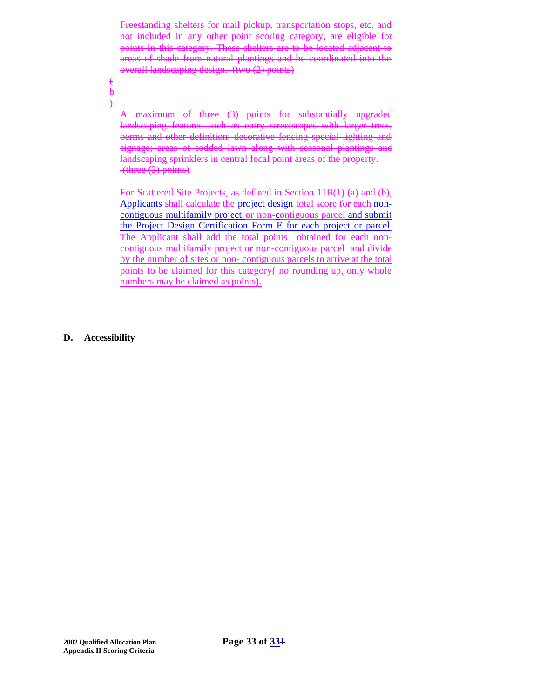Freestanding shelters for mail pickup, transportation stops, etc. and not included in any other point scoring category, are eligible for points in this category. These shelters are to be located adjacent to areas of shade from natural plantings and be coordinated into the overall landscaping design. (two (2) points)

 $\epsilon$  $\ddot{\mathbf{b}}$ 

 $\rightarrow$ 

A maximum of three (3) points for substantially upgraded landscaping features such as entry streetscapes with larger trees, berms and other definition; decorative fencing special lighting and signage; areas of sodded lawn along with seasonal plantings and landscaping sprinklers in central focal point areas of the property. (three (3) points)

For Scattered Site Projects, as defined in Section 11B(1) (a) and (b), Applicants shall calculate the project design total score for each noncontiguous multifamily project or non-contiguous parcel and submit the Project Design Certification Form E for each project or parcel. The Applicant shall add the total points obtained for each noncontiguous multifamily project or non-contiguous parcel and divide by the number of sites or non- contiguous parcels to arrive at the total points to be claimed for this category( no rounding up, only whole numbers may be claimed as points).

**D. Accessibility**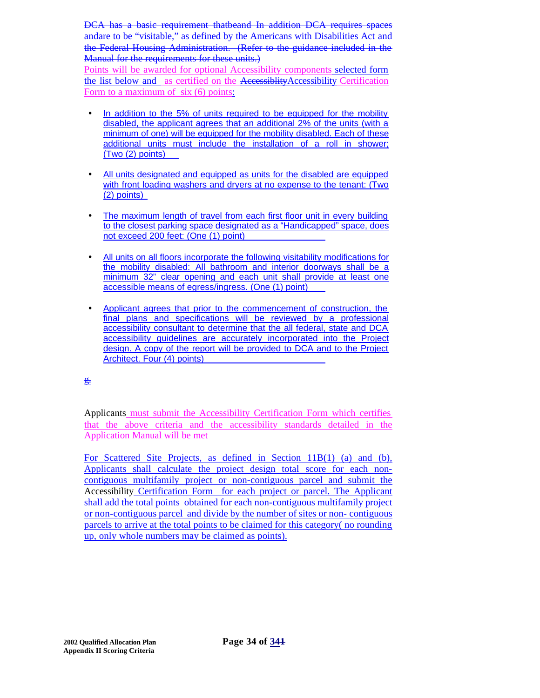DCA has a basic requirement thatbeand In addition DCA requires spaces andare to be "visitable," as defined by the Americans with Disabilities Act and the Federal Housing Administration. (Refer to the guidance included in the Manual for the requirements for these units.)

Points will be awarded for optional Accessibility components selected form the list below and as certified on the AccessibilityAccessibility Certification Form to a maximum of six (6) points:

- In addition to the 5% of units required to be equipped for the mobility disabled, the applicant agrees that an additional 2% of the units (with a minimum of one) will be equipped for the mobility disabled. Each of these additional units must include the installation of a roll in shower; (Two (2) points)
- All units designated and equipped as units for the disabled are equipped with front loading washers and dryers at no expense to the tenant: (Two (2) points)
- The maximum length of travel from each first floor unit in every building to the closest parking space designated as a "Handicapped" space, does not exceed 200 feet: (One (1) point)
- All units on all floors incorporate the following visitability modifications for the mobility disabled: All bathroom and interior doorways shall be a minimum 32" clear opening and each unit shall provide at least one accessible means of egress/ingress. (One (1) point)
- Applicant agrees that prior to the commencement of construction, the final plans and specifications will be reviewed by a professional accessibility consultant to determine that the all federal, state and DCA accessibility guidelines are accurately incorporated into the Project design. A copy of the report will be provided to DCA and to the Project Architect. Four (4) points)

 $E$ 

Applicants must submit the Accessibility Certification Form which certifies that the above criteria and the accessibility standards detailed in the Application Manual will be met

For Scattered Site Projects, as defined in Section 11B(1) (a) and (b), Applicants shall calculate the project design total score for each noncontiguous multifamily project or non-contiguous parcel and submit the Accessibility Certification Form for each project or parcel. The Applicant shall add the total points obtained for each non-contiguous multifamily project or non-contiguous parcel and divide by the number of sites or non- contiguous parcels to arrive at the total points to be claimed for this category( no rounding up, only whole numbers may be claimed as points).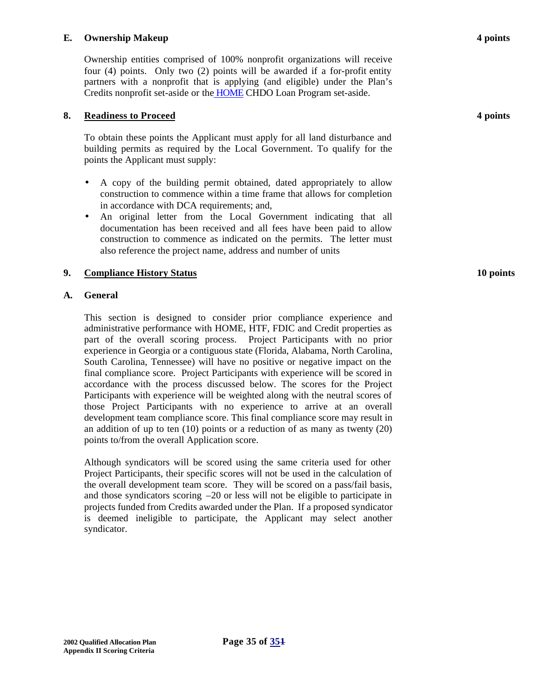#### **E. Ownership Makeup 4 points**

Ownership entities comprised of 100% nonprofit organizations will receive four (4) points. Only two (2) points will be awarded if a for-profit entity partners with a nonprofit that is applying (and eligible) under the Plan's Credits nonprofit set-aside or the HOME CHDO Loan Program set-aside.

#### **8. Readiness to Proceed 4 points**

To obtain these points the Applicant must apply for all land disturbance and building permits as required by the Local Government. To qualify for the points the Applicant must supply:

- A copy of the building permit obtained, dated appropriately to allow construction to commence within a time frame that allows for completion in accordance with DCA requirements; and,
- An original letter from the Local Government indicating that all documentation has been received and all fees have been paid to allow construction to commence as indicated on the permits. The letter must also reference the project name, address and number of units

#### **9. Compliance History Status 10 points**

#### **A. General**

This section is designed to consider prior compliance experience and administrative performance with HOME, HTF, FDIC and Credit properties as part of the overall scoring process. Project Participants with no prior experience in Georgia or a contiguous state (Florida, Alabama, North Carolina, South Carolina, Tennessee) will have no positive or negative impact on the final compliance score. Project Participants with experience will be scored in accordance with the process discussed below. The scores for the Project Participants with experience will be weighted along with the neutral scores of those Project Participants with no experience to arrive at an overall development team compliance score. This final compliance score may result in an addition of up to ten (10) points or a reduction of as many as twenty (20) points to/from the overall Application score.

Although syndicators will be scored using the same criteria used for other Project Participants, their specific scores will not be used in the calculation of the overall development team score. They will be scored on a pass/fail basis, and those syndicators scoring  $-20$  or less will not be eligible to participate in projects funded from Credits awarded under the Plan. If a proposed syndicator is deemed ineligible to participate, the Applicant may select another syndicator.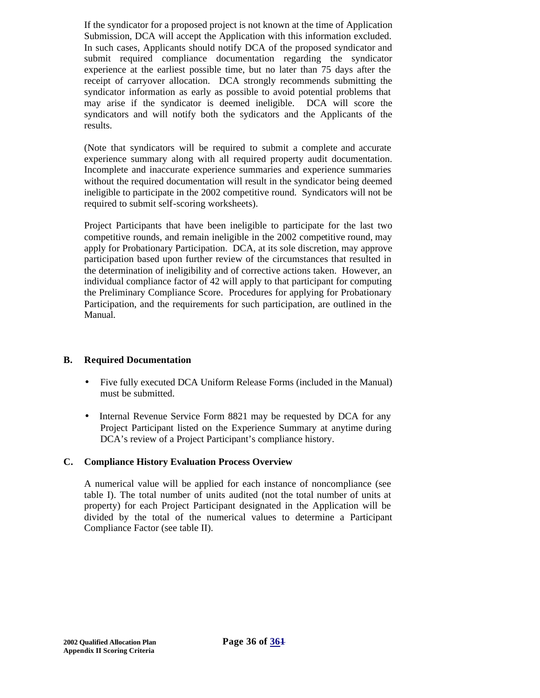If the syndicator for a proposed project is not known at the time of Application Submission, DCA will accept the Application with this information excluded. In such cases, Applicants should notify DCA of the proposed syndicator and submit required compliance documentation regarding the syndicator experience at the earliest possible time, but no later than 75 days after the receipt of carryover allocation. DCA strongly recommends submitting the syndicator information as early as possible to avoid potential problems that may arise if the syndicator is deemed ineligible. DCA will score the syndicators and will notify both the sydicators and the Applicants of the results.

(Note that syndicators will be required to submit a complete and accurate experience summary along with all required property audit documentation. Incomplete and inaccurate experience summaries and experience summaries without the required documentation will result in the syndicator being deemed ineligible to participate in the 2002 competitive round. Syndicators will not be required to submit self-scoring worksheets).

Project Participants that have been ineligible to participate for the last two competitive rounds, and remain ineligible in the 2002 competitive round, may apply for Probationary Participation. DCA, at its sole discretion, may approve participation based upon further review of the circumstances that resulted in the determination of ineligibility and of corrective actions taken. However, an individual compliance factor of 42 will apply to that participant for computing the Preliminary Compliance Score. Procedures for applying for Probationary Participation, and the requirements for such participation, are outlined in the Manual.

# **B. Required Documentation**

- Five fully executed DCA Uniform Release Forms (included in the Manual) must be submitted.
- Internal Revenue Service Form 8821 may be requested by DCA for any Project Participant listed on the Experience Summary at anytime during DCA's review of a Project Participant's compliance history.

#### **C. Compliance History Evaluation Process Overview**

A numerical value will be applied for each instance of noncompliance (see table I). The total number of units audited (not the total number of units at property) for each Project Participant designated in the Application will be divided by the total of the numerical values to determine a Participant Compliance Factor (see table II).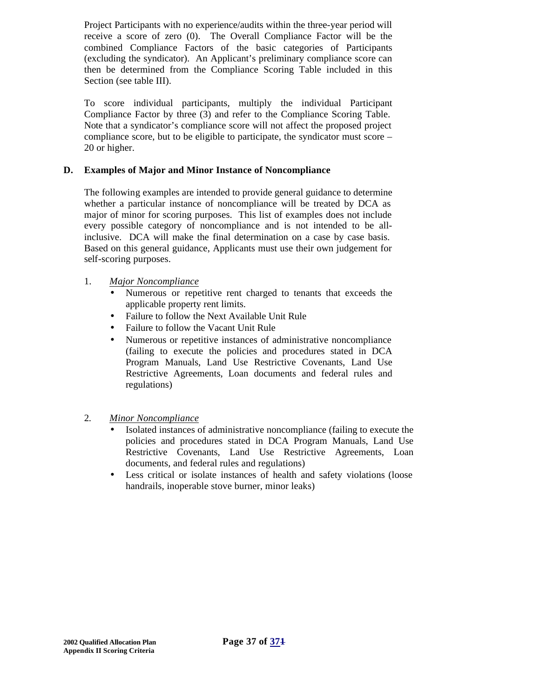Project Participants with no experience/audits within the three-year period will receive a score of zero (0). The Overall Compliance Factor will be the combined Compliance Factors of the basic categories of Participants (excluding the syndicator). An Applicant's preliminary compliance score can then be determined from the Compliance Scoring Table included in this Section (see table III).

To score individual participants, multiply the individual Participant Compliance Factor by three (3) and refer to the Compliance Scoring Table. Note that a syndicator's compliance score will not affect the proposed project compliance score, but to be eligible to participate, the syndicator must score – 20 or higher.

# **D. Examples of Major and Minor Instance of Noncompliance**

The following examples are intended to provide general guidance to determine whether a particular instance of noncompliance will be treated by DCA as major of minor for scoring purposes. This list of examples does not include every possible category of noncompliance and is not intended to be allinclusive. DCA will make the final determination on a case by case basis. Based on this general guidance, Applicants must use their own judgement for self-scoring purposes.

#### 1. *Major Noncompliance*

- Numerous or repetitive rent charged to tenants that exceeds the applicable property rent limits.
- Failure to follow the Next Available Unit Rule
- Failure to follow the Vacant Unit Rule
- Numerous or repetitive instances of administrative noncompliance (failing to execute the policies and procedures stated in DCA Program Manuals, Land Use Restrictive Covenants, Land Use Restrictive Agreements, Loan documents and federal rules and regulations)
- 2. *Minor Noncompliance*
	- Isolated instances of administrative noncompliance (failing to execute the policies and procedures stated in DCA Program Manuals, Land Use Restrictive Covenants, Land Use Restrictive Agreements, Loan documents, and federal rules and regulations)
	- Less critical or isolate instances of health and safety violations (loose handrails, inoperable stove burner, minor leaks)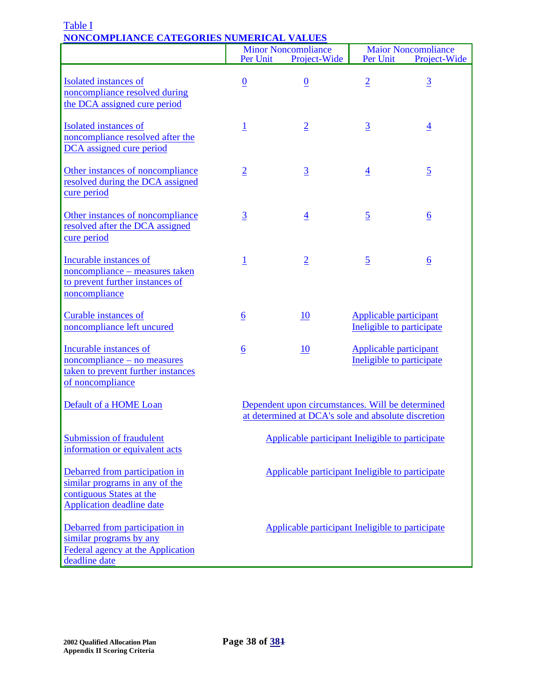|                                                                                                                                  | Per Unit                                                                                                | <b>Minor Noncompliance</b><br>Project-Wide       | Per Unit       | <b>Maior Noncompliance</b><br>Project-Wide                 |
|----------------------------------------------------------------------------------------------------------------------------------|---------------------------------------------------------------------------------------------------------|--------------------------------------------------|----------------|------------------------------------------------------------|
| <b>Isolated</b> instances of<br>noncompliance resolved during<br>the DCA assigned cure period                                    | $\underline{0}$                                                                                         | $\overline{0}$                                   | $\overline{2}$ | $\overline{3}$                                             |
| Isolated instances of<br>noncompliance resolved after the<br>DCA assigned cure period                                            | $\overline{1}$                                                                                          | $\overline{2}$                                   | $\overline{3}$ | $\overline{4}$                                             |
| Other instances of noncompliance<br>resolved during the DCA assigned<br>cure period                                              | $\overline{2}$                                                                                          | $\overline{3}$                                   | $\overline{4}$ | $\overline{5}$                                             |
| Other instances of noncompliance<br>resolved after the DCA assigned<br>cure period                                               | $\overline{3}$                                                                                          | $\overline{4}$                                   | $\overline{5}$ | $\underline{6}$                                            |
| Incurable instances of<br>noncompliance - measures taken<br>to prevent further instances of<br>noncompliance                     | $\overline{1}$                                                                                          | $\overline{2}$                                   | $\overline{2}$ | $\underline{6}$                                            |
| <b>Curable instances of</b><br>noncompliance left uncured                                                                        | $6 \overline{6}$                                                                                        | 10                                               |                | Applicable participant<br>Ineligible to participate        |
| Incurable instances of<br>noncompliance – no measures<br>taken to prevent further instances<br>of noncompliance                  | $\underline{6}$                                                                                         | <u>10</u>                                        |                | <b>Applicable participant</b><br>Ineligible to participate |
| Default of a HOME Loan                                                                                                           | Dependent upon circumstances. Will be determined<br>at determined at DCA's sole and absolute discretion |                                                  |                |                                                            |
| <b>Submission of fraudulent</b><br>information or equivalent acts                                                                | Applicable participant Ineligible to participate                                                        |                                                  |                |                                                            |
| Debarred from participation in<br>similar programs in any of the<br>contiguous States at the<br><b>Application deadline date</b> | Applicable participant Ineligible to participate                                                        |                                                  |                |                                                            |
| Debarred from participation in<br>similar programs by any<br>Federal agency at the Application<br>deadline date                  |                                                                                                         | Applicable participant Ineligible to participate |                |                                                            |

### Table I **NONCOMPLIANCE CATEGORIES NUMERICAL VALUES**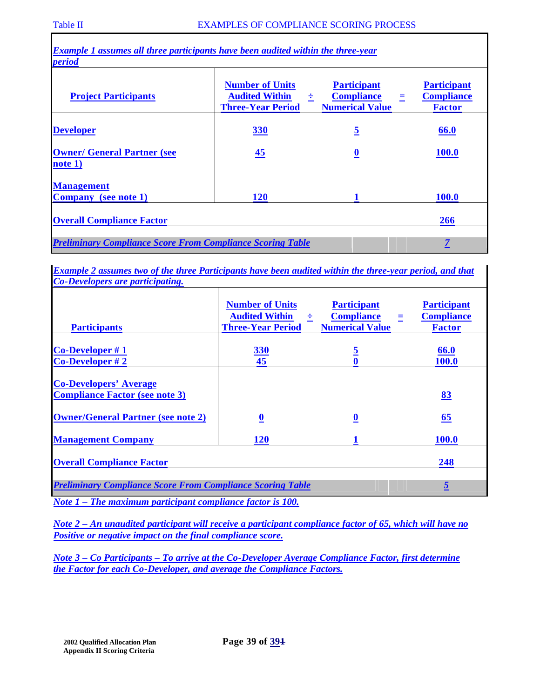| <i>period</i>                                 |                                                                             |                                                                             |                                                          |
|-----------------------------------------------|-----------------------------------------------------------------------------|-----------------------------------------------------------------------------|----------------------------------------------------------|
| <b>Project Participants</b>                   | <b>Number of Units</b><br><b>Audited Within</b><br><b>Three-Year Period</b> | <b>Participant</b><br><b>Compliance</b><br>÷<br>Ξ<br><b>Numerical Value</b> | <b>Participant</b><br><b>Compliance</b><br><b>Factor</b> |
| <b>Developer</b>                              | <b>330</b>                                                                  | $\overline{5}$                                                              | 66.0                                                     |
| <b>Owner/ General Partner (see</b><br>note 1) | $\frac{45}{5}$                                                              | $\overline{\mathbf{0}}$                                                     | <b>100.0</b>                                             |
| <b>Management</b>                             |                                                                             |                                                                             |                                                          |
| <b>Company</b> (see note 1)                   | <b>120</b>                                                                  |                                                                             | <b>100.0</b>                                             |
| <b>Overall Compliance Factor</b>              |                                                                             |                                                                             | <b>266</b>                                               |

*Example 2 assumes two of the three Participants have been audited within the three-year period, and that Co-Developers are participating.*

| <b>Participants</b>                                                                 | <b>Number of Units</b><br><b>Audited Within</b><br>÷<br><b>Three-Year Period</b> | <b>Participant</b><br><b>Compliance</b><br>Ξ<br><b>Numerical Value</b> | <b>Participant</b><br><b>Compliance</b><br><b>Factor</b> |  |
|-------------------------------------------------------------------------------------|----------------------------------------------------------------------------------|------------------------------------------------------------------------|----------------------------------------------------------|--|
| Co-Developer #1<br>$Co\text{-}Developer \# 2$                                       | <b>330</b><br>45                                                                 | <u>5</u>                                                               | 66.0<br>100.0                                            |  |
| <b>Co-Developers' Average</b><br><b>Compliance Factor (see note 3)</b>              |                                                                                  |                                                                        | 83                                                       |  |
| <b>Owner/General Partner (see note 2)</b>                                           | $\overline{\mathbf{0}}$                                                          | $\boldsymbol{0}$                                                       | 65                                                       |  |
| <b>Management Company</b>                                                           | <b>120</b>                                                                       |                                                                        | 100.0                                                    |  |
| <b>Overall Compliance Factor</b>                                                    | 248                                                                              |                                                                        |                                                          |  |
| <b>Preliminary Compliance Score From Compliance Scoring Table</b><br>$\overline{5}$ |                                                                                  |                                                                        |                                                          |  |
| Note $1$ – The maximum participant compliance factor is 100.                        |                                                                                  |                                                                        |                                                          |  |

*Note 2 – An unaudited participant will receive a participant compliance factor of 65, which will have no Positive or negative impact on the final compliance score.*

*Note 3 – Co Participants – To arrive at the Co-Developer Average Compliance Factor, first determine the Factor for each Co-Developer, and average the Compliance Factors.*